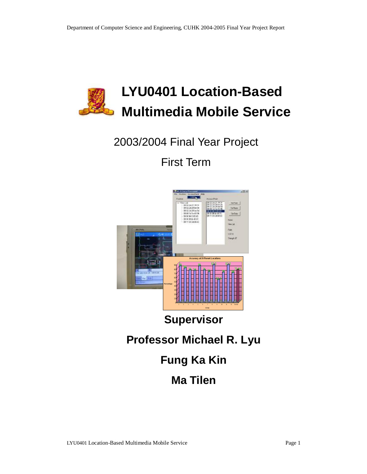

# 2003/2004 Final Year Project

First Term



# **Supervisor**

# **Professor Michael R. Lyu**

# **Fung Ka Kin**

# **Ma Tilen**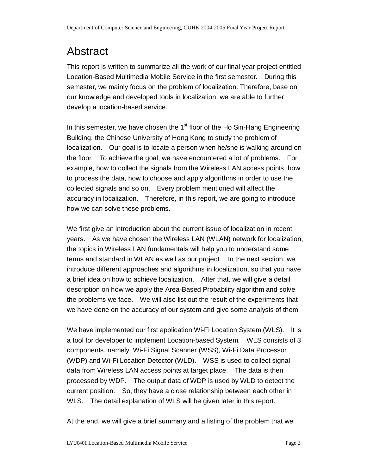# Abstract

This report is written to summarize all the work of our final year project entitled Location-Based Multimedia Mobile Service in the first semester. During this semester, we mainly focus on the problem of localization. Therefore, base on our knowledge and developed tools in localization, we are able to further develop a location-based service.

In this semester, we have chosen the  $1<sup>st</sup>$  floor of the Ho Sin-Hang Engineering Building, the Chinese University of Hong Kong to study the problem of localization. Our goal is to locate a person when he/she is walking around on the floor. To achieve the goal, we have encountered a lot of problems. For example, how to collect the signals from the Wireless LAN access points, how to process the data, how to choose and apply algorithms in order to use the collected signals and so on. Every problem mentioned will affect the accuracy in localization. Therefore, in this report, we are going to introduce how we can solve these problems.

We first give an introduction about the current issue of localization in recent years. As we have chosen the Wireless LAN (WLAN) network for localization, the topics in Wireless LAN fundamentals will help you to understand some terms and standard in WLAN as well as our project. In the next section, we introduce different approaches and algorithms in localization, so that you have a brief idea on how to achieve localization. After that, we will give a detail description on how we apply the Area-Based Probability algorithm and solve the problems we face. We will also list out the result of the experiments that we have done on the accuracy of our system and give some analysis of them.

We have implemented our first application Wi-Fi Location System (WLS). It is a tool for developer to implement Location-based System. WLS consists of 3 components, namely, Wi-Fi Signal Scanner (WSS), Wi-Fi Data Processor (WDP) and Wi-Fi Location Detector (WLD). WSS is used to collect signal data from Wireless LAN access points at target place. The data is then processed by WDP. The output data of WDP is used by WLD to detect the current position. So, they have a close relationship between each other in WLS. The detail explanation of WLS will be given later in this report.

At the end, we will give a brief summary and a listing of the problem that we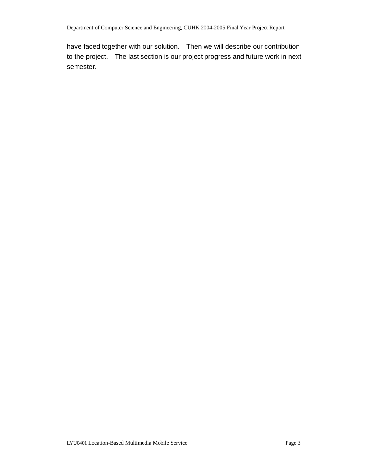have faced together with our solution. Then we will describe our contribution to the project. The last section is our project progress and future work in next semester.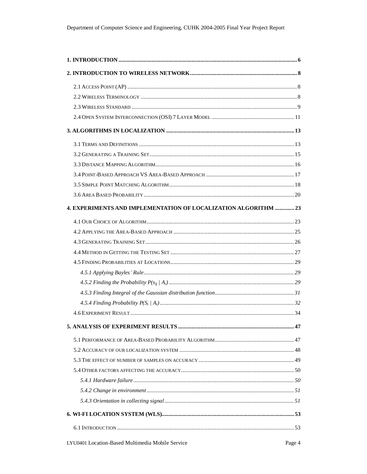| 4. EXPERIMENTS AND IMPLEMENTATION OF LOCALIZATION ALGORITHM  23 |  |
|-----------------------------------------------------------------|--|
|                                                                 |  |
|                                                                 |  |
|                                                                 |  |
|                                                                 |  |
|                                                                 |  |
|                                                                 |  |
|                                                                 |  |
|                                                                 |  |
|                                                                 |  |
|                                                                 |  |
|                                                                 |  |
|                                                                 |  |
|                                                                 |  |
|                                                                 |  |
|                                                                 |  |
|                                                                 |  |
|                                                                 |  |
|                                                                 |  |
|                                                                 |  |
|                                                                 |  |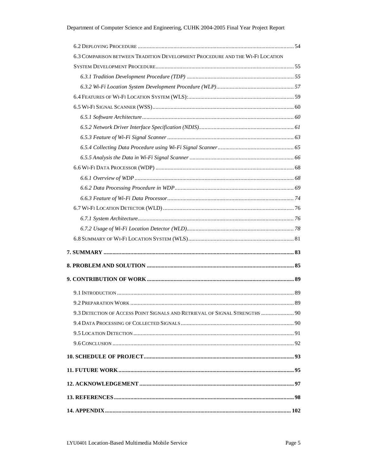| 6.3 COMPARISON BETWEEN TRADITION DEVELOPMENT PROCEDURE AND THE WI-FI LOCATION |  |
|-------------------------------------------------------------------------------|--|
|                                                                               |  |
|                                                                               |  |
|                                                                               |  |
|                                                                               |  |
|                                                                               |  |
|                                                                               |  |
|                                                                               |  |
|                                                                               |  |
|                                                                               |  |
|                                                                               |  |
|                                                                               |  |
|                                                                               |  |
|                                                                               |  |
|                                                                               |  |
|                                                                               |  |
|                                                                               |  |
|                                                                               |  |
|                                                                               |  |
|                                                                               |  |
|                                                                               |  |
|                                                                               |  |
|                                                                               |  |
|                                                                               |  |
| 9.3 DETECTION OF ACCESS POINT SIGNALS AND RETRIEVAL OF SIGNAL STRENGTHS  90   |  |
|                                                                               |  |
|                                                                               |  |
|                                                                               |  |
|                                                                               |  |
|                                                                               |  |
|                                                                               |  |
|                                                                               |  |
|                                                                               |  |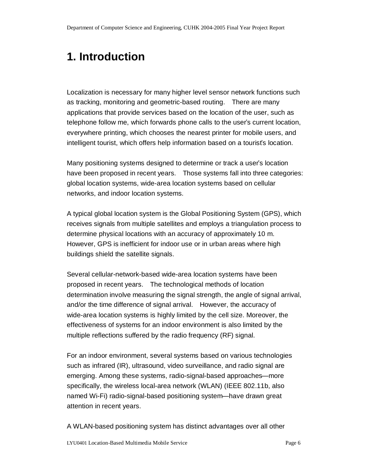# **1. Introduction**

Localization is necessary for many higher level sensor network functions such as tracking, monitoring and geometric-based routing. There are many applications that provide services based on the location of the user, such as telephone follow me, which forwards phone calls to the user's current location, everywhere printing, which chooses the nearest printer for mobile users, and intelligent tourist, which offers help information based on a tourist's location.

Many positioning systems designed to determine or track a user's location have been proposed in recent years. Those systems fall into three categories: global location systems, wide-area location systems based on cellular networks, and indoor location systems.

A typical global location system is the Global Positioning System (GPS), which receives signals from multiple satellites and employs a triangulation process to determine physical locations with an accuracy of approximately 10 m. However, GPS is inefficient for indoor use or in urban areas where high buildings shield the satellite signals.

Several cellular-network-based wide-area location systems have been proposed in recent years. The technological methods of location determination involve measuring the signal strength, the angle of signal arrival, and/or the time difference of signal arrival. However, the accuracy of wide-area location systems is highly limited by the cell size. Moreover, the effectiveness of systems for an indoor environment is also limited by the multiple reflections suffered by the radio frequency (RF) signal.

For an indoor environment, several systems based on various technologies such as infrared (IR), ultrasound, video surveillance, and radio signal are emerging. Among these systems, radio-signal-based approaches—more specifically, the wireless local-area network (WLAN) (IEEE 802.11b, also named Wi-Fi) radio-signal-based positioning system—have drawn great attention in recent years.

A WLAN-based positioning system has distinct advantages over all other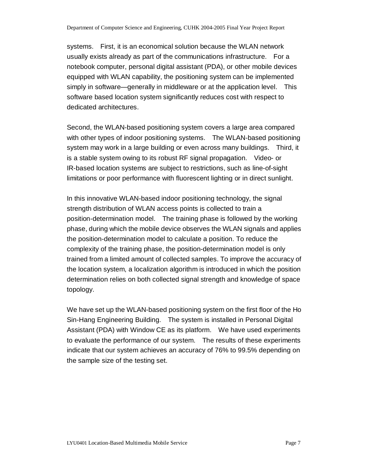systems. First, it is an economical solution because the WLAN network usually exists already as part of the communications infrastructure. For a notebook computer, personal digital assistant (PDA), or other mobile devices equipped with WLAN capability, the positioning system can be implemented simply in software—generally in middleware or at the application level. This software based location system significantly reduces cost with respect to dedicated architectures.

Second, the WLAN-based positioning system covers a large area compared with other types of indoor positioning systems. The WLAN-based positioning system may work in a large building or even across many buildings. Third, it is a stable system owing to its robust RF signal propagation. Video- or IR-based location systems are subject to restrictions, such as line-of-sight limitations or poor performance with fluorescent lighting or in direct sunlight.

In this innovative WLAN-based indoor positioning technology, the signal strength distribution of WLAN access points is collected to train a position-determination model. The training phase is followed by the working phase, during which the mobile device observes the WLAN signals and applies the position-determination model to calculate a position. To reduce the complexity of the training phase, the position-determination model is only trained from a limited amount of collected samples. To improve the accuracy of the location system, a localization algorithm is introduced in which the position determination relies on both collected signal strength and knowledge of space topology.

We have set up the WLAN-based positioning system on the first floor of the Ho Sin-Hang Engineering Building. The system is installed in Personal Digital Assistant (PDA) with Window CE as its platform. We have used experiments to evaluate the performance of our system. The results of these experiments indicate that our system achieves an accuracy of 76% to 99.5% depending on the sample size of the testing set.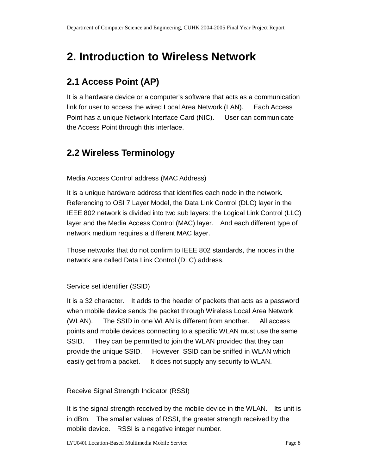# **2. Introduction to Wireless Network**

### **2.1 Access Point (AP)**

It is a hardware device or a computer's software that acts as a communication link for user to access the wired Local Area Network (LAN). Each Access Point has a unique Network Interface Card (NIC). User can communicate the Access Point through this interface.

### **2.2 Wireless Terminology**

Media Access Control address (MAC Address)

It is a unique hardware address that identifies each node in the network. Referencing to OSI 7 Layer Model, the Data Link Control (DLC) layer in the IEEE 802 network is divided into two sub layers: the Logical Link Control (LLC) layer and the Media Access Control (MAC) layer. And each different type of network medium requires a different MAC layer.

Those networks that do not confirm to IEEE 802 standards, the nodes in the network are called Data Link Control (DLC) address.

Service set identifier (SSID)

It is a 32 character. It adds to the header of packets that acts as a password when mobile device sends the packet through Wireless Local Area Network (WLAN). The SSID in one WLAN is different from another. All access points and mobile devices connecting to a specific WLAN must use the same SSID. They can be permitted to join the WLAN provided that they can provide the unique SSID. However, SSID can be sniffed in WLAN which easily get from a packet. It does not supply any security to WLAN.

Receive Signal Strength Indicator (RSSI)

It is the signal strength received by the mobile device in the WLAN. Its unit is in dBm. The smaller values of RSSI, the greater strength received by the mobile device. RSSI is a negative integer number.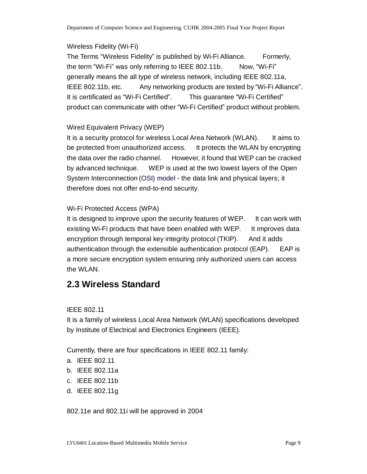#### Wireless Fidelity (Wi-Fi)

The Terms "Wireless Fidelity" is published by Wi-Fi Alliance. Formerly, the term "Wi-Fi" was only referring to IEEE 802.11b. Now, "Wi-Fi" generally means the all type of wireless network, including IEEE 802.11a, IEEE 802.11b, etc. Any networking products are tested by "Wi-Fi Alliance". It is certificated as "Wi-Fi Certified". This guarantee "Wi-Fi Certified" product can communicate with other "Wi-Fi Certified" product without problem.

#### Wired Equivalent Privacy (WEP)

It is a security protocol for wireless Local Area Network (WLAN). It aims to be protected from unauthorized access. It protects the WLAN by encrypting the data over the radio channel. However, it found that WEP can be cracked by advanced technique. WEP is used at the two lowest layers of the Open System Interconnection (OSI) model - the data link and physical layers; it therefore does not offer end-to-end security.

#### Wi-Fi Protected Access (WPA)

It is designed to improve upon the security features of WEP. It can work with existing Wi-Fi products that have been enabled with WEP. It improves data encryption through temporal key integrity protocol (TKIP). And it adds authentication through the extensible authentication protocol (EAP). EAP is a more secure encryption system ensuring only authorized users can access the WLAN.

### **2.3 Wireless Standard**

#### IEEE 802.11

It is a family of wireless Local Area Network (WLAN) specifications developed by Institute of Electrical and Electronics Engineers (IEEE).

Currently, there are four specifications in IEEE 802.11 family:

- a. IEEE 802.11
- b. IEEE 802.11a
- c. IEEE 802.11b
- d. IEEE 802.11g

802.11e and 802.11i will be approved in 2004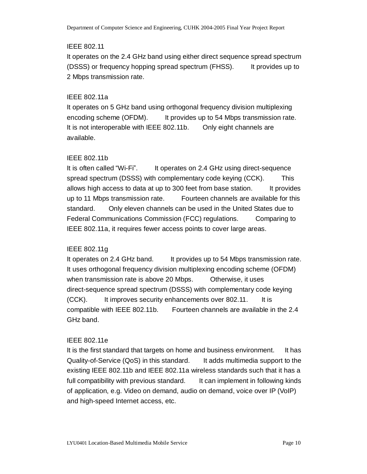#### IEEE 802.11

It operates on the 2.4 GHz band using either direct sequence spread spectrum (DSSS) or frequency hopping spread spectrum (FHSS). It provides up to 2 Mbps transmission rate.

#### IEEE 802.11a

It operates on 5 GHz band using orthogonal frequency division multiplexing encoding scheme (OFDM). It provides up to 54 Mbps transmission rate. It is not interoperable with IEEE 802.11b. Only eight channels are available.

#### IEEE 802.11b

It is often called "Wi-Fi". It operates on 2.4 GHz using direct-sequence spread spectrum (DSSS) with complementary code keying (CCK). This allows high access to data at up to 300 feet from base station. It provides up to 11 Mbps transmission rate. Fourteen channels are available for this standard. Only eleven channels can be used in the United States due to Federal Communications Commission (FCC) regulations. Comparing to IEEE 802.11a, it requires fewer access points to cover large areas.

#### IEEE 802.11g

It operates on 2.4 GHz band. It provides up to 54 Mbps transmission rate. It uses orthogonal frequency division multiplexing encoding scheme (OFDM) when transmission rate is above 20 Mbps. Otherwise, it uses direct-sequence spread spectrum (DSSS) with complementary code keying (CCK). It improves security enhancements over 802.11. It is compatible with IEEE 802.11b. Fourteen channels are available in the 2.4 GHz band.

#### IEEE 802.11e

It is the first standard that targets on home and business environment. It has Quality-of-Service (QoS) in this standard. It adds multimedia support to the existing IEEE 802.11b and IEEE 802.11a wireless standards such that it has a full compatibility with previous standard. It can implement in following kinds of application, e.g. Video on demand, audio on demand, voice over IP (VoIP) and high-speed Internet access, etc.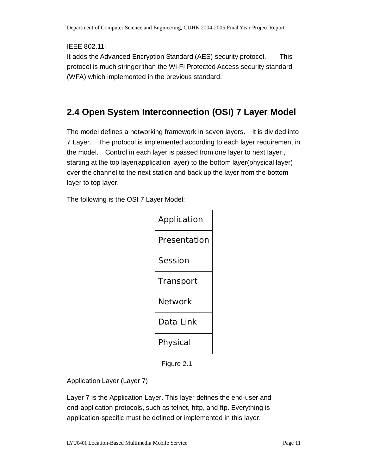IEEE 802.11i

It adds the Advanced Encryption Standard (AES) security protocol. This protocol is much stringer than the Wi-Fi Protected Access security standard (WFA) which implemented in the previous standard.

## **2.4 Open System Interconnection (OSI) 7 Layer Model**

The model defines a networking framework in seven layers. It is divided into 7 Layer. The protocol is implemented according to each layer requirement in the model. Control in each layer is passed from one layer to next layer , starting at the top layer(application layer) to the bottom layer(physical layer) over the channel to the next station and back up the layer from the bottom layer to top layer.

The following is the OSI 7 Layer Model:

| Application    |
|----------------|
| Presentation   |
| <b>Session</b> |
| Transport      |
| <b>Network</b> |
| Data Link      |
| Physical       |

Figure 2.1

Application Layer (Layer 7)

Layer 7 is the Application Layer. This layer defines the end-user and end-application protocols, such as telnet, http, and ftp. Everything is application-specific must be defined or implemented in this layer.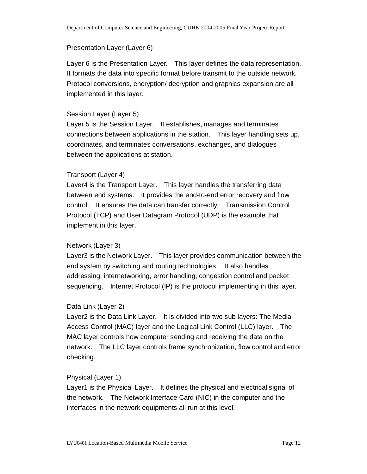#### Presentation Layer (Layer 6)

Layer 6 is the Presentation Layer. This layer defines the data representation. It formats the data into specific format before transmit to the outside network. Protocol conversions, encryption/ decryption and graphics expansion are all implemented in this layer.

#### Session Layer (Layer 5)

Layer 5 is the Session Layer. It establishes, manages and terminates connections between applications in the station. This layer handling sets up, coordinates, and terminates conversations, exchanges, and dialogues between the applications at station.

#### Transport (Layer 4)

Layer4 is the Transport Layer. This layer handles the transferring data between end systems. It provides the end-to-end error recovery and flow control. It ensures the data can transfer correctly. Transmission Control Protocol (TCP) and User Datagram Protocol (UDP) is the example that implement in this layer.

#### Network (Layer 3)

Layer3 is the Network Layer. This layer provides communication between the end system by switching and routing technologies. It also handles addressing, internetworking, error handling, congestion control and packet sequencing. Internet Protocol (IP) is the protocol implementing in this layer.

#### Data Link (Layer 2)

Layer2 is the Data Link Layer. It is divided into two sub layers: The Media Access Control (MAC) layer and the Logical Link Control (LLC) layer. The MAC layer controls how computer sending and receiving the data on the network. The LLC layer controls frame synchronization, flow control and error checking.

#### Physical (Layer 1)

Layer1 is the Physical Layer. It defines the physical and electrical signal of the network. The Network Interface Card (NIC) in the computer and the interfaces in the network equipments all run at this level.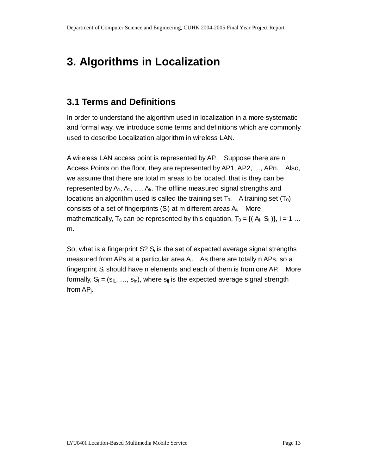# **3. Algorithms in Localization**

### **3.1 Terms and Definitions**

In order to understand the algorithm used in localization in a more systematic and formal way, we introduce some terms and definitions which are commonly used to describe Localization algorithm in wireless LAN.

A wireless LAN access point is represented by AP. Suppose there are n Access Points on the floor, they are represented by AP1, AP2, …, APn. Also, we assume that there are total m areas to be located, that is they can be represented by  $A_1, A_2, \ldots, A_k$ . The offline measured signal strengths and locations an algorithm used is called the training set  $T_0$ . A training set  $(T_0)$ consists of a set of fingerprints  $(S_i)$  at m different areas  $A_i$ . More mathematically,  $T_0$  can be represented by this equation,  $T_0 = \{(A_i, S_i)\}\$ , i = 1 ... m.

So, what is a fingerprint  $S$ ?  $S_i$  is the set of expected average signal strengths measured from APs at a particular area  $A_i$ . As there are totally n APs, so a fingerprint  $S_i$  should have n elements and each of them is from one AP. More formally,  $S_i = (s_{i1}, ..., s_{in})$ , where  $s_{ii}$  is the expected average signal strength from APj.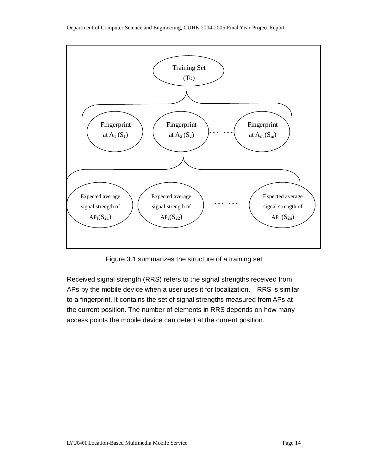

Figure 3.1 summarizes the structure of a training set

Received signal strength (RRS) refers to the signal strengths received from APs by the mobile device when a user uses it for localization. RRS is similar to a fingerprint. It contains the set of signal strengths measured from APs at the current position. The number of elements in RRS depends on how many access points the mobile device can detect at the current position.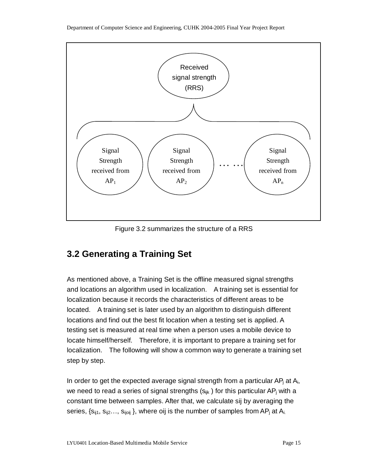

Figure 3.2 summarizes the structure of a RRS

### **3.2 Generating a Training Set**

As mentioned above, a Training Set is the offline measured signal strengths and locations an algorithm used in localization. A training set is essential for localization because it records the characteristics of different areas to be located. A training set is later used by an algorithm to distinguish different locations and find out the best fit location when a testing set is applied. A testing set is measured at real time when a person uses a mobile device to locate himself/herself. Therefore, it is important to prepare a training set for localization. The following will show a common way to generate a training set step by step.

In order to get the expected average signal strength from a particular  $AP<sub>i</sub>$  at  $A<sub>i</sub>$ , we need to read a series of signal strengths  $(s_{ijk})$  for this particular AP<sub>i</sub> with a constant time between samples. After that, we calculate sij by averaging the series,  $\{s_{ij1}, s_{ij2} \ldots, s_{ij0ij}\}$ , where oij is the number of samples from AP<sub>i</sub> at A<sub>i.</sub>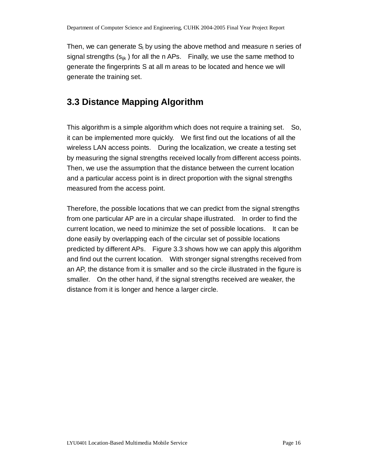Then, we can generate  $S_i$  by using the above method and measure n series of signal strengths  $(s_{ijk})$  for all the n APs. Finally, we use the same method to generate the fingerprints S at all m areas to be located and hence we will generate the training set.

### **3.3 Distance Mapping Algorithm**

This algorithm is a simple algorithm which does not require a training set. So, it can be implemented more quickly. We first find out the locations of all the wireless LAN access points. During the localization, we create a testing set by measuring the signal strengths received locally from different access points. Then, we use the assumption that the distance between the current location and a particular access point is in direct proportion with the signal strengths measured from the access point.

Therefore, the possible locations that we can predict from the signal strengths from one particular AP are in a circular shape illustrated. In order to find the current location, we need to minimize the set of possible locations. It can be done easily by overlapping each of the circular set of possible locations predicted by different APs. Figure 3.3 shows how we can apply this algorithm and find out the current location. With stronger signal strengths received from an AP, the distance from it is smaller and so the circle illustrated in the figure is smaller. On the other hand, if the signal strengths received are weaker, the distance from it is longer and hence a larger circle.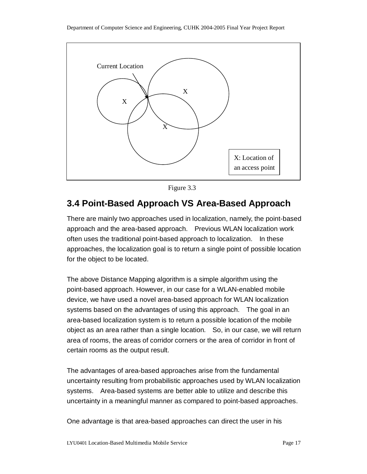

Figure 3.3

### **3.4 Point-Based Approach VS Area-Based Approach**

There are mainly two approaches used in localization, namely, the point-based approach and the area-based approach. Previous WLAN localization work often uses the traditional point-based approach to localization. In these approaches, the localization goal is to return a single point of possible location for the object to be located.

The above Distance Mapping algorithm is a simple algorithm using the point-based approach. However, in our case for a WLAN-enabled mobile device, we have used a novel area-based approach for WLAN localization systems based on the advantages of using this approach. The goal in an area-based localization system is to return a possible location of the mobile object as an area rather than a single location. So, in our case, we will return area of rooms, the areas of corridor corners or the area of corridor in front of certain rooms as the output result.

The advantages of area-based approaches arise from the fundamental uncertainty resulting from probabilistic approaches used by WLAN localization systems. Area-based systems are better able to utilize and describe this uncertainty in a meaningful manner as compared to point-based approaches.

One advantage is that area-based approaches can direct the user in his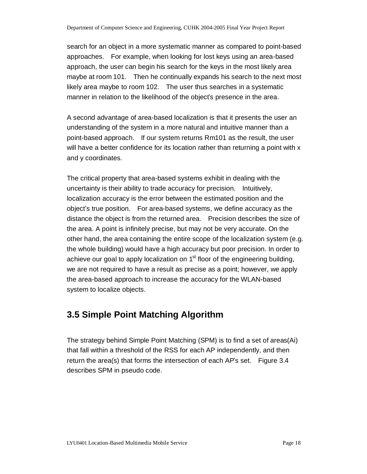search for an object in a more systematic manner as compared to point-based approaches. For example, when looking for lost keys using an area-based approach, the user can begin his search for the keys in the most likely area maybe at room 101. Then he continually expands his search to the next most likely area maybe to room 102. The user thus searches in a systematic manner in relation to the likelihood of the object's presence in the area.

A second advantage of area-based localization is that it presents the user an understanding of the system in a more natural and intuitive manner than a point-based approach. If our system returns Rm101 as the result, the user will have a better confidence for its location rather than returning a point with x and y coordinates.

The critical property that area-based systems exhibit in dealing with the uncertainty is their ability to trade accuracy for precision. Intuitively, localization accuracy is the error between the estimated position and the object's true position. For area-based systems, we define accuracy as the distance the object is from the returned area. Precision describes the size of the area. A point is infinitely precise, but may not be very accurate. On the other hand, the area containing the entire scope of the localization system (e.g. the whole building) would have a high accuracy but poor precision. In order to achieve our goal to apply localization on  $1<sup>st</sup>$  floor of the engineering building, we are not required to have a result as precise as a point; however, we apply the area-based approach to increase the accuracy for the WLAN-based system to localize objects.

### **3.5 Simple Point Matching Algorithm**

The strategy behind Simple Point Matching (SPM) is to find a set of areas(Ai) that fall within a threshold of the RSS for each AP independently, and then return the area(s) that forms the intersection of each AP's set. Figure 3.4 describes SPM in pseudo code.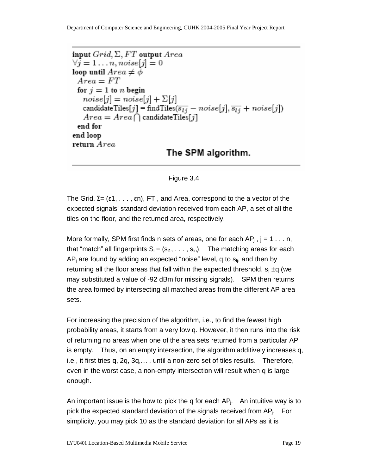Department of Computer Science and Engineering, CUHK 2004-2005 Final Year Project Report

```
input Grid, \Sigma, FT output Area\forall j = 1 \ldots n, noise[j] = 0loop until Area \neq \phiArea = FTfor j=1 to n begin
   noise[j] = noise[j] + \Sigma[j]candidateTiles[j] = findTiles(\overline{s_{lj}} - noise[j], \overline{s_{lj}} + noise[j])
   Area = Area \cap candidateTiles[j]end for
end loop
return Area
                              The SPM algorithm.
```
#### Figure 3.4

The Grid,  $\Sigma = (\epsilon 1, \ldots, \epsilon n)$ , FT, and Area, correspond to the a vector of the expected signals' standard deviation received from each AP, a set of all the tiles on the floor, and the returned area, respectively.

More formally, SPM first finds n sets of areas, one for each  $AP_i$ ,  $j = 1 \ldots n$ , that "match" all fingerprints  $S_1 = (s_{11}, \ldots, s_{1n})$ . The matching areas for each  $AP_i$  are found by adding an expected "noise" level, q to  $s_{li}$ , and then by returning all the floor areas that fall within the expected threshold,  $s_i \pm q$  (we may substituted a value of -92 dBm for missing signals). SPM then returns the area formed by intersecting all matched areas from the different AP area sets.

For increasing the precision of the algorithm, i.e., to find the fewest high probability areas, it starts from a very low q. However, it then runs into the risk of returning no areas when one of the area sets returned from a particular AP is empty. Thus, on an empty intersection, the algorithm additively increases q, i.e., it first tries q, 2q, 3q,… , until a non-zero set of tiles results. Therefore, even in the worst case, a non-empty intersection will result when q is large enough.

An important issue is the how to pick the q for each  $AP_i$ . An intuitive way is to pick the expected standard deviation of the signals received from APj. For simplicity, you may pick 10 as the standard deviation for all APs as it is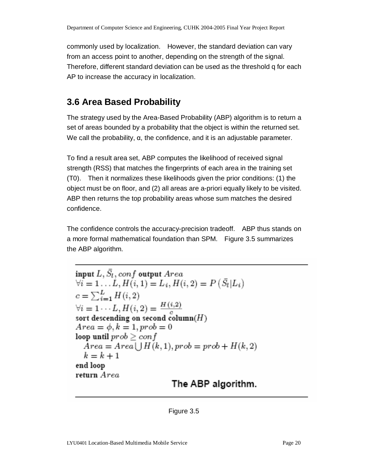commonly used by localization. However, the standard deviation can vary from an access point to another, depending on the strength of the signal. Therefore, different standard deviation can be used as the threshold q for each AP to increase the accuracy in localization.

### **3.6 Area Based Probability**

The strategy used by the Area-Based Probability (ABP) algorithm is to return a set of areas bounded by a probability that the object is within the returned set. We call the probability, α, the confidence, and it is an adjustable parameter.

To find a result area set, ABP computes the likelihood of received signal strength (RSS) that matches the fingerprints of each area in the training set (T0). Then it normalizes these likelihoods given the prior conditions: (1) the object must be on floor, and (2) all areas are a-priori equally likely to be visited. ABP then returns the top probability areas whose sum matches the desired confidence.

The confidence controls the accuracy-precision tradeoff. ABP thus stands on a more formal mathematical foundation than SPM. Figure 3.5 summarizes the ABP algorithm.

input  $L, \bar{S}_l, conf$  output  $Area$  $\forall i = 1...L, H(i, 1) = L_i, H(i, 2) = P(\bar{S}_i | L_i)$  $c = \sum_{i=1}^{L} H(i, 2)$  $\forall i = 1 \cdots L, H(i, 2) = \frac{H(i, 2)}{c}$ sort descending on second column( $H$ )  $Area = \phi, k = 1, prob = 0$ loop until  $prob \geq conf$  $Area = Area \mid H(k,1), prob = prob + H(k,2)$  $k = k + 1$ end loop return Area The ABP algorithm.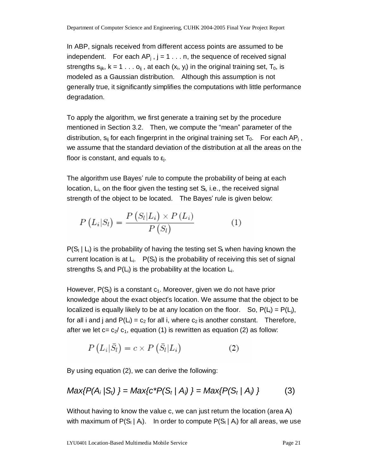In ABP, signals received from different access points are assumed to be independent. For each  $AP_i$ ,  $j = 1 \ldots n$ , the sequence of received signal strengths  $s_{ijk}$ ,  $k = 1 \ldots o_{ij}$ , at each  $(x_i, y_i)$  in the original training set,  $T_0$ , is modeled as a Gaussian distribution. Although this assumption is not generally true, it significantly simplifies the computations with little performance degradation.

To apply the algorithm, we first generate a training set by the procedure mentioned in Section 3.2. Then, we compute the "mean" parameter of the distribution,  $s_{ij}$  for each fingerprint in the original training set  $T_0$ . For each AP<sub>i</sub>, we assume that the standard deviation of the distribution at all the areas on the floor is constant, and equals to  $ε<sub>i</sub>$ .

The algorithm use Bayes' rule to compute the probability of being at each location,  $L_i$ , on the floor given the testing set  $S_i$ , i.e., the received signal strength of the object to be located. The Bayes' rule is given below:

$$
P\left(L_i|S_l\right) = \frac{P\left(S_l|L_i\right) \times P\left(L_i\right)}{P\left(S_l\right)}\tag{1}
$$

 $P(S_i | L_i)$  is the probability of having the testing set S<sub>l</sub> when having known the current location is at  $L_i$ .  $P(S_i)$  is the probability of receiving this set of signal strengths  $S<sub>l</sub>$  and  $P(L<sub>i</sub>)$  is the probability at the location  $L<sub>i</sub>$ .

However,  $P(S_i)$  is a constant  $c_1$ . Moreover, given we do not have prior knowledge about the exact object's location. We assume that the object to be localized is equally likely to be at any location on the floor. So,  $P(L) = P(L_i)$ , for all i and j and  $P(L_i) = c_2$  for all i, where  $c_2$  is another constant. Therefore, after we let  $c = c_2/c_1$ , equation (1) is rewritten as equation (2) as follow:

$$
P\left(L_i|\bar{S}_l\right) = c \times P\left(\bar{S}_l|L_i\right) \tag{2}
$$

By using equation (2), we can derive the following:

$$
Max\{P(A_i \mid S_t)\} = Max\{c^*P(S_t \mid A_i)\} = Max\{P(S_t \mid A_i)\}
$$
 (3)

Without having to know the value c, we can just return the location (area  $A_i$ ) with maximum of  $P(S_i | A_i)$ . In order to compute  $P(S_i | A_i)$  for all areas, we use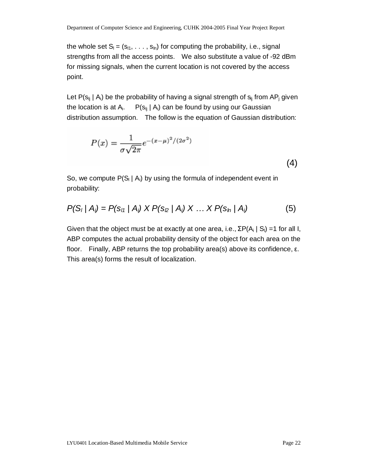the whole set  $S_i = (s_{11}, \ldots, s_{in})$  for computing the probability, i.e., signal strengths from all the access points. We also substitute a value of -92 dBm for missing signals, when the current location is not covered by the access point.

Let  $P(s_{ij} \mid A_i)$  be the probability of having a signal strength of  $s_{ij}$  from AP<sub>i</sub> given the location is at  $A_i$ .  $P(s_{ij} | A_i)$  can be found by using our Gaussian distribution assumption. The follow is the equation of Gaussian distribution:

$$
P(x) = \frac{1}{\sigma\sqrt{2\pi}}e^{-(x-\mu)^2/(2\sigma^2)}
$$
\n(4)

So, we compute  $P(S_i | A_i)$  by using the formula of independent event in probability:

$$
P(S_i | A_i) = P(s_{i1} | A_i) \times P(s_{i2} | A_i) \times ... \times P(s_{in} | A_i)
$$
 (5)

Given that the object must be at exactly at one area, i.e.,  $\Sigma P(A_i | S_i) = 1$  for all I, ABP computes the actual probability density of the object for each area on the floor. Finally, ABP returns the top probability area(s) above its confidence, ε. This area(s) forms the result of localization.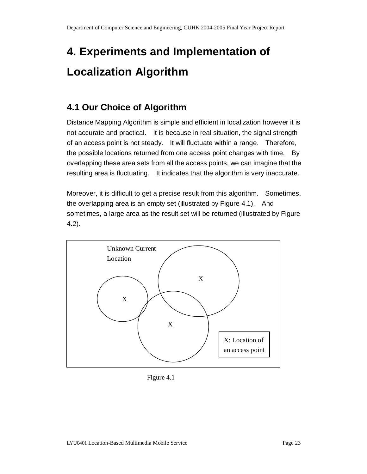# **4. Experiments and Implementation of Localization Algorithm**

### **4.1 Our Choice of Algorithm**

Distance Mapping Algorithm is simple and efficient in localization however it is not accurate and practical. It is because in real situation, the signal strength of an access point is not steady. It will fluctuate within a range. Therefore, the possible locations returned from one access point changes with time. By overlapping these area sets from all the access points, we can imagine that the resulting area is fluctuating. It indicates that the algorithm is very inaccurate.

Moreover, it is difficult to get a precise result from this algorithm. Sometimes, the overlapping area is an empty set (illustrated by Figure 4.1). And sometimes, a large area as the result set will be returned (illustrated by Figure 4.2).



Figure 4.1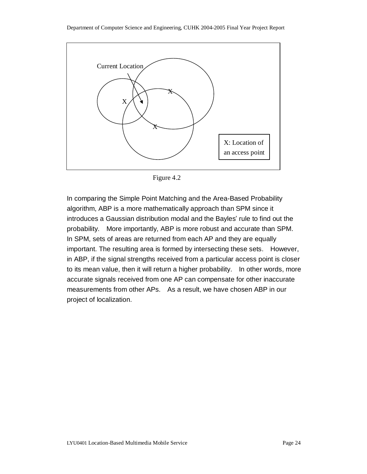

Figure 4.2

In comparing the Simple Point Matching and the Area-Based Probability algorithm, ABP is a more mathematically approach than SPM since it introduces a Gaussian distribution modal and the Bayles' rule to find out the probability. More importantly, ABP is more robust and accurate than SPM. In SPM, sets of areas are returned from each AP and they are equally important. The resulting area is formed by intersecting these sets. However, in ABP, if the signal strengths received from a particular access point is closer to its mean value, then it will return a higher probability. In other words, more accurate signals received from one AP can compensate for other inaccurate measurements from other APs. As a result, we have chosen ABP in our project of localization.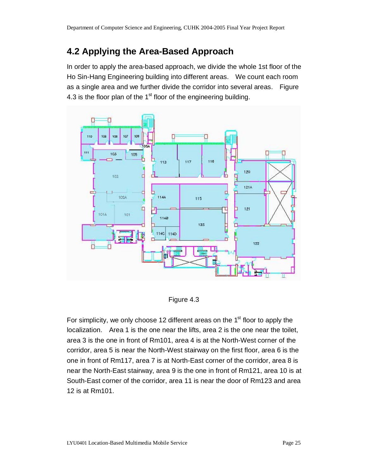### **4.2 Applying the Area-Based Approach**

In order to apply the area-based approach, we divide the whole 1st floor of the Ho Sin-Hang Engineering building into different areas. We count each room as a single area and we further divide the corridor into several areas. Figure 4.3 is the floor plan of the  $1<sup>st</sup>$  floor of the engineering building.



Figure 4.3

For simplicity, we only choose 12 different areas on the  $1<sup>st</sup>$  floor to apply the localization. Area 1 is the one near the lifts, area 2 is the one near the toilet, area 3 is the one in front of Rm101, area 4 is at the North-West corner of the corridor, area 5 is near the North-West stairway on the first floor, area 6 is the one in front of Rm117, area 7 is at North-East corner of the corridor, area 8 is near the North-East stairway, area 9 is the one in front of Rm121, area 10 is at South-East corner of the corridor, area 11 is near the door of Rm123 and area 12 is at Rm101.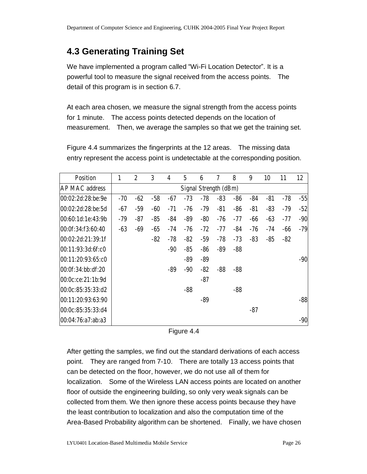### **4.3 Generating Training Set**

We have implemented a program called "Wi-Fi Location Detector". It is a powerful tool to measure the signal received from the access points. The detail of this program is in section 6.7.

At each area chosen, we measure the signal strength from the access points for 1 minute. The access points detected depends on the location of measurement. Then, we average the samples so that we get the training set.

Figure 4.4 summarizes the fingerprints at the 12 areas. The missing data entry represent the access point is undetectable at the corresponding position.

| <b>Position</b>       | 1     | $\overline{2}$ | 3     | 4     | $\overline{5}$ | 6     | 7                     | 8     | 9     | 10    | 11    | 12    |
|-----------------------|-------|----------------|-------|-------|----------------|-------|-----------------------|-------|-------|-------|-------|-------|
| <b>AP MAC address</b> |       |                |       |       |                |       | Signal Strength (dBm) |       |       |       |       |       |
| 00:02:2d:28:be:9e     | $-70$ | $-62$          | $-58$ | $-67$ | $-73$          | $-78$ | $-83$                 | $-86$ | $-84$ | $-81$ | $-78$ | $-55$ |
| 00:02:2d:28:be:5d     | $-67$ | $-59$          | -60   | $-71$ | $-76$          | $-79$ | $-81$                 | $-86$ | $-81$ | $-83$ | $-79$ | $-52$ |
| 00:60:1d:1e:43:9b     | $-79$ | $-87$          | $-85$ | $-84$ | -89            | $-80$ | $-76$                 | $-77$ | $-66$ | $-63$ | $-77$ | $-90$ |
| 00:0f:34:f3:60:40     | $-63$ | $-69$          | $-65$ | $-74$ | -76            | $-72$ | $-77$                 | $-84$ | $-76$ | $-74$ | $-66$ | $-79$ |
| 00:02:2d:21:39:1f     |       |                | $-82$ | $-78$ | $-82$          | $-59$ | $-78$                 | $-73$ | $-83$ | $-85$ | $-82$ |       |
| 00:11:93:3d:6f:cb     |       |                |       | $-90$ | $-85$          | $-86$ | -89                   | $-88$ |       |       |       |       |
| 00:11:20:93:65:c0     |       |                |       |       | -89            | $-89$ |                       |       |       |       |       | $-90$ |
| 00:0f:34:bb:df:20     |       |                |       | $-89$ | $-90$          | $-82$ | $-88$                 | $-88$ |       |       |       |       |
| 00:0c:ce:21:1b:9d     |       |                |       |       |                | $-87$ |                       |       |       |       |       |       |
| 00:0c:85:35:33:d2     |       |                |       |       | $-88$          |       |                       | $-88$ |       |       |       |       |
| 00:11:20:93:63:90     |       |                |       |       |                | $-89$ |                       |       |       |       |       | $-88$ |
| 00:0c:85:35:33:d4     |       |                |       |       |                |       |                       |       | $-87$ |       |       |       |
| 00:04:76:a7:ab:a3     |       |                |       |       |                |       |                       |       |       |       |       | $-90$ |

Figure 4.4

After getting the samples, we find out the standard derivations of each access point. They are ranged from 7-10. There are totally 13 access points that can be detected on the floor, however, we do not use all of them for localization. Some of the Wireless LAN access points are located on another floor of outside the engineering building, so only very weak signals can be collected from them. We then ignore these access points because they have the least contribution to localization and also the computation time of the Area-Based Probability algorithm can be shortened. Finally, we have chosen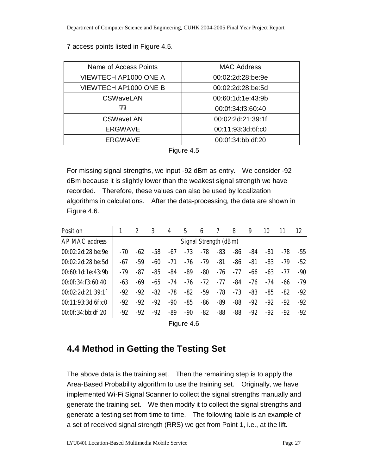#### 7 access points listed in Figure 4.5.

| Name of Access Points        | <b>MAC Address</b> |
|------------------------------|--------------------|
| VIEWTECH AP1000 ONE A        | 00:02:2d:28:be:9e  |
| <b>VIEWTECH AP1000 ONE B</b> | 00:02:2d:28:be:5d  |
| <b>CSWaveLAN</b>             | 00:60:1d:1e:43:9b  |
| <b>MM</b>                    | 00:0f:34:f3:60:40  |
| <b>CSWaveLAN</b>             | 00:02:2d:21:39:1f  |
| <b>ERGWAVE</b>               | 00:11:93:3d:6f:c0  |
| <b>ERGWAVE</b>               | 00:0f:34:bb:df:20  |

|  | <b>Figure</b> |  |
|--|---------------|--|
|--|---------------|--|

For missing signal strengths, we input -92 dBm as entry. We consider -92 dBm because it is slightly lower than the weakest signal strength we have recorded. Therefore, these values can also be used by localization algorithms in calculations. After the data-processing, the data are shown in Figure 4.6.

| <b>Position</b>       |       | 2                     | 3   | 4     | 5     | 6     |     | 8     | 9     | 10    | 11    | 12    |
|-----------------------|-------|-----------------------|-----|-------|-------|-------|-----|-------|-------|-------|-------|-------|
| <b>AP MAC address</b> |       | Signal Strength (dBm) |     |       |       |       |     |       |       |       |       |       |
| 00:02:2d:28:be:9e     | $-70$ | -62                   | -58 | -67   | $-73$ | -78   | -83 | -86   | -84   | -81   | -78   | $-55$ |
| 00:02:2d:28:be:5d     | -67   | -59                   | -60 | $-71$ | -76   | -79   | -81 | -86   | $-81$ | -83   | -79   | $-52$ |
| 00:60:1d:1e:43:9b     | -79   | -87                   | -85 | -84   | -89   | -80   | -76 | -77   | -66   | -63   | -77   | $-90$ |
| 00:0f:34:f3:60:40     | -63   | -69                   | -65 | -74   | -76   | $-72$ | -77 | -84   | -76   | -74   | -66   | $-79$ |
| 00:02:2d:21:39:1f     | -92   | $-92$                 | -82 | -78   | -82   | -59   | -78 | $-73$ | -83   | -85   | -82   | $-92$ |
| 00:11:93:3d:6f:cb     | -92   | $-92$                 | -92 | -90   | -85   | $-86$ | -89 | $-88$ | -92   | $-92$ | $-92$ | $-92$ |
| 00:0f:34:bb:df:20     | -92   | $-92$                 | -92 | -89   | -90   | -82   | -88 | -88   | -92   | -92   | $-92$ | $-92$ |

Figure 4.6

### **4.4 Method in Getting the Testing Set**

The above data is the training set. Then the remaining step is to apply the Area-Based Probability algorithm to use the training set. Originally, we have implemented Wi-Fi Signal Scanner to collect the signal strengths manually and generate the training set. We then modify it to collect the signal strengths and generate a testing set from time to time. The following table is an example of a set of received signal strength (RRS) we get from Point 1, i.e., at the lift.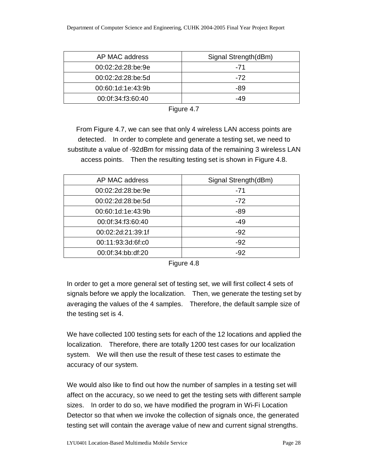| AP MAC address    | Signal Strength(dBm) |
|-------------------|----------------------|
| 00:02:2d:28:be:9e | $-71$                |
| 00:02:2d:28:be:5d | $-72$                |
| 00:60:1d:1e:43:9b | -89                  |
| 00:0f:34:f3:60:40 | -49                  |

| iaure |  |
|-------|--|
|-------|--|

From Figure 4.7, we can see that only 4 wireless LAN access points are detected. In order to complete and generate a testing set, we need to substitute a value of -92dBm for missing data of the remaining 3 wireless LAN access points. Then the resulting testing set is shown in Figure 4.8.

| AP MAC address    | Signal Strength(dBm) |
|-------------------|----------------------|
| 00:02:2d:28:be:9e | -71                  |
| 00:02:2d:28:be:5d | $-72$                |
| 00:60:1d:1e:43:9b | -89                  |
| 00:0f:34:f3:60:40 | $-49$                |
| 00:02:2d:21:39:1f | $-92$                |
| 00:11:93:3d:6f:c0 | $-92$                |
| 00:0f:34:bb:df:20 | -92                  |

Figure 4.8

In order to get a more general set of testing set, we will first collect 4 sets of signals before we apply the localization. Then, we generate the testing set by averaging the values of the 4 samples. Therefore, the default sample size of the testing set is 4.

We have collected 100 testing sets for each of the 12 locations and applied the localization. Therefore, there are totally 1200 test cases for our localization system. We will then use the result of these test cases to estimate the accuracy of our system.

We would also like to find out how the number of samples in a testing set will affect on the accuracy, so we need to get the testing sets with different sample sizes. In order to do so, we have modified the program in Wi-Fi Location Detector so that when we invoke the collection of signals once, the generated testing set will contain the average value of new and current signal strengths.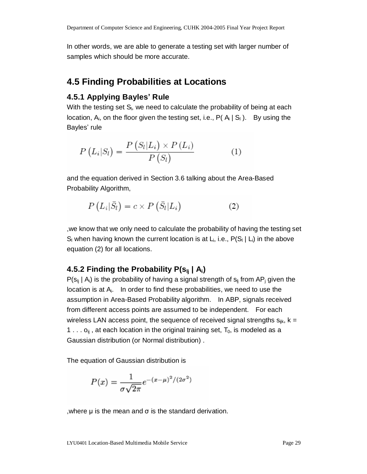In other words, we are able to generate a testing set with larger number of samples which should be more accurate.

### **4.5 Finding Probabilities at Locations**

### **4.5.1 Applying Bayles' Rule**

With the testing set  $S<sub>l</sub>$ , we need to calculate the probability of being at each location,  $A_i$ , on the floor given the testing set, i.e.,  $P(A_i | S_i)$ . By using the Bayles' rule

$$
P\left(L_i|S_l\right) = \frac{P\left(S_l|L_i\right) \times P\left(L_i\right)}{P\left(S_l\right)}\tag{1}
$$

and the equation derived in Section 3.6 talking about the Area-Based Probability Algorithm,

$$
P\left(L_i|\bar{S}_l\right) = c \times P\left(\bar{S}_l|L_i\right) \tag{2}
$$

,we know that we only need to calculate the probability of having the testing set  $S_i$  when having known the current location is at  $L_i$ , i.e.,  $P(S_i | L_i)$  in the above equation (2) for all locations.

### **4.5.2 Finding the Probability P(slj | Ai)**

 $P(s_{ij} | A_i)$  is the probability of having a signal strength of  $s_{ij}$  from AP<sub>i</sub> given the location is at  $A_i$ . In order to find these probabilities, we need to use the assumption in Area-Based Probability algorithm. In ABP, signals received from different access points are assumed to be independent. For each wireless LAN access point, the sequence of received signal strengths  $s_{ijk}$ ,  $k =$ 1 . . .  $o_{ii}$ , at each location in the original training set,  $T_0$ , is modeled as a Gaussian distribution (or Normal distribution) .

The equation of Gaussian distribution is

$$
P(x) = \frac{1}{\sigma\sqrt{2\pi}}e^{-(x-\mu)^2/(2\sigma^2)}
$$

, where  $\mu$  is the mean and  $\sigma$  is the standard derivation.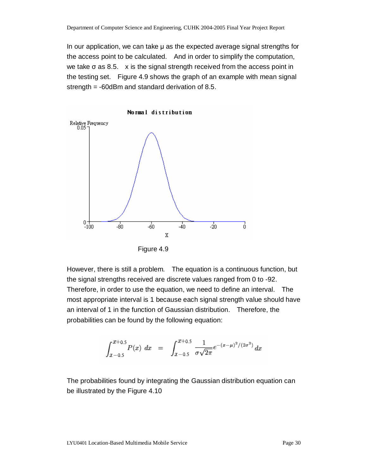In our application, we can take μ as the expected average signal strengths for the access point to be calculated. And in order to simplify the computation, we take  $\sigma$  as 8.5. x is the signal strength received from the access point in the testing set. Figure 4.9 shows the graph of an example with mean signal strength = -60dBm and standard derivation of 8.5.



Figure 4.9

However, there is still a problem. The equation is a continuous function, but the signal strengths received are discrete values ranged from 0 to -92. Therefore, in order to use the equation, we need to define an interval. The most appropriate interval is 1 because each signal strength value should have an interval of 1 in the function of Gaussian distribution. Therefore, the probabilities can be found by the following equation:

$$
\int_{x-0.5}^{x+0.5} P(x) \ dx = \int_{x-0.5}^{x+0.5} \frac{1}{\sigma \sqrt{2\pi}} e^{-(x-\mu)^2/(2\sigma^2)} \ dx
$$

The probabilities found by integrating the Gaussian distribution equation can be illustrated by the Figure 4.10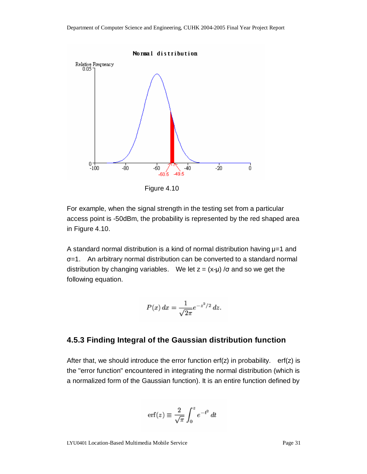

Figure 4.10

For example, when the signal strength in the testing set from a particular access point is -50dBm, the probability is represented by the red shaped area in Figure 4.10.

A standard normal distribution is a kind of normal distribution having μ=1 and σ=1. An arbitrary normal distribution can be converted to a standard normal distribution by changing variables. We let  $z = (x-\mu) / \sigma$  and so we get the following equation.

$$
P(x) dx = \frac{1}{\sqrt{2\pi}} e^{-z^2/2} dz.
$$

#### **4.5.3 Finding Integral of the Gaussian distribution function**

After that, we should introduce the error function  $erf(z)$  in probability.  $erf(z)$  is the "error function" encountered in integrating the normal distribution (which is a normalized form of the Gaussian function). It is an entire function defined by

$$
\operatorname{erf}(z) \equiv \frac{2}{\sqrt{\pi}} \int_0^z e^{-t^2} dt
$$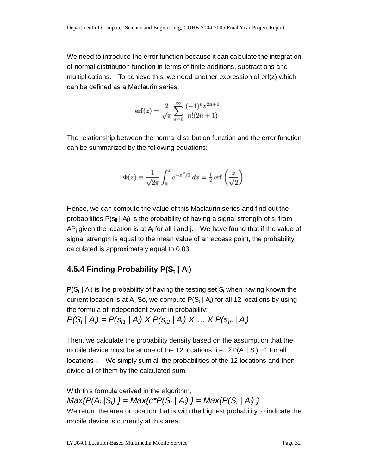We need to introduce the error function because it can calculate the integration of normal distribution function in terms of finite additions, subtractions and multiplications. To achieve this, we need another expression of erf(z) which can be defined as a Maclaurin series.

$$
\text{erf}(z) = \frac{2}{\sqrt{\pi}} \sum_{n=0}^{\infty} \frac{(-1)^n z^{2n+1}}{n!(2n+1)}
$$

The relationship between the normal distribution function and the error function can be summarized by the following equations:

$$
\Phi(z) \equiv \frac{1}{\sqrt{2\pi}} \int_0^z e^{-x^2/2} dx = \frac{1}{2} \operatorname{erf} \left( \frac{z}{\sqrt{2}} \right)
$$

Hence, we can compute the value of this Maclaurin series and find out the probabilities  $P(s_{ii} | A_i)$  is the probability of having a signal strength of  $s_{ii}$  from AP<sub>i</sub> given the location is at A<sub>i</sub> for all i and j. We have found that if the value of signal strength is equal to the mean value of an access point, the probability calculated is approximately equal to 0.03.

#### **4.5.4 Finding Probability P(S<sup>t</sup> | Ai)**

 $P(S_t | A_i)$  is the probability of having the testing set  $S_t$  when having known the current location is at  $A_i$ . So, we compute  $P(S_t | A_i)$  for all 12 locations by using the formula of independent event in probability:

 $P(S_t | A_i) = P(s_{t1} | A_i) \times P(s_{t2} | A_i) \times ... \times P(s_{tn} | A_i)$ 

Then, we calculate the probability density based on the assumption that the mobile device must be at one of the 12 locations, i.e.,  $\Sigma P(A_i | S_t) = 1$  for all locations i. We simply sum all the probabilities of the 12 locations and then divide all of them by the calculated sum.

With this formula derived in the algorithm, *Max{P(A<sup>i</sup> |St) } = Max{c\*P(St | Ai) } = Max{P(St | Ai) }*  We return the area or location that is with the highest probability to indicate the mobile device is currently at this area.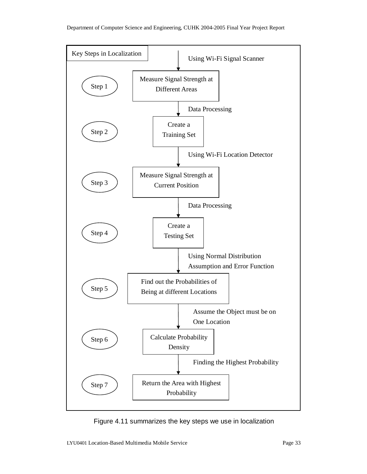

Figure 4.11 summarizes the key steps we use in localization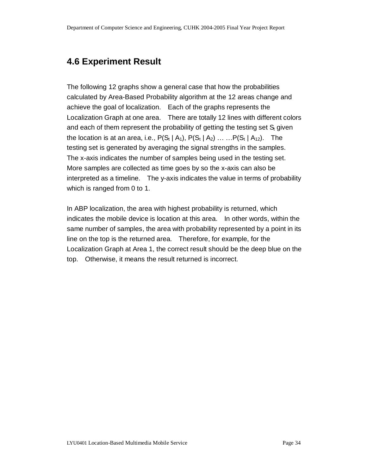### **4.6 Experiment Result**

The following 12 graphs show a general case that how the probabilities calculated by Area-Based Probability algorithm at the 12 areas change and achieve the goal of localization. Each of the graphs represents the Localization Graph at one area. There are totally 12 lines with different colors and each of them represent the probability of getting the testing set  $S_t$  given the location is at an area, i.e.,  $P(S_t | A_1)$ ,  $P(S_t | A_2)$  ... ...  $P(S_t | A_1)$ . The testing set is generated by averaging the signal strengths in the samples. The x-axis indicates the number of samples being used in the testing set. More samples are collected as time goes by so the x-axis can also be interpreted as a timeline. The y-axis indicates the value in terms of probability which is ranged from 0 to 1.

In ABP localization, the area with highest probability is returned, which indicates the mobile device is location at this area. In other words, within the same number of samples, the area with probability represented by a point in its line on the top is the returned area. Therefore, for example, for the Localization Graph at Area 1, the correct result should be the deep blue on the top. Otherwise, it means the result returned is incorrect.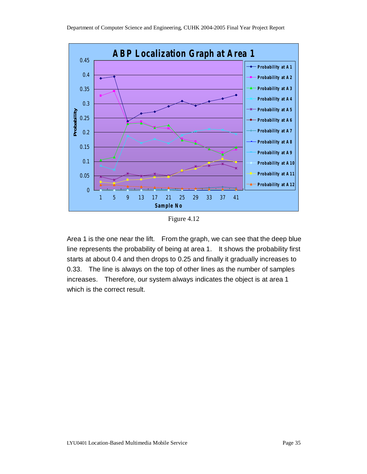

Figure 4.12

1 5 9 13 17 21 25 29 33 37 41 Sample No

Area 1 is the one near the lift. From the graph, we can see that the deep blue line represents the probability of being at area 1. It shows the probability first starts at about 0.4 and then drops to 0.25 and finally it gradually increases to 0.33. The line is always on the top of other lines as the number of samples increases. Therefore, our system always indicates the object is at area 1 which is the correct result.

 $\mathbf{0}$ 

0.05

0.1

0.15

0.2

Probability at A7 Probability at A8 Probability at A9 Probability at A10 Probability at A11 Probability at A12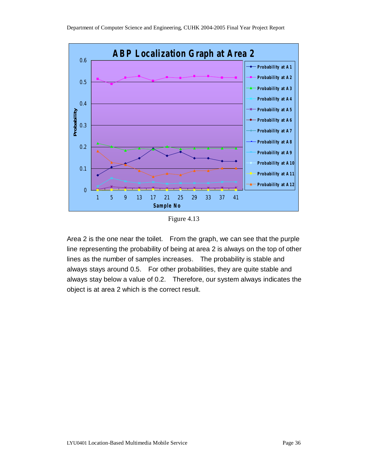

Figure 4.13

Area 2 is the one near the toilet. From the graph, we can see that the purple line representing the probability of being at area 2 is always on the top of other lines as the number of samples increases. The probability is stable and always stays around 0.5. For other probabilities, they are quite stable and always stay below a value of 0.2. Therefore, our system always indicates the object is at area 2 which is the correct result.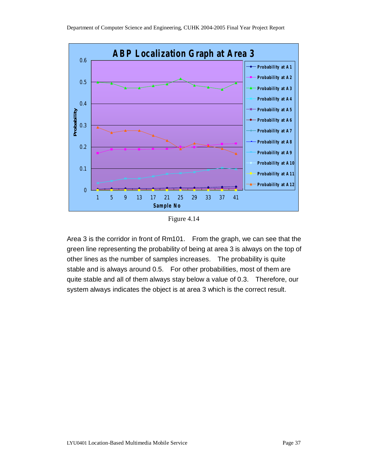

Figure 4.14

Area 3 is the corridor in front of Rm101. From the graph, we can see that the green line representing the probability of being at area 3 is always on the top of other lines as the number of samples increases. The probability is quite stable and is always around 0.5. For other probabilities, most of them are quite stable and all of them always stay below a value of 0.3. Therefore, our system always indicates the object is at area 3 which is the correct result.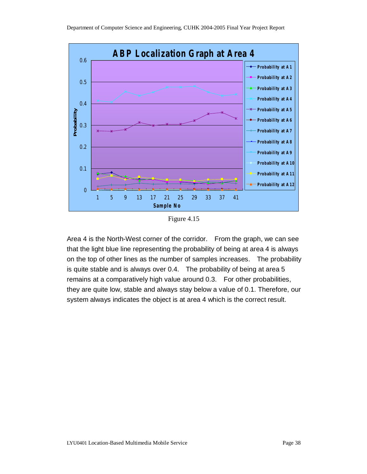

Figure 4.15

1 5 9 13 17 21 25 29 33 37 41 Sample No

Area 4 is the North-West corner of the corridor. From the graph, we can see that the light blue line representing the probability of being at area 4 is always on the top of other lines as the number of samples increases. The probability is quite stable and is always over 0.4. The probability of being at area 5 remains at a comparatively high value around 0.3. For other probabilities, they are quite low, stable and always stay below a value of 0.1. Therefore, our system always indicates the object is at area 4 which is the correct result.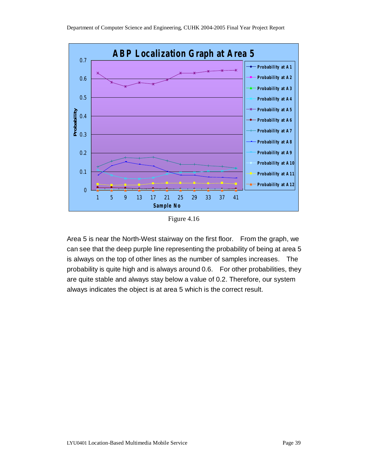Department of Computer Science and Engineering, CUHK 2004-2005 Final Year Project Report



Figure 4.16

Area 5 is near the North-West stairway on the first floor. From the graph, we can see that the deep purple line representing the probability of being at area 5 is always on the top of other lines as the number of samples increases. The probability is quite high and is always around 0.6. For other probabilities, they are quite stable and always stay below a value of 0.2. Therefore, our system always indicates the object is at area 5 which is the correct result.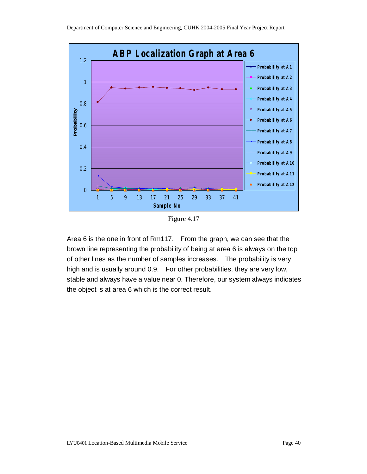

Figure 4.17

1 5 9 13 17 21 25 29 33 37 41 Sample No

Area 6 is the one in front of Rm117. From the graph, we can see that the brown line representing the probability of being at area 6 is always on the top of other lines as the number of samples increases. The probability is very high and is usually around 0.9. For other probabilities, they are very low, stable and always have a value near 0. Therefore, our system always indicates the object is at area 6 which is the correct result.

0

- Probability at A12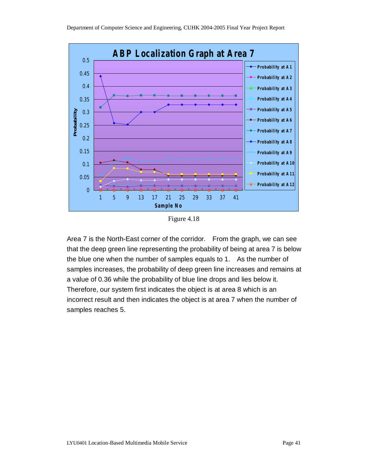

Figure 4.18

Area 7 is the North-East corner of the corridor. From the graph, we can see that the deep green line representing the probability of being at area 7 is below the blue one when the number of samples equals to 1. As the number of samples increases, the probability of deep green line increases and remains at a value of 0.36 while the probability of blue line drops and lies below it. Therefore, our system first indicates the object is at area 8 which is an incorrect result and then indicates the object is at area 7 when the number of samples reaches 5.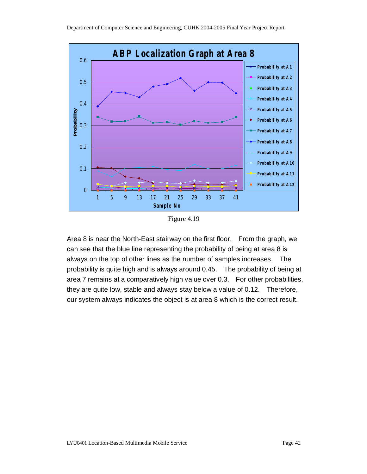

Figure 4.19

Area 8 is near the North-East stairway on the first floor. From the graph, we can see that the blue line representing the probability of being at area 8 is always on the top of other lines as the number of samples increases. The probability is quite high and is always around 0.45. The probability of being at area 7 remains at a comparatively high value over 0.3. For other probabilities, they are quite low, stable and always stay below a value of 0.12. Therefore, our system always indicates the object is at area 8 which is the correct result.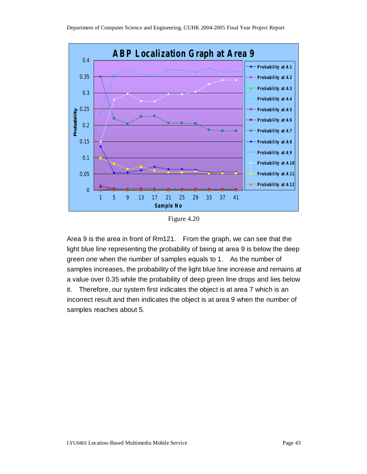

Figure 4.20

Area 9 is the area in front of Rm121. From the graph, we can see that the light blue line representing the probability of being at area 9 is below the deep green one when the number of samples equals to 1. As the number of samples increases, the probability of the light blue line increase and remains at a value over 0.35 while the probability of deep green line drops and lies below it. Therefore, our system first indicates the object is at area 7 which is an incorrect result and then indicates the object is at area 9 when the number of samples reaches about 5.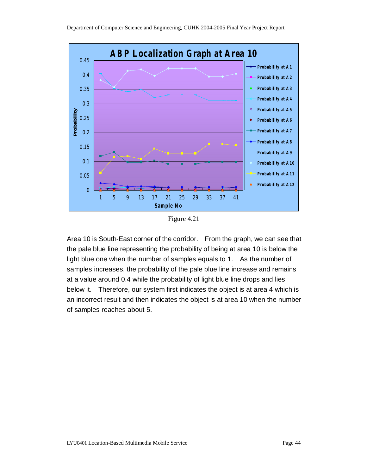

Figure 4.21

Area 10 is South-East corner of the corridor. From the graph, we can see that the pale blue line representing the probability of being at area 10 is below the light blue one when the number of samples equals to 1. As the number of samples increases, the probability of the pale blue line increase and remains at a value around 0.4 while the probability of light blue line drops and lies below it. Therefore, our system first indicates the object is at area 4 which is an incorrect result and then indicates the object is at area 10 when the number of samples reaches about 5.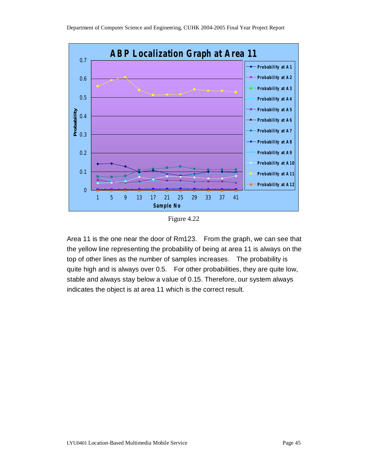

Figure 4.22

Area 11 is the one near the door of Rm123. From the graph, we can see that the yellow line representing the probability of being at area 11 is always on the top of other lines as the number of samples increases. The probability is quite high and is always over 0.5. For other probabilities, they are quite low, stable and always stay below a value of 0.15. Therefore, our system always indicates the object is at area 11 which is the correct result.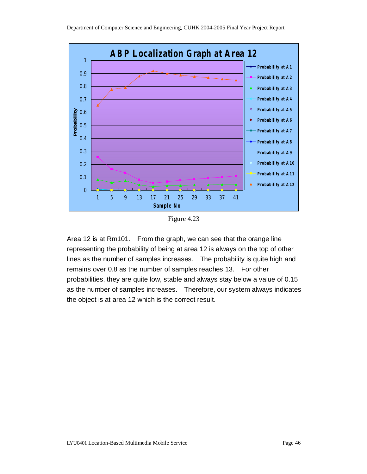

Figure 4.23

Area 12 is at Rm101. From the graph, we can see that the orange line representing the probability of being at area 12 is always on the top of other lines as the number of samples increases. The probability is quite high and remains over 0.8 as the number of samples reaches 13. For other probabilities, they are quite low, stable and always stay below a value of 0.15 as the number of samples increases. Therefore, our system always indicates the object is at area 12 which is the correct result.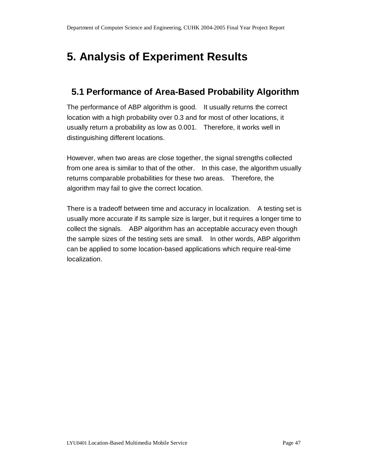# **5. Analysis of Experiment Results**

## **5.1 Performance of Area-Based Probability Algorithm**

The performance of ABP algorithm is good. It usually returns the correct location with a high probability over 0.3 and for most of other locations, it usually return a probability as low as 0.001. Therefore, it works well in distinguishing different locations.

However, when two areas are close together, the signal strengths collected from one area is similar to that of the other. In this case, the algorithm usually returns comparable probabilities for these two areas. Therefore, the algorithm may fail to give the correct location.

There is a tradeoff between time and accuracy in localization. A testing set is usually more accurate if its sample size is larger, but it requires a longer time to collect the signals. ABP algorithm has an acceptable accuracy even though the sample sizes of the testing sets are small. In other words, ABP algorithm can be applied to some location-based applications which require real-time localization.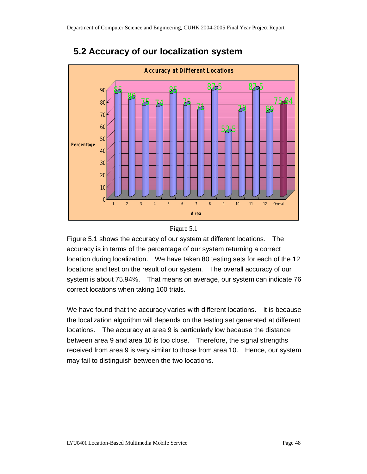

# **5.2 Accuracy of our localization system**



Figure 5.1 shows the accuracy of our system at different locations. The accuracy is in terms of the percentage of our system returning a correct location during localization. We have taken 80 testing sets for each of the 12 locations and test on the result of our system. The overall accuracy of our system is about 75.94%. That means on average, our system can indicate 76 correct locations when taking 100 trials.

We have found that the accuracy varies with different locations. It is because the localization algorithm will depends on the testing set generated at different locations. The accuracy at area 9 is particularly low because the distance between area 9 and area 10 is too close. Therefore, the signal strengths received from area 9 is very similar to those from area 10. Hence, our system may fail to distinguish between the two locations.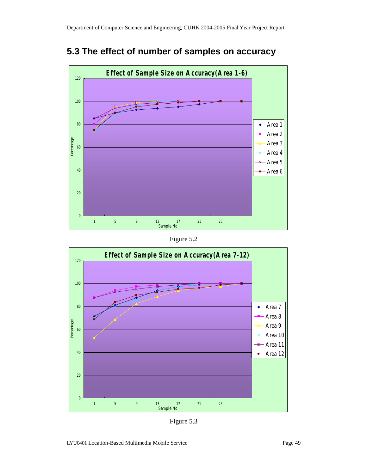



Figure 5.2



Figure 5.3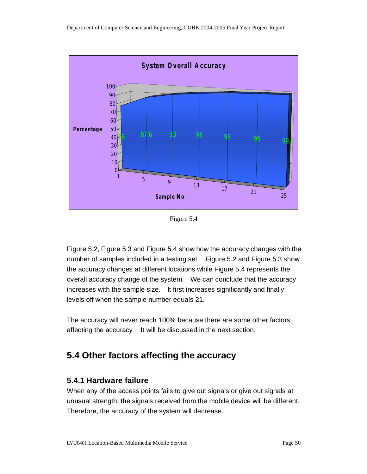

Figure 5.4

Figure 5.2, Figure 5.3 and Figure 5.4 show how the accuracy changes with the number of samples included in a testing set. Figure 5.2 and Figure 5.3 show the accuracy changes at different locations while Figure 5.4 represents the overall accuracy change of the system. We can conclude that the accuracy increases with the sample size. It first increases significantly and finally levels off when the sample number equals 21.

The accuracy will never reach 100% because there are some other factors affecting the accuracy. It will be discussed in the next section.

# **5.4 Other factors affecting the accuracy**

### **5.4.1 Hardware failure**

When any of the access points fails to give out signals or give out signals at unusual strength, the signals received from the mobile device will be different. Therefore, the accuracy of the system will decrease.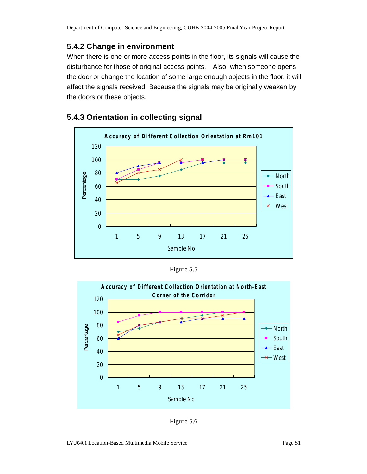### **5.4.2 Change in environment**

When there is one or more access points in the floor, its signals will cause the disturbance for those of original access points. Also, when someone opens the door or change the location of some large enough objects in the floor, it will affect the signals received. Because the signals may be originally weaken by the doors or these objects.



### **5.4.3 Orientation in collecting signal**

Figure 5.5



Figure 5.6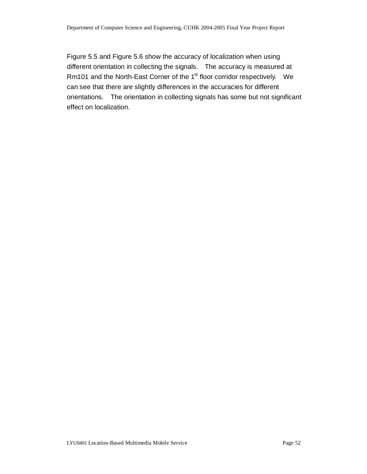Figure 5.5 and Figure 5.6 show the accuracy of localization when using different orientation in collecting the signals. The accuracy is measured at Rm101 and the North-East Corner of the 1<sup>st</sup> floor corridor respectively. We can see that there are slightly differences in the accuracies for different orientations. The orientation in collecting signals has some but not significant effect on localization.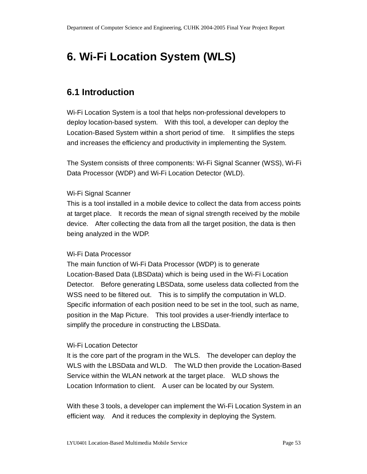# **6. Wi-Fi Location System (WLS)**

# **6.1 Introduction**

Wi-Fi Location System is a tool that helps non-professional developers to deploy location-based system. With this tool, a developer can deploy the Location-Based System within a short period of time. It simplifies the steps and increases the efficiency and productivity in implementing the System.

The System consists of three components: Wi-Fi Signal Scanner (WSS), Wi-Fi Data Processor (WDP) and Wi-Fi Location Detector (WLD).

### Wi-Fi Signal Scanner

This is a tool installed in a mobile device to collect the data from access points at target place. It records the mean of signal strength received by the mobile device. After collecting the data from all the target position, the data is then being analyzed in the WDP.

### Wi-Fi Data Processor

The main function of Wi-Fi Data Processor (WDP) is to generate Location-Based Data (LBSData) which is being used in the Wi-Fi Location Detector. Before generating LBSData, some useless data collected from the WSS need to be filtered out. This is to simplify the computation in WLD. Specific information of each position need to be set in the tool, such as name, position in the Map Picture. This tool provides a user-friendly interface to simplify the procedure in constructing the LBSData.

### Wi-Fi Location Detector

It is the core part of the program in the WLS. The developer can deploy the WLS with the LBSData and WLD. The WLD then provide the Location-Based Service within the WLAN network at the target place. WLD shows the Location Information to client. A user can be located by our System.

With these 3 tools, a developer can implement the Wi-Fi Location System in an efficient way. And it reduces the complexity in deploying the System.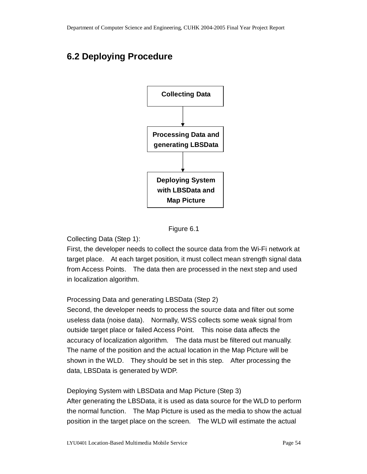# **6.2 Deploying Procedure**





Collecting Data (Step 1):

First, the developer needs to collect the source data from the Wi-Fi network at target place. At each target position, it must collect mean strength signal data from Access Points. The data then are processed in the next step and used in localization algorithm.

Processing Data and generating LBSData (Step 2)

Second, the developer needs to process the source data and filter out some useless data (noise data). Normally, WSS collects some weak signal from outside target place or failed Access Point. This noise data affects the accuracy of localization algorithm. The data must be filtered out manually. The name of the position and the actual location in the Map Picture will be shown in the WLD. They should be set in this step. After processing the data, LBSData is generated by WDP.

Deploying System with LBSData and Map Picture (Step 3)

After generating the LBSData, it is used as data source for the WLD to perform the normal function. The Map Picture is used as the media to show the actual position in the target place on the screen. The WLD will estimate the actual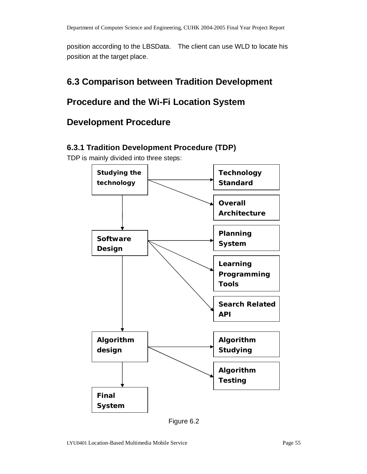position according to the LBSData. The client can use WLD to locate his position at the target place.

# **6.3 Comparison between Tradition Development**

# **Procedure and the Wi-Fi Location System**

# **Development Procedure**

### **6.3.1 Tradition Development Procedure (TDP)**

TDP is mainly divided into three steps:



Figure 6.2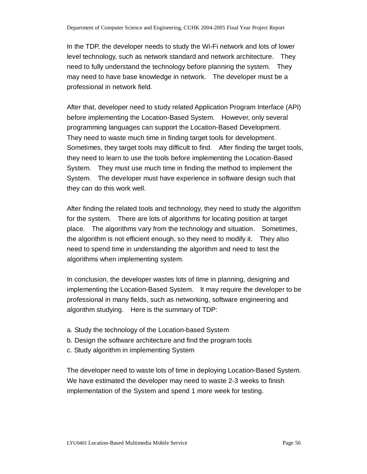In the TDP, the developer needs to study the Wi-Fi network and lots of lower level technology, such as network standard and network architecture. They need to fully understand the technology before planning the system. They may need to have base knowledge in network. The developer must be a professional in network field.

After that, developer need to study related Application Program Interface (API) before implementing the Location-Based System. However, only several programming languages can support the Location-Based Development. They need to waste much time in finding target tools for development. Sometimes, they target tools may difficult to find. After finding the target tools, they need to learn to use the tools before implementing the Location-Based System. They must use much time in finding the method to implement the System. The developer must have experience in software design such that they can do this work well.

After finding the related tools and technology, they need to study the algorithm for the system. There are lots of algorithms for locating position at target place. The algorithms vary from the technology and situation. Sometimes, the algorithm is not efficient enough, so they need to modify it. They also need to spend time in understanding the algorithm and need to test the algorithms when implementing system.

In conclusion, the developer wastes lots of time in planning, designing and implementing the Location-Based System. It may require the developer to be professional in many fields, such as networking, software engineering and algorithm studying. Here is the summary of TDP:

- a. Study the technology of the Location-based System
- b. Design the software architecture and find the program tools
- c. Study algorithm in implementing System

The developer need to waste lots of time in deploying Location-Based System. We have estimated the developer may need to waste 2-3 weeks to finish implementation of the System and spend 1 more week for testing.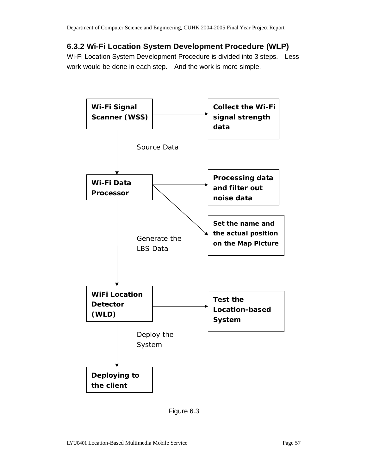### **6.3.2 Wi-Fi Location System Development Procedure (WLP)**

Wi-Fi Location System Development Procedure is divided into 3 steps. Less work would be done in each step. And the work is more simple.



Figure 6.3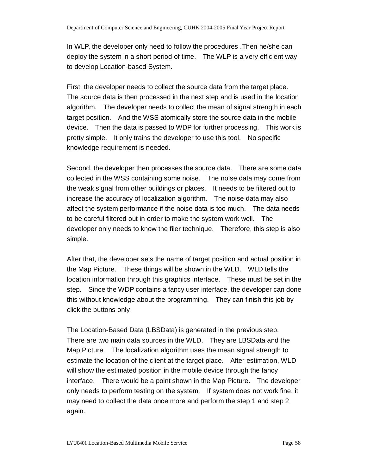In WLP, the developer only need to follow the procedures .Then he/she can deploy the system in a short period of time. The WLP is a very efficient way to develop Location-based System.

First, the developer needs to collect the source data from the target place. The source data is then processed in the next step and is used in the location algorithm. The developer needs to collect the mean of signal strength in each target position. And the WSS atomically store the source data in the mobile device. Then the data is passed to WDP for further processing. This work is pretty simple. It only trains the developer to use this tool. No specific knowledge requirement is needed.

Second, the developer then processes the source data. There are some data collected in the WSS containing some noise. The noise data may come from the weak signal from other buildings or places. It needs to be filtered out to increase the accuracy of localization algorithm. The noise data may also affect the system performance if the noise data is too much. The data needs to be careful filtered out in order to make the system work well. The developer only needs to know the filer technique. Therefore, this step is also simple.

After that, the developer sets the name of target position and actual position in the Map Picture. These things will be shown in the WLD. WLD tells the location information through this graphics interface. These must be set in the step. Since the WDP contains a fancy user interface, the developer can done this without knowledge about the programming. They can finish this job by click the buttons only.

The Location-Based Data (LBSData) is generated in the previous step. There are two main data sources in the WLD. They are LBSData and the Map Picture. The localization algorithm uses the mean signal strength to estimate the location of the client at the target place. After estimation, WLD will show the estimated position in the mobile device through the fancy interface. There would be a point shown in the Map Picture. The developer only needs to perform testing on the system. If system does not work fine, it may need to collect the data once more and perform the step 1 and step 2 again.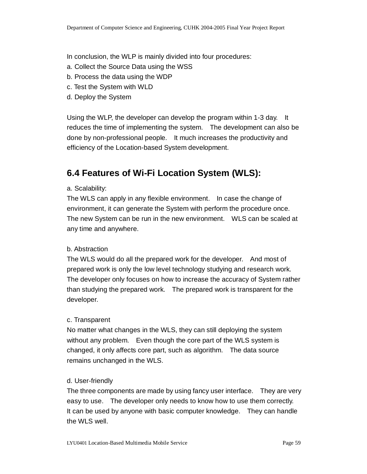In conclusion, the WLP is mainly divided into four procedures:

- a. Collect the Source Data using the WSS
- b. Process the data using the WDP
- c. Test the System with WLD
- d. Deploy the System

Using the WLP, the developer can develop the program within 1-3 day. It reduces the time of implementing the system. The development can also be done by non-professional people. It much increases the productivity and efficiency of the Location-based System development.

# **6.4 Features of Wi-Fi Location System (WLS):**

#### a. Scalability:

The WLS can apply in any flexible environment. In case the change of environment, it can generate the System with perform the procedure once. The new System can be run in the new environment. WLS can be scaled at any time and anywhere.

### b. Abstraction

The WLS would do all the prepared work for the developer. And most of prepared work is only the low level technology studying and research work. The developer only focuses on how to increase the accuracy of System rather than studying the prepared work. The prepared work is transparent for the developer.

### c. Transparent

No matter what changes in the WLS, they can still deploying the system without any problem. Even though the core part of the WLS system is changed, it only affects core part, such as algorithm. The data source remains unchanged in the WLS.

### d. User-friendly

The three components are made by using fancy user interface. They are very easy to use. The developer only needs to know how to use them correctly. It can be used by anyone with basic computer knowledge. They can handle the WLS well.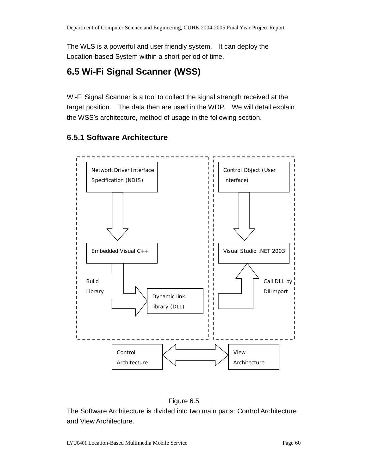The WLS is a powerful and user friendly system. It can deploy the Location-based System within a short period of time.

# **6.5 Wi-Fi Signal Scanner (WSS)**

Wi-Fi Signal Scanner is a tool to collect the signal strength received at the target position. The data then are used in the WDP. We will detail explain the WSS's architecture, method of usage in the following section.

### **6.5.1 Software Architecture**



### Figure 6.5

The Software Architecture is divided into two main parts: Control Architecture and View Architecture.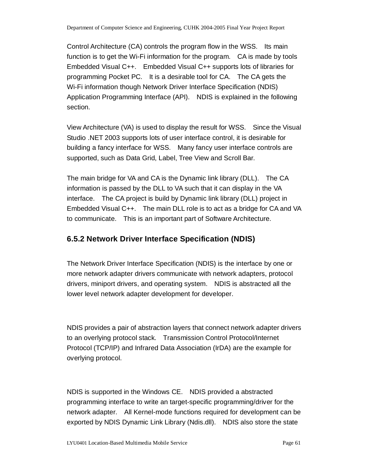Control Architecture (CA) controls the program flow in the WSS. Its main function is to get the Wi-Fi information for the program. CA is made by tools Embedded Visual C++. Embedded Visual C++ supports lots of libraries for programming Pocket PC. It is a desirable tool for CA. The CA gets the Wi-Fi information though Network Driver Interface Specification (NDIS) Application Programming Interface (API). NDIS is explained in the following section.

View Architecture (VA) is used to display the result for WSS. Since the Visual Studio .NET 2003 supports lots of user interface control, it is desirable for building a fancy interface for WSS. Many fancy user interface controls are supported, such as Data Grid, Label, Tree View and Scroll Bar.

The main bridge for VA and CA is the Dynamic link library (DLL). The CA information is passed by the DLL to VA such that it can display in the VA interface. The CA project is build by Dynamic link library (DLL) project in Embedded Visual C++. The main DLL role is to act as a bridge for CA and VA to communicate. This is an important part of Software Architecture.

### **6.5.2 Network Driver Interface Specification (NDIS)**

The Network Driver Interface Specification (NDIS) is the interface by one or more network adapter drivers communicate with network adapters, protocol drivers, miniport drivers, and operating system. NDIS is abstracted all the lower level network adapter development for developer.

NDIS provides a pair of abstraction layers that connect network adapter drivers to an overlying protocol stack. Transmission Control Protocol/Internet Protocol (TCP/IP) and Infrared Data Association (IrDA) are the example for overlying protocol.

NDIS is supported in the Windows CE. NDIS provided a abstracted programming interface to write an target-specific programming/driver for the network adapter. All Kernel-mode functions required for development can be exported by NDIS Dynamic Link Library (Ndis.dll). NDIS also store the state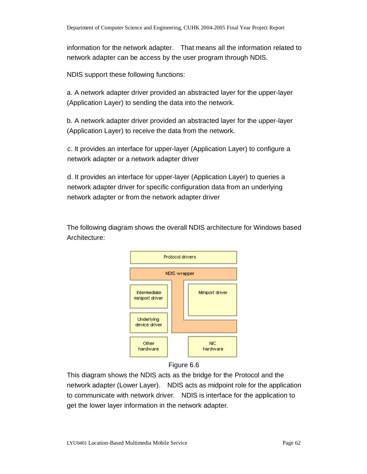information for the network adapter. That means all the information related to network adapter can be access by the user program through NDIS.

NDIS support these following functions:

a. A network adapter driver provided an abstracted layer for the upper-layer (Application Layer) to sending the data into the network.

b. A network adapter driver provided an abstracted layer for the upper-layer (Application Layer) to receive the data from the network.

c. It provides an interface for upper-layer (Application Layer) to configure a network adapter or a network adapter driver

d. It provides an interface for upper-layer (Application Layer) to queries a network adapter driver for specific configuration data from an underlying network adapter or from the network adapter driver

The following diagram shows the overall NDIS architecture for Windows based Architecture:



#### Figure 6.6

This diagram shows the NDIS acts as the bridge for the Protocol and the network adapter (Lower Layer). NDIS acts as midpoint role for the application to communicate with network driver. NDIS is interface for the application to get the lower layer information in the network adapter.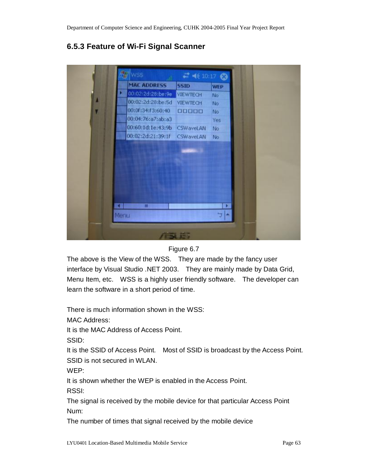## **6.5.3 Feature of Wi-Fi Signal Scanner**

|   | <b>MAC ADDRESS</b> | <b>SSID</b>      | <b>WEP</b> |  |
|---|--------------------|------------------|------------|--|
|   | 00:02:2d:28:be:9e  | <b>VIEWTECH</b>  | No.        |  |
|   | 00:02:2d:28:be:5d  | VIEWTECH         | No.        |  |
| ۲ | 00:0f:34:f3:60:40  | 00000            | No.        |  |
|   | 00:04:76:a7:ab:a3  |                  | Yes        |  |
|   | 00:60:1d:1e:43:9b  | <b>CSWaveLAN</b> | No.        |  |
|   | 00:02:2d:21:39:1f  | CSWaveLAN        | No.        |  |
|   | $\mathbf{m}$       |                  |            |  |
|   | Menu               |                  | m.         |  |

### Figure 6.7

The above is the View of the WSS. They are made by the fancy user interface by Visual Studio .NET 2003. They are mainly made by Data Grid, Menu Item, etc. WSS is a highly user friendly software. The developer can learn the software in a short period of time.

There is much information shown in the WSS:

MAC Address:

It is the MAC Address of Access Point.

SSID:

It is the SSID of Access Point. Most of SSID is broadcast by the Access Point. SSID is not secured in WLAN.

WEP:

It is shown whether the WEP is enabled in the Access Point.

RSSI:

The signal is received by the mobile device for that particular Access Point Num:

The number of times that signal received by the mobile device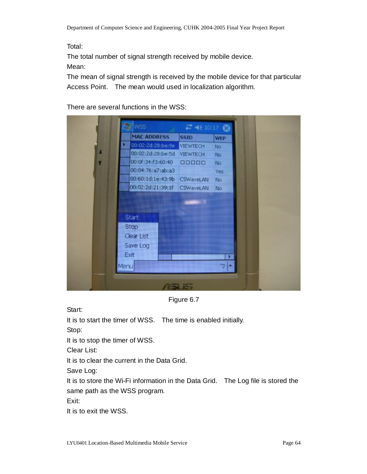Total:

The total number of signal strength received by mobile device.

Mean:

The mean of signal strength is received by the mobile device for that particular Access Point. The mean would used in localization algorithm.

There are several functions in the WSS:



Figure 6.7

Start:

It is to start the timer of WSS. The time is enabled initially.

Stop:

It is to stop the timer of WSS.

Clear List:

It is to clear the current in the Data Grid.

Save Log:

It is to store the Wi-Fi information in the Data Grid. The Log file is stored the same path as the WSS program.

Exit:

It is to exit the WSS.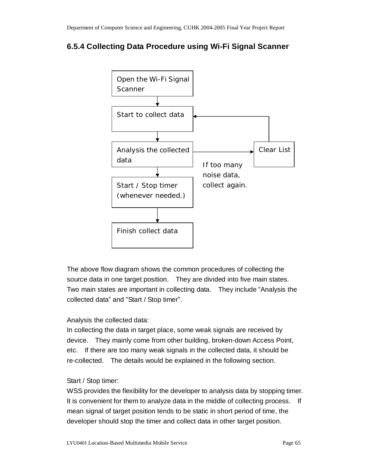### **6.5.4 Collecting Data Procedure using Wi-Fi Signal Scanner**



The above flow diagram shows the common procedures of collecting the source data in one target position. They are divided into five main states. Two main states are important in collecting data. They include "Analysis the collected data" and "Start / Stop timer".

### Analysis the collected data:

In collecting the data in target place, some weak signals are received by device. They mainly come from other building, broken-down Access Point, etc. If there are too many weak signals in the collected data, it should be re-collected. The details would be explained in the following section.

#### Start / Stop timer:

WSS provides the flexibility for the developer to analysis data by stopping timer. It is convenient for them to analyze data in the middle of collecting process. If mean signal of target position tends to be static in short period of time, the developer should stop the timer and collect data in other target position.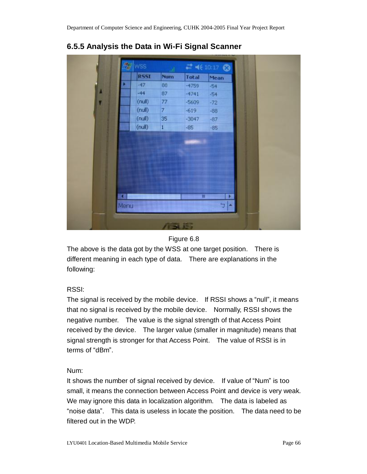| 27<br><b>WSS</b> |                |         | # 长10:17 3 |  |
|------------------|----------------|---------|------------|--|
| <b>R55I</b>      | <b>Num</b>     | Total   | Mean       |  |
| $-47$            | 86             | $-4759$ | $-54$      |  |
| $-44$            | 87             | $-4741$ | $-54$      |  |
| (null)           | 77             | $-5609$ | $-72$      |  |
| (null)           | $\overline{z}$ | $-619$  | $-88$      |  |
| (null)           | 35             | $-3047$ | $-87$      |  |
| (null)           | $\,1$          | $-85$   | $-85$      |  |
|                  |                | Ⅲ       | Ð          |  |
|                  |                |         |            |  |

### **6.5.5 Analysis the Data in Wi-Fi Signal Scanner**

#### Figure 6.8

The above is the data got by the WSS at one target position. There is different meaning in each type of data. There are explanations in the following:

### RSSI:

The signal is received by the mobile device. If RSSI shows a "null", it means that no signal is received by the mobile device. Normally, RSSI shows the negative number. The value is the signal strength of that Access Point received by the device. The larger value (smaller in magnitude) means that signal strength is stronger for that Access Point. The value of RSSI is in terms of "dBm".

### Num:

It shows the number of signal received by device. If value of "Num" is too small, it means the connection between Access Point and device is very weak. We may ignore this data in localization algorithm. The data is labeled as "noise data". This data is useless in locate the position. The data need to be filtered out in the WDP.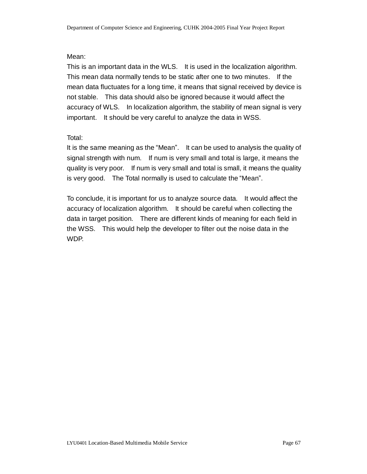### Mean:

This is an important data in the WLS. It is used in the localization algorithm. This mean data normally tends to be static after one to two minutes. If the mean data fluctuates for a long time, it means that signal received by device is not stable. This data should also be ignored because it would affect the accuracy of WLS. In localization algorithm, the stability of mean signal is very important. It should be very careful to analyze the data in WSS.

### Total:

It is the same meaning as the "Mean". It can be used to analysis the quality of signal strength with num. If num is very small and total is large, it means the quality is very poor. If num is very small and total is small, it means the quality is very good. The Total normally is used to calculate the "Mean".

To conclude, it is important for us to analyze source data. It would affect the accuracy of localization algorithm. It should be careful when collecting the data in target position. There are different kinds of meaning for each field in the WSS. This would help the developer to filter out the noise data in the WDP.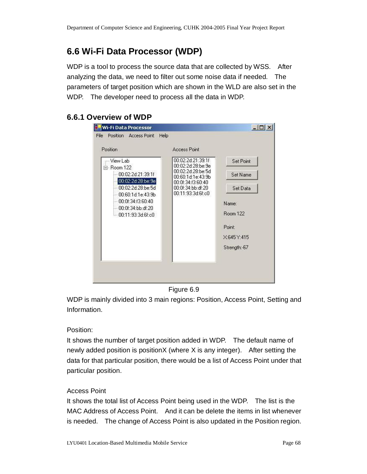# **6.6 Wi-Fi Data Processor (WDP)**

WDP is a tool to process the source data that are collected by WSS. After analyzing the data, we need to filter out some noise data if needed. The parameters of target position which are shown in the WLD are also set in the WDP. The developer need to process all the data in WDP.

### **6.6.1 Overview of WDP**

| Position                                                                                                                                                                        | <b>Access Point</b>                                                                                                                                                                                                                                       |
|---------------------------------------------------------------------------------------------------------------------------------------------------------------------------------|-----------------------------------------------------------------------------------------------------------------------------------------------------------------------------------------------------------------------------------------------------------|
| View Lab<br>⊟-Room 122<br>00:02:2d:21:39:1f<br>00:02:2d:28:be:9e<br>00:02:2d:28:be:5d<br>00:60:1d:1e:43:9b<br>$-00.0$ f:34:f3:60:40<br>00:0f:34:bb:df:20<br>— 00:11:93:3d:6f:c0 | 00:02:2d:21:39:1f<br>Set Point<br>00:02:2d:28:be:9e<br>00:02:2d:28:be:5d<br>Set Name<br>00:60:1d:1e:43:9b<br>00:0f:34:f3:60:40<br>00:0f:34:bb:df:20<br>Set Data<br>00:11:93:3d:6f:c0<br>Name:<br><b>Room 122</b><br>Point:<br>X:645 Y:415<br>Strength:-67 |

Figure 6.9

WDP is mainly divided into 3 main regions: Position, Access Point, Setting and Information.

Position:

It shows the number of target position added in WDP. The default name of newly added position is positionX (where X is any integer). After setting the data for that particular position, there would be a list of Access Point under that particular position.

### Access Point

It shows the total list of Access Point being used in the WDP. The list is the MAC Address of Access Point. And it can be delete the items in list whenever is needed. The change of Access Point is also updated in the Position region.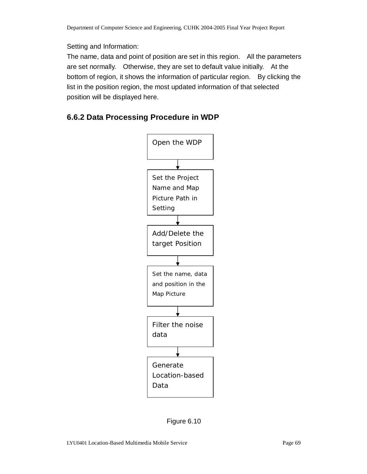### Setting and Information:

The name, data and point of position are set in this region. All the parameters are set normally. Otherwise, they are set to default value initially. At the bottom of region, it shows the information of particular region. By clicking the list in the position region, the most updated information of that selected position will be displayed here.

### **6.6.2 Data Processing Procedure in WDP**



Figure 6.10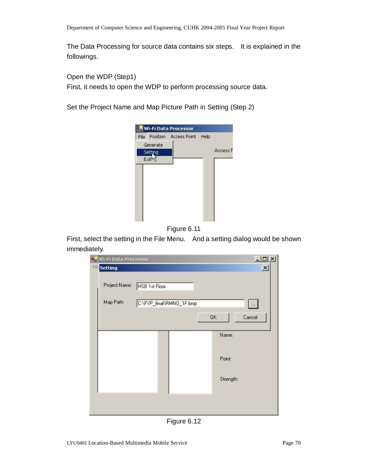The Data Processing for source data contains six steps. It is explained in the followings.

Open the WDP (Step1)

First, it needs to open the WDP to perform processing source data.

Set the Project Name and Map Picture Path in Setting (Step 2)





First, select the setting in the File Menu. And a setting dialog would be shown immediately.



Figure 6.12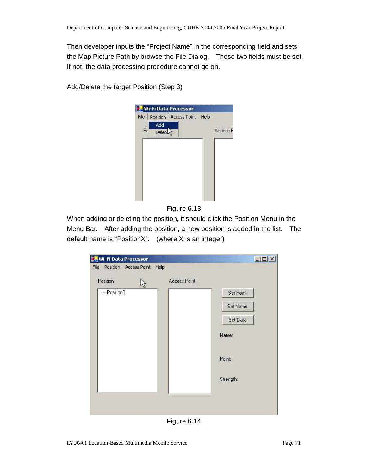Then developer inputs the "Project Name" in the corresponding field and sets the Map Picture Path by browse the File Dialog. These two fields must be set. If not, the data processing procedure cannot go on.

Add/Delete the target Position (Step 3)



Figure 6.13

When adding or deleting the position, it should click the Position Menu in the Menu Bar. After adding the position, a new position is added in the list. The default name is "PositionX". (where X is an integer)

| Wi-Fi Data Processor                  |                           |           | $  D  \times  $ |
|---------------------------------------|---------------------------|-----------|-----------------|
| File<br>Position Access Point<br>Help |                           |           |                 |
| Position<br>ほ                         | Access Point              |           |                 |
| - Position0                           |                           | Set Point |                 |
|                                       |                           | Set Name  |                 |
|                                       |                           | Set Data  |                 |
|                                       |                           | Name:     |                 |
|                                       |                           | Point:    |                 |
|                                       |                           | Strength: |                 |
|                                       |                           |           |                 |
|                                       |                           |           |                 |
|                                       | <b>.</b><br>$\sim$ $\sim$ |           |                 |

Figure 6.14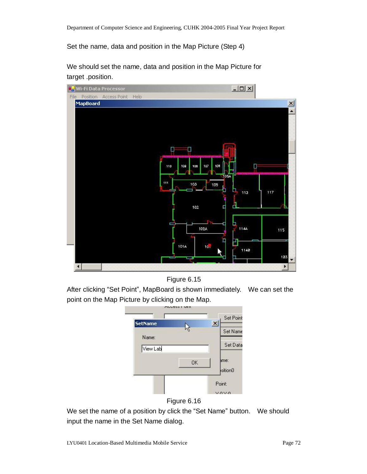Set the name, data and position in the Map Picture (Step 4)



We should set the name, data and position in the Map Picture for target .position.



After clicking "Set Point", MapBoard is shown immediately. We can set the point on the Map Picture by clicking on the Map.





We set the name of a position by click the "Set Name" button. We should input the name in the Set Name dialog.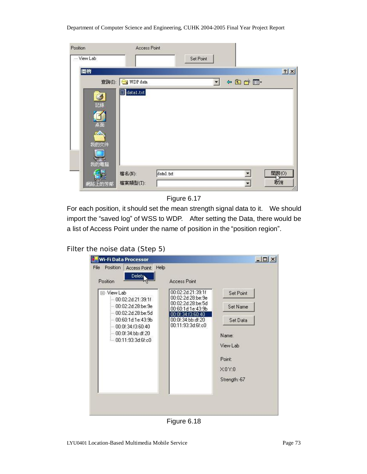#### Department of Computer Science and Engineering, CUHK 2004-2005 Final Year Project Report

| Position  | Access Point |           |           |      |                          |       |
|-----------|--------------|-----------|-----------|------|--------------------------|-------|
| -View Lab |              |           | Set Point |      |                          |       |
| 開啓        |              |           |           |      |                          | 2 X   |
| 查詢(I):    | WDP data     |           |           | 中国首団 |                          |       |
| 3         | data1.txt    |           |           |      |                          |       |
| 記錄        |              |           |           |      |                          |       |
|           |              |           |           |      |                          |       |
| 桌面<br>Z.  |              |           |           |      |                          |       |
| 我的文件      |              |           |           |      |                          |       |
|           |              |           |           |      |                          |       |
| 我的電腦      |              |           |           |      |                          |       |
|           | 檔名(N):       | data1.txt |           |      | $\blacktriangledown$     | 開啓(0) |
| 網路上的芳鄰    | 檔案類型(T):     |           |           |      | $\overline{\phantom{a}}$ | 赖消    |

Figure 6.17

For each position, it should set the mean strength signal data to it. We should import the "saved log" of WSS to WDP. After setting the Data, there would be a list of Access Point under the name of position in the "position region".

#### Filter the noise data (Step 5)

| Help<br>Position<br><b>Access Point</b>                                                                                                                                                                  |                                                                                                                                                                                                     |                                                                |
|----------------------------------------------------------------------------------------------------------------------------------------------------------------------------------------------------------|-----------------------------------------------------------------------------------------------------------------------------------------------------------------------------------------------------|----------------------------------------------------------------|
| <b>Delete</b><br>Position<br>⊡~ View Lab<br>00:02:2d:21:39:1f<br>- 00:02:2d:28:be:9e<br>- 00:02:2d:28:be:5d<br>- 00:60:1d:1e:43:9b<br>$-00:01:34:13:60:40$<br>- 00:0f:34:bb:df:20<br>i 00:11:93:3d:6f:c0 | <b>Access Point</b><br>00:02:2d:21:39:1f<br>00:02:2d:28:be:9e<br>00:02:2d:28:be:5d<br>00:60:1d:1e:43:9b<br>00:01:34:13:60:40<br>00:0f:34:bb:df:20<br>00:11:93:3d:6f:c0<br>Name:<br>Point:<br>X:0Y:0 | Set Point<br>Set Name<br>Set Data<br>View Lab<br>Strength: -67 |

Figure 6.18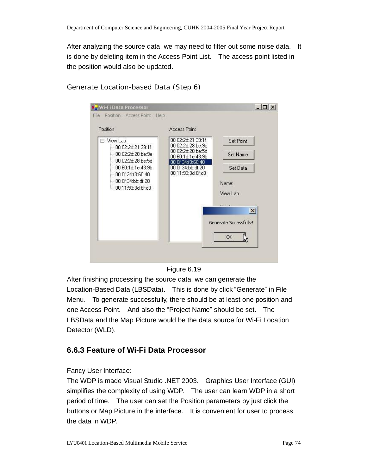After analyzing the source data, we may need to filter out some noise data. It is done by deleting item in the Access Point List. The access point listed in the position would also be updated.

| Position                                                                                                                                                                           | Access Point                                                                                                                                  |                                                                                   |
|------------------------------------------------------------------------------------------------------------------------------------------------------------------------------------|-----------------------------------------------------------------------------------------------------------------------------------------------|-----------------------------------------------------------------------------------|
| - View Lab<br>$-00.02:2d:21:39.1f$<br>-- 00:02:2d:28:be:9e<br>$-00:02:2d:28:be:5d$<br>$-00.60(1d.1e.43.9b)$<br>$-00.0$ f:34:f3:60:40<br>- 00:0f:34:bb:df:20<br>1.00:11:93:3d:6f:c0 | 00:02:2d:21:39:1f<br>00:02:2d:28:be:9e<br>00:02:2d:28:be:5d<br>00:60:1d:1e:43:9b<br>:01:34:13:60:40<br>00:0f:34:bb:df:20<br>00:11:93:3d:6f:c0 | Set Point<br>Set Name<br>Set Data<br>Name:<br>View Lab<br>$-1$<br>$\vert x \vert$ |
|                                                                                                                                                                                    |                                                                                                                                               | Generate Sucessfully!                                                             |
|                                                                                                                                                                                    |                                                                                                                                               | OK                                                                                |

### Generate Location-based Data (Step 6)



After finishing processing the source data, we can generate the Location-Based Data (LBSData). This is done by click "Generate" in File Menu. To generate successfully, there should be at least one position and one Access Point. And also the "Project Name" should be set. The LBSData and the Map Picture would be the data source for Wi-Fi Location Detector (WLD).

## **6.6.3 Feature of Wi-Fi Data Processor**

Fancy User Interface:

The WDP is made Visual Studio .NET 2003. Graphics User Interface (GUI) simplifies the complexity of using WDP. The user can learn WDP in a short period of time. The user can set the Position parameters by just click the buttons or Map Picture in the interface. It is convenient for user to process the data in WDP.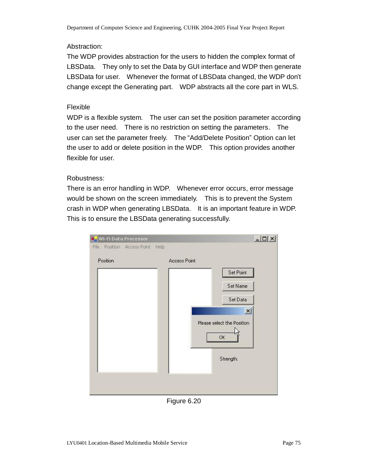#### Abstraction:

The WDP provides abstraction for the users to hidden the complex format of LBSData. They only to set the Data by GUI interface and WDP then generate LBSData for user. Whenever the format of LBSData changed, the WDP don't change except the Generating part. WDP abstracts all the core part in WLS.

#### Flexible

WDP is a flexible system. The user can set the position parameter according to the user need. There is no restriction on setting the parameters. The user can set the parameter freely. The "Add/Delete Position" Option can let the user to add or delete position in the WDP. This option provides another flexible for user.

#### Robustness:

There is an error handling in WDP. Whenever error occurs, error message would be shown on the screen immediately. This is to prevent the System crash in WDP when generating LBSData. It is an important feature in WDP. This is to ensure the LBSData generating successfully.

| File<br>Position<br>Access Point | Help                             |
|----------------------------------|----------------------------------|
| Position                         | Access Point                     |
|                                  | Set Point                        |
|                                  | Set Name                         |
|                                  | Set Data                         |
|                                  | $\vert x \vert$                  |
|                                  | Please select the Position<br>OK |
|                                  | Strength:                        |
|                                  |                                  |

Figure 6.20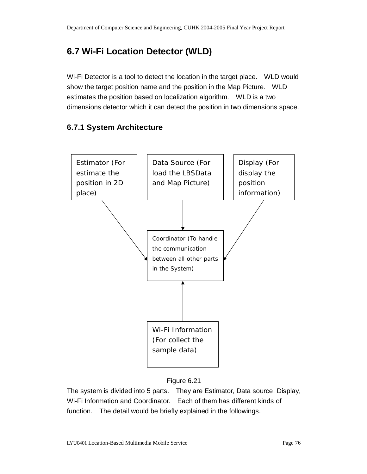## **6.7 Wi-Fi Location Detector (WLD)**

Wi-Fi Detector is a tool to detect the location in the target place. WLD would show the target position name and the position in the Map Picture. WLD estimates the position based on localization algorithm. WLD is a two dimensions detector which it can detect the position in two dimensions space.

### **6.7.1 System Architecture**





The system is divided into 5 parts. They are Estimator, Data source, Display, Wi-Fi Information and Coordinator. Each of them has different kinds of function. The detail would be briefly explained in the followings.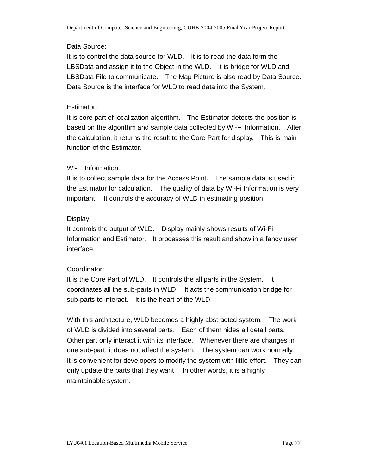#### Data Source:

It is to control the data source for WLD. It is to read the data form the LBSData and assign it to the Object in the WLD. It is bridge for WLD and LBSData File to communicate. The Map Picture is also read by Data Source. Data Source is the interface for WLD to read data into the System.

#### Estimator:

It is core part of localization algorithm. The Estimator detects the position is based on the algorithm and sample data collected by Wi-Fi Information. After the calculation, it returns the result to the Core Part for display. This is main function of the Estimator.

#### Wi-Fi Information:

It is to collect sample data for the Access Point. The sample data is used in the Estimator for calculation. The quality of data by Wi-Fi Information is very important. It controls the accuracy of WLD in estimating position.

#### Display:

It controls the output of WLD. Display mainly shows results of Wi-Fi Information and Estimator. It processes this result and show in a fancy user interface.

#### Coordinator:

It is the Core Part of WLD. It controls the all parts in the System. It coordinates all the sub-parts in WLD. It acts the communication bridge for sub-parts to interact. It is the heart of the WLD.

With this architecture, WLD becomes a highly abstracted system. The work of WLD is divided into several parts. Each of them hides all detail parts. Other part only interact it with its interface. Whenever there are changes in one sub-part, it does not affect the system. The system can work normally. It is convenient for developers to modify the system with little effort. They can only update the parts that they want. In other words, it is a highly maintainable system.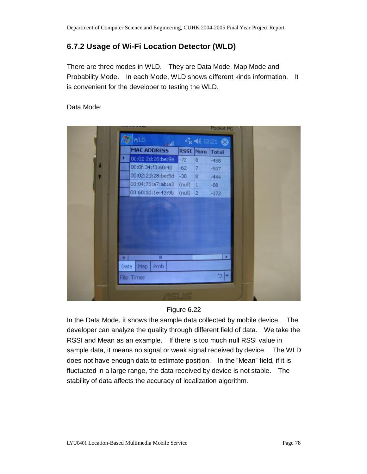### **6.7.2 Usage of Wi-Fi Location Detector (WLD)**

There are three modes in WLD. They are Data Mode, Map Mode and Probability Mode. In each Mode, WLD shows different kinds information. It is convenient for the developer to testing the WLD.

Data Mode:

|      |                              |             |                 | Pocket PC      |  |
|------|------------------------------|-------------|-----------------|----------------|--|
|      | <b>E</b> WLD<br>السعد        |             |                 | ☆ 长 12:21 8    |  |
|      | MAC ADDRESS                  |             |                 | RSSI Num Total |  |
|      | 00:02:2d:28:be:9e            | $-72$       | $\bf 8$         | $-488$         |  |
|      | 00:0f:34:f3:60:40            | $-62$       | $7\overline{ }$ | $-507$         |  |
|      | 00:02:2d:28:be:5d            | $-38$ 8     |                 | $-444$         |  |
|      | 00:04:76:a7:ab:a3            | $(rfull)$ 1 |                 | $-88$          |  |
|      | 00:60:1d:1e:43:9b (null) 2   |             |                 | $-172$         |  |
|      | m                            |             |                 | ×              |  |
| а.   |                              |             |                 |                |  |
| Data | Prob<br>Map                  |             |                 |                |  |
|      | <b>File Timer</b>            |             |                 | $T$ $\sim$     |  |
|      | <b>SALES AND ARRANGEMENT</b> |             |                 |                |  |

#### Figure 6.22

In the Data Mode, it shows the sample data collected by mobile device. The developer can analyze the quality through different field of data. We take the RSSI and Mean as an example. If there is too much null RSSI value in sample data, it means no signal or weak signal received by device. The WLD does not have enough data to estimate position. In the "Mean" field, if it is fluctuated in a large range, the data received by device is not stable. The stability of data affects the accuracy of localization algorithm.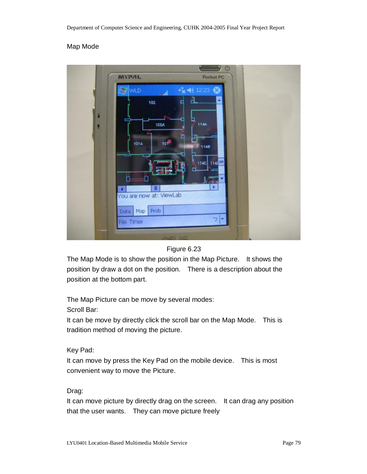#### Map Mode





The Map Mode is to show the position in the Map Picture. It shows the position by draw a dot on the position. There is a description about the position at the bottom part.

The Map Picture can be move by several modes: Scroll Bar:

It can be move by directly click the scroll bar on the Map Mode. This is tradition method of moving the picture.

Key Pad:

It can move by press the Key Pad on the mobile device. This is most convenient way to move the Picture.

Drag:

It can move picture by directly drag on the screen. It can drag any position that the user wants. They can move picture freely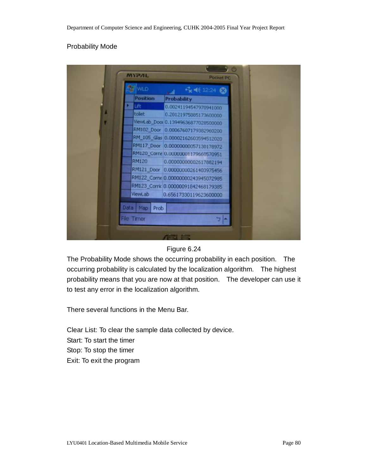#### Probability Mode



#### Figure 6.24

The Probability Mode shows the occurring probability in each position. The occurring probability is calculated by the localization algorithm. The highest probability means that you are now at that position. The developer can use it to test any error in the localization algorithm.

There several functions in the Menu Bar.

Clear List: To clear the sample data collected by device. Start: To start the timer Stop: To stop the timer Exit: To exit the program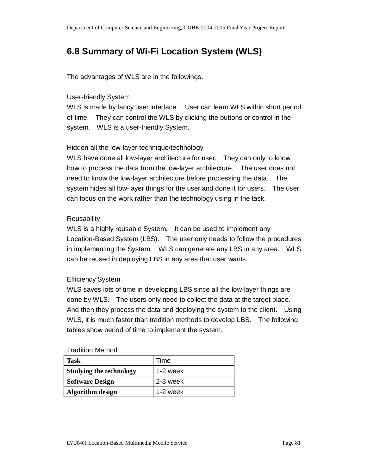## **6.8 Summary of Wi-Fi Location System (WLS)**

The advantages of WLS are in the followings.

#### User-friendly System

WLS is made by fancy user interface. User can learn WLS within short period of time. They can control the WLS by clicking the buttons or control in the system. WLS is a user-friendly System.

#### Hidden all the low-layer technique/technology

WLS have done all low-layer architecture for user. They can only to know how to process the data from the low-layer architecture. The user does not need to know the low-layer architecture before processing the data. The system hides all low-layer things for the user and done it for users. The user can focus on the work rather than the technology using in the task.

#### **Reusability**

WLS is a highly reusable System. It can be used to implement any Location-Based System (LBS). The user only needs to follow the procedures in implementing the System. WLS can generate any LBS in any area. WLS can be reused in deploying LBS in any area that user wants.

#### Efficiency System

WLS saves lots of time in developing LBS since all the low-layer things are done by WLS. The users only need to collect the data at the target place. And then they process the data and deploying the system to the client. Using WLS, it is much faster than tradition methods to develop LBS. The following tables show period of time to implement the system.

#### Tradition Method

| <b>Task</b>                    | Time       |
|--------------------------------|------------|
| <b>Studying the technology</b> | $1-2$ week |
| <b>Software Design</b>         | 2-3 week   |
| <b>Algorithm</b> design        | $1-2$ week |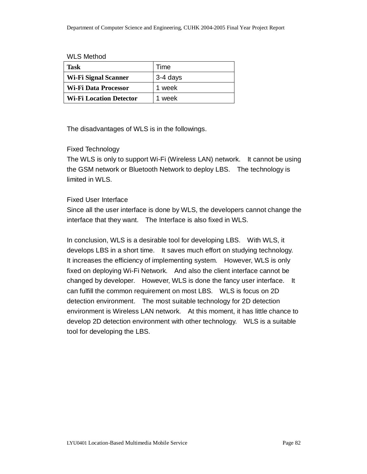#### WLS Method

| Task                           | Time     |
|--------------------------------|----------|
| Wi-Fi Signal Scanner           | 3-4 days |
| Wi-Fi Data Processor           | 1 week   |
| <b>Wi-Fi Location Detector</b> | 1 week   |

The disadvantages of WLS is in the followings.

#### Fixed Technology

The WLS is only to support Wi-Fi (Wireless LAN) network. It cannot be using the GSM network or Bluetooth Network to deploy LBS. The technology is limited in WLS.

#### Fixed User Interface

Since all the user interface is done by WLS, the developers cannot change the interface that they want. The Interface is also fixed in WLS.

In conclusion, WLS is a desirable tool for developing LBS. With WLS, it develops LBS in a short time. It saves much effort on studying technology. It increases the efficiency of implementing system. However, WLS is only fixed on deploying Wi-Fi Network. And also the client interface cannot be changed by developer. However, WLS is done the fancy user interface. It can fulfill the common requirement on most LBS. WLS is focus on 2D detection environment. The most suitable technology for 2D detection environment is Wireless LAN network. At this moment, it has little chance to develop 2D detection environment with other technology. WLS is a suitable tool for developing the LBS.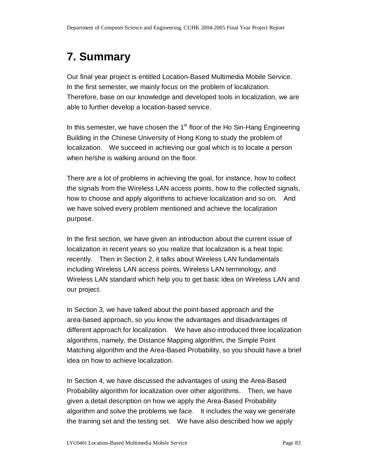# **7. Summary**

Our final year project is entitled Location-Based Multimedia Mobile Service. In the first semester, we mainly focus on the problem of localization. Therefore, base on our knowledge and developed tools in localization, we are able to further develop a location-based service.

In this semester, we have chosen the  $1<sup>st</sup>$  floor of the Ho Sin-Hang Engineering Building in the Chinese University of Hong Kong to study the problem of localization. We succeed in achieving our goal which is to locate a person when he/she is walking around on the floor.

There are a lot of problems in achieving the goal, for instance, how to collect the signals from the Wireless LAN access points, how to the collected signals, how to choose and apply algorithms to achieve localization and so on. And we have solved every problem mentioned and achieve the localization purpose.

In the first section, we have given an introduction about the current issue of localization in recent years so you realize that localization is a heat topic recently. Then in Section 2, it talks about Wireless LAN fundamentals including Wireless LAN access points, Wireless LAN terminology, and Wireless LAN standard which help you to get basic idea on Wireless LAN and our project.

In Section 3, we have talked about the point-based approach and the area-based approach, so you know the advantages and disadvantages of different approach for localization. We have also introduced three localization algorithms, namely, the Distance Mapping algorithm, the Simple Point Matching algorithm and the Area-Based Probability, so you should have a brief idea on how to achieve localization.

In Section 4, we have discussed the advantages of using the Area-Based Probability algorithm for localization over other algorithms. Then, we have given a detail description on how we apply the Area-Based Probability algorithm and solve the problems we face. It includes the way we generate the training set and the testing set. We have also described how we apply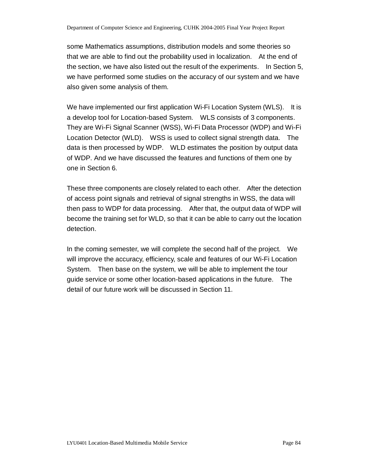some Mathematics assumptions, distribution models and some theories so that we are able to find out the probability used in localization. At the end of the section, we have also listed out the result of the experiments. In Section 5, we have performed some studies on the accuracy of our system and we have also given some analysis of them.

We have implemented our first application Wi-Fi Location System (WLS). It is a develop tool for Location-based System. WLS consists of 3 components. They are Wi-Fi Signal Scanner (WSS), Wi-Fi Data Processor (WDP) and Wi-Fi Location Detector (WLD). WSS is used to collect signal strength data. The data is then processed by WDP. WLD estimates the position by output data of WDP. And we have discussed the features and functions of them one by one in Section 6.

These three components are closely related to each other. After the detection of access point signals and retrieval of signal strengths in WSS, the data will then pass to WDP for data processing. After that, the output data of WDP will become the training set for WLD, so that it can be able to carry out the location detection.

In the coming semester, we will complete the second half of the project. We will improve the accuracy, efficiency, scale and features of our Wi-Fi Location System. Then base on the system, we will be able to implement the tour guide service or some other location-based applications in the future. The detail of our future work will be discussed in Section 11.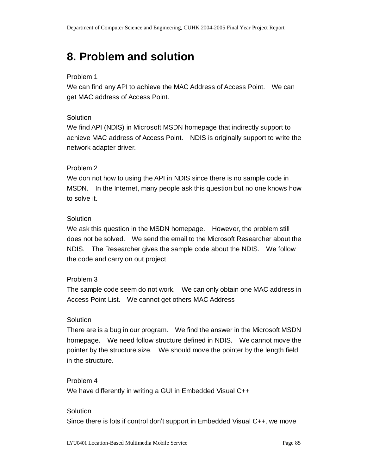# **8. Problem and solution**

#### Problem 1

We can find any API to achieve the MAC Address of Access Point. We can get MAC address of Access Point.

#### Solution

We find API (NDIS) in Microsoft MSDN homepage that indirectly support to achieve MAC address of Access Point. NDIS is originally support to write the network adapter driver.

#### Problem 2

We don not how to using the API in NDIS since there is no sample code in MSDN. In the Internet, many people ask this question but no one knows how to solve it.

#### Solution

We ask this question in the MSDN homepage. However, the problem still does not be solved. We send the email to the Microsoft Researcher about the NDIS. The Researcher gives the sample code about the NDIS. We follow the code and carry on out project

#### Problem 3

The sample code seem do not work. We can only obtain one MAC address in Access Point List. We cannot get others MAC Address

#### **Solution**

There are is a bug in our program. We find the answer in the Microsoft MSDN homepage. We need follow structure defined in NDIS. We cannot move the pointer by the structure size. We should move the pointer by the length field in the structure.

#### Problem 4

We have differently in writing a GUI in Embedded Visual C++

#### **Solution**

Since there is lots if control don't support in Embedded Visual C++, we move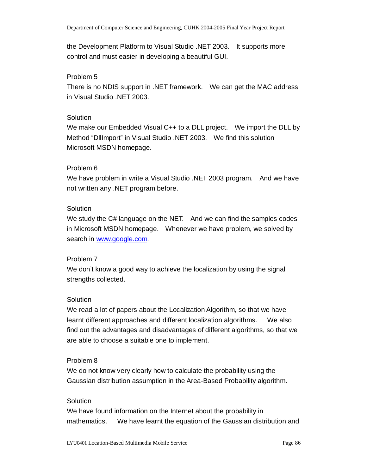the Development Platform to Visual Studio .NET 2003. It supports more control and must easier in developing a beautiful GUI.

#### Problem 5

There is no NDIS support in .NET framework. We can get the MAC address in Visual Studio .NET 2003.

#### **Solution**

We make our Embedded Visual C++ to a DLL project. We import the DLL by Method "DllImport" in Visual Studio .NET 2003. We find this solution Microsoft MSDN homepage.

#### Problem 6

We have problem in write a Visual Studio .NET 2003 program. And we have not written any .NET program before.

#### **Solution**

We study the C# language on the NET. And we can find the samples codes in Microsoft MSDN homepage. Whenever we have problem, we solved by search in [www.google.com.](http://www.google.com)

#### Problem 7

We don't know a good way to achieve the localization by using the signal strengths collected.

#### **Solution**

We read a lot of papers about the Localization Algorithm, so that we have learnt different approaches and different localization algorithms. We also find out the advantages and disadvantages of different algorithms, so that we are able to choose a suitable one to implement.

#### Problem 8

We do not know very clearly how to calculate the probability using the Gaussian distribution assumption in the Area-Based Probability algorithm.

#### **Solution**

We have found information on the Internet about the probability in mathematics. We have learnt the equation of the Gaussian distribution and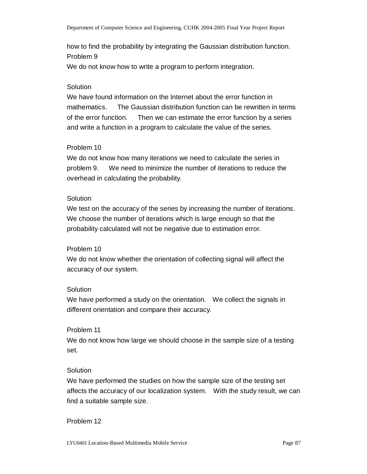how to find the probability by integrating the Gaussian distribution function. Problem 9 We do not know how to write a program to perform integration.

#### **Solution**

We have found information on the Internet about the error function in mathematics. The Gaussian distribution function can be rewritten in terms of the error function. Then we can estimate the error function by a series and write a function in a program to calculate the value of the series.

#### Problem 10

We do not know how many iterations we need to calculate the series in problem 9. We need to minimize the number of iterations to reduce the overhead in calculating the probability.

#### **Solution**

We test on the accuracy of the series by increasing the number of iterations. We choose the number of iterations which is large enough so that the probability calculated will not be negative due to estimation error.

#### Problem 10

We do not know whether the orientation of collecting signal will affect the accuracy of our system.

#### **Solution**

We have performed a study on the orientation. We collect the signals in different orientation and compare their accuracy.

#### Problem 11

We do not know how large we should choose in the sample size of a testing set.

#### **Solution**

We have performed the studies on how the sample size of the testing set affects the accuracy of our localization system. With the study result, we can find a suitable sample size.

#### Problem 12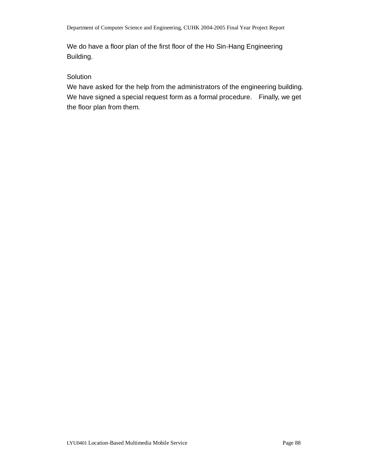We do have a floor plan of the first floor of the Ho Sin-Hang Engineering Building.

#### **Solution**

We have asked for the help from the administrators of the engineering building. We have signed a special request form as a formal procedure. Finally, we get the floor plan from them.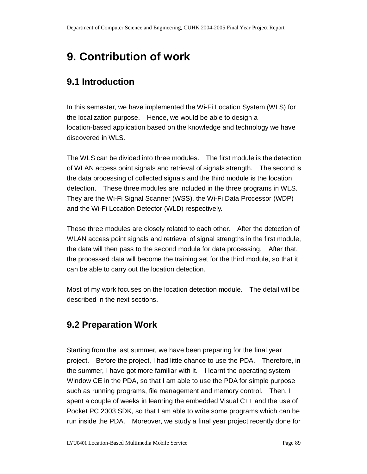# **9. Contribution of work**

## **9.1 Introduction**

In this semester, we have implemented the Wi-Fi Location System (WLS) for the localization purpose. Hence, we would be able to design a location-based application based on the knowledge and technology we have discovered in WLS.

The WLS can be divided into three modules. The first module is the detection of WLAN access point signals and retrieval of signals strength. The second is the data processing of collected signals and the third module is the location detection. These three modules are included in the three programs in WLS. They are the Wi-Fi Signal Scanner (WSS), the Wi-Fi Data Processor (WDP) and the Wi-Fi Location Detector (WLD) respectively.

These three modules are closely related to each other. After the detection of WLAN access point signals and retrieval of signal strengths in the first module, the data will then pass to the second module for data processing. After that, the processed data will become the training set for the third module, so that it can be able to carry out the location detection.

Most of my work focuses on the location detection module. The detail will be described in the next sections.

## **9.2 Preparation Work**

Starting from the last summer, we have been preparing for the final year project. Before the project, I had little chance to use the PDA. Therefore, in the summer, I have got more familiar with it. I learnt the operating system Window CE in the PDA, so that I am able to use the PDA for simple purpose such as running programs, file management and memory control. Then, I spent a couple of weeks in learning the embedded Visual C++ and the use of Pocket PC 2003 SDK, so that I am able to write some programs which can be run inside the PDA. Moreover, we study a final year project recently done for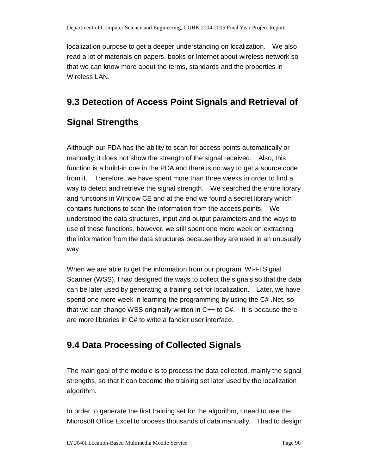localization purpose to get a deeper understanding on localization. We also read a lot of materials on papers, books or Internet about wireless network so that we can know more about the terms, standards and the properties in Wireless LAN.

## **9.3 Detection of Access Point Signals and Retrieval of**

# **Signal Strengths**

Although our PDA has the ability to scan for access points automatically or manually, it does not show the strength of the signal received. Also, this function is a build-in one in the PDA and there is no way to get a source code from it. Therefore, we have spent more than three weeks in order to find a way to detect and retrieve the signal strength. We searched the entire library and functions in Window CE and at the end we found a secret library which contains functions to scan the information from the access points. We understood the data structures, input and output parameters and the ways to use of these functions, however, we still spent one more week on extracting the information from the data structures because they are used in an unusually way.

When we are able to get the information from our program, Wi-Fi Signal Scanner (WSS), I had designed the ways to collect the signals so that the data can be later used by generating a training set for localization. Later, we have spend one more week in learning the programming by using the C# .Net, so that we can change WSS originally written in C++ to C#. It is because there are more libraries in C# to write a fancier user interface.

## **9.4 Data Processing of Collected Signals**

The main goal of the module is to process the data collected, mainly the signal strengths, so that it can become the training set later used by the localization algorithm.

In order to generate the first training set for the algorithm, I need to use the Microsoft Office Excel to process thousands of data manually. I had to design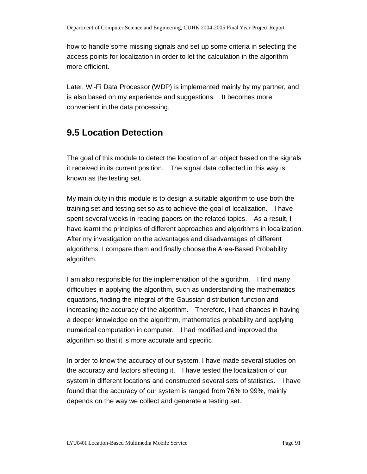how to handle some missing signals and set up some criteria in selecting the access points for localization in order to let the calculation in the algorithm more efficient.

Later, Wi-Fi Data Processor (WDP) is implemented mainly by my partner, and is also based on my experience and suggestions. It becomes more convenient in the data processing.

## **9.5 Location Detection**

The goal of this module to detect the location of an object based on the signals it received in its current position. The signal data collected in this way is known as the testing set.

My main duty in this module is to design a suitable algorithm to use both the training set and testing set so as to achieve the goal of localization. I have spent several weeks in reading papers on the related topics. As a result, I have learnt the principles of different approaches and algorithms in localization. After my investigation on the advantages and disadvantages of different algorithms, I compare them and finally choose the Area-Based Probability algorithm.

I am also responsible for the implementation of the algorithm. I find many difficulties in applying the algorithm, such as understanding the mathematics equations, finding the integral of the Gaussian distribution function and increasing the accuracy of the algorithm. Therefore, I had chances in having a deeper knowledge on the algorithm, mathematics probability and applying numerical computation in computer. I had modified and improved the algorithm so that it is more accurate and specific.

In order to know the accuracy of our system, I have made several studies on the accuracy and factors affecting it. I have tested the localization of our system in different locations and constructed several sets of statistics. I have found that the accuracy of our system is ranged from 76% to 99%, mainly depends on the way we collect and generate a testing set.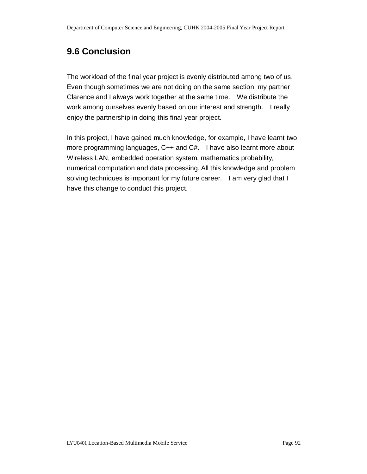## **9.6 Conclusion**

The workload of the final year project is evenly distributed among two of us. Even though sometimes we are not doing on the same section, my partner Clarence and I always work together at the same time. We distribute the work among ourselves evenly based on our interest and strength. I really enjoy the partnership in doing this final year project.

In this project, I have gained much knowledge, for example, I have learnt two more programming languages, C++ and C#. I have also learnt more about Wireless LAN, embedded operation system, mathematics probability, numerical computation and data processing. All this knowledge and problem solving techniques is important for my future career. I am very glad that I have this change to conduct this project.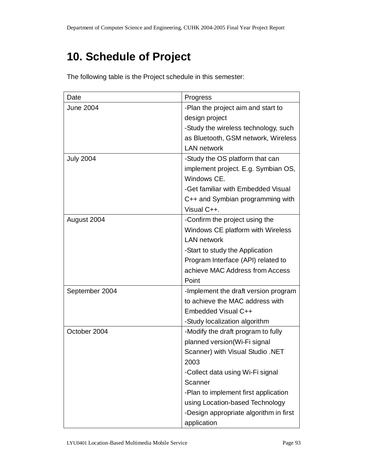# **10. Schedule of Project**

The following table is the Project schedule in this semester:

| Date             | Progress                               |
|------------------|----------------------------------------|
| <b>June 2004</b> | -Plan the project aim and start to     |
|                  | design project                         |
|                  | -Study the wireless technology, such   |
|                  | as Bluetooth, GSM network, Wireless    |
|                  | <b>LAN network</b>                     |
| <b>July 2004</b> | -Study the OS platform that can        |
|                  | implement project. E.g. Symbian OS,    |
|                  | Windows CE.                            |
|                  | -Get familiar with Embedded Visual     |
|                  | C++ and Symbian programming with       |
|                  | Visual C++.                            |
| August 2004      | -Confirm the project using the         |
|                  | Windows CE platform with Wireless      |
|                  | <b>LAN network</b>                     |
|                  | -Start to study the Application        |
|                  | Program Interface (API) related to     |
|                  | achieve MAC Address from Access        |
|                  | Point                                  |
| September 2004   | -Implement the draft version program   |
|                  | to achieve the MAC address with        |
|                  | Embedded Visual C++                    |
|                  | -Study localization algorithm          |
| October 2004     | -Modify the draft program to fully     |
|                  | planned version(Wi-Fi signal           |
|                  | Scanner) with Visual Studio .NET       |
|                  | 2003                                   |
|                  | -Collect data using Wi-Fi signal       |
|                  | Scanner                                |
|                  | -Plan to implement first application   |
|                  | using Location-based Technology        |
|                  | -Design appropriate algorithm in first |
|                  | application                            |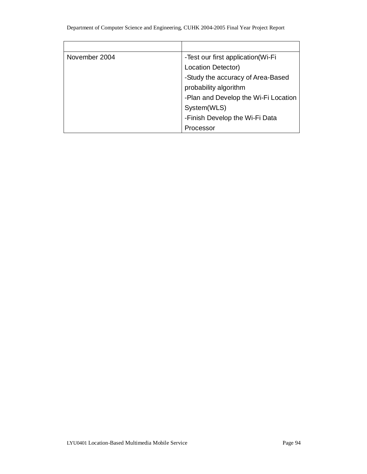| November 2004 | -Test our first application (Wi-Fi   |
|---------------|--------------------------------------|
|               | Location Detector)                   |
|               | -Study the accuracy of Area-Based    |
|               | probability algorithm                |
|               | -Plan and Develop the Wi-Fi Location |
|               | System(WLS)                          |
|               | -Finish Develop the Wi-Fi Data       |
|               | Processor                            |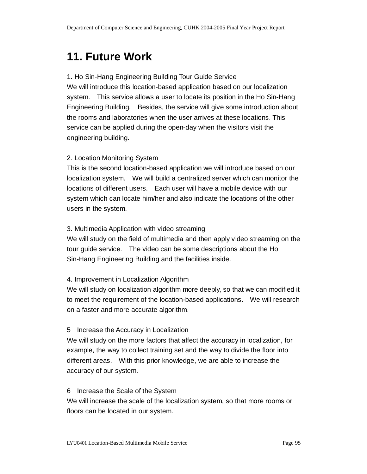# **11. Future Work**

#### 1. Ho Sin-Hang Engineering Building Tour Guide Service

We will introduce this location-based application based on our localization system. This service allows a user to locate its position in the Ho Sin-Hang Engineering Building. Besides, the service will give some introduction about the rooms and laboratories when the user arrives at these locations. This service can be applied during the open-day when the visitors visit the engineering building.

#### 2. Location Monitoring System

This is the second location-based application we will introduce based on our localization system. We will build a centralized server which can monitor the locations of different users. Each user will have a mobile device with our system which can locate him/her and also indicate the locations of the other users in the system.

#### 3. Multimedia Application with video streaming

We will study on the field of multimedia and then apply video streaming on the tour guide service. The video can be some descriptions about the Ho Sin-Hang Engineering Building and the facilities inside.

#### 4. Improvement in Localization Algorithm

We will study on localization algorithm more deeply, so that we can modified it to meet the requirement of the location-based applications. We will research on a faster and more accurate algorithm.

#### 5 Increase the Accuracy in Localization

We will study on the more factors that affect the accuracy in localization, for example, the way to collect training set and the way to divide the floor into different areas. With this prior knowledge, we are able to increase the accuracy of our system.

#### 6 Increase the Scale of the System

We will increase the scale of the localization system, so that more rooms or floors can be located in our system.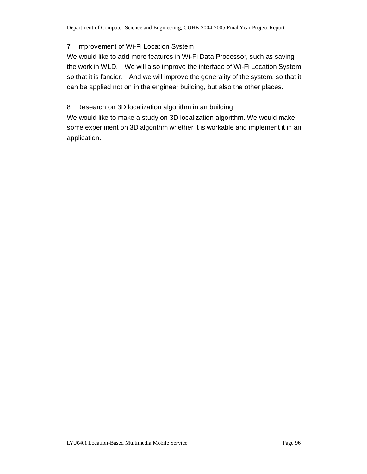#### 7 Improvement of Wi-Fi Location System

We would like to add more features in Wi-Fi Data Processor, such as saving the work in WLD. We will also improve the interface of Wi-Fi Location System so that it is fancier. And we will improve the generality of the system, so that it can be applied not on in the engineer building, but also the other places.

#### 8 Research on 3D localization algorithm in an building

We would like to make a study on 3D localization algorithm. We would make some experiment on 3D algorithm whether it is workable and implement it in an application.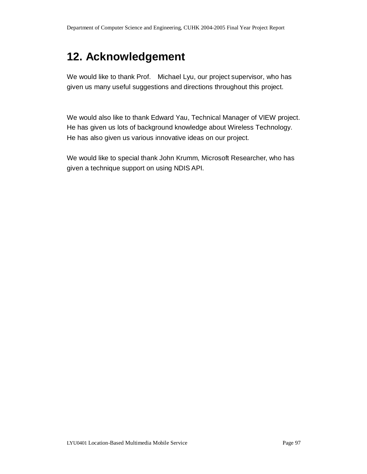# **12. Acknowledgement**

We would like to thank Prof. Michael Lyu, our project supervisor, who has given us many useful suggestions and directions throughout this project.

We would also like to thank Edward Yau, Technical Manager of VIEW project. He has given us lots of background knowledge about Wireless Technology. He has also given us various innovative ideas on our project.

We would like to special thank John Krumm, Microsoft Researcher, who has given a technique support on using NDIS API.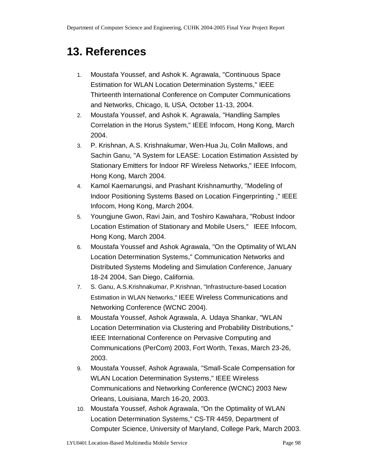# **13. References**

- 1. Moustafa Youssef, and Ashok K. Agrawala, "Continuous Space Estimation for WLAN Location Determination Systems," IEEE Thirteenth International Conference on Computer Communications and Networks, Chicago, IL USA, October 11-13, 2004.
- 2. Moustafa Youssef, and Ashok K. Agrawala, "Handling Samples Correlation in the Horus System," IEEE Infocom, Hong Kong, March 2004.
- 3. P. Krishnan, A.S. Krishnakumar, Wen-Hua Ju, Colin Mallows, and Sachin Ganu, "A System for LEASE: Location Estimation Assisted by Stationary Emitters for Indoor RF Wireless Networks," IEEE Infocom, Hong Kong, March 2004.
- 4. Kamol Kaemarungsi, and Prashant Krishnamurthy, "Modeling of Indoor Positioning Systems Based on Location Fingerprinting ," IEEE Infocom, Hong Kong, March 2004.
- 5. Youngjune Gwon, Ravi Jain, and Toshiro Kawahara, "Robust Indoor Location Estimation of Stationary and Mobile Users," IEEE Infocom, Hong Kong, March 2004.
- 6. Moustafa Youssef and Ashok Agrawala, "On the Optimality of WLAN Location Determination Systems," Communication Networks and Distributed Systems Modeling and Simulation Conference, January 18-24 2004, San Diego, California.
- 7. S. Ganu, A.S.Krishnakumar, P.Krishnan, "Infrastructure-based Location Estimation in WLAN Networks," IEEE Wireless Communications and Networking Conference (WCNC 2004).
- 8. Moustafa Youssef, Ashok Agrawala, A. Udaya Shankar, "WLAN Location Determination via Clustering and Probability Distributions," IEEE International Conference on Pervasive Computing and Communications (PerCom) 2003, Fort Worth, Texas, March 23-26, 2003.
- 9. Moustafa Youssef, Ashok Agrawala, "Small-Scale Compensation for WLAN Location Determination Systems," IEEE Wireless Communications and Networking Conference (WCNC) 2003 New Orleans, Louisiana, March 16-20, 2003.
- 10. Moustafa Youssef, Ashok Agrawala, "On the Optimality of WLAN Location Determination Systems," CS-TR 4459, Department of Computer Science, University of Maryland, College Park, March 2003.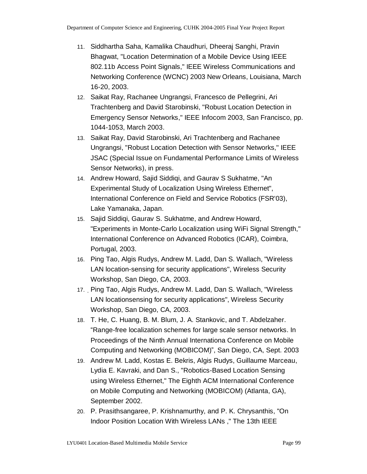- 11. Siddhartha Saha, Kamalika Chaudhuri, Dheeraj Sanghi, Pravin Bhagwat, "Location Determination of a Mobile Device Using IEEE 802.11b Access Point Signals," IEEE Wireless Communications and Networking Conference (WCNC) 2003 New Orleans, Louisiana, March 16-20, 2003.
- 12. Saikat Ray, Rachanee Ungrangsi, Francesco de Pellegrini, Ari Trachtenberg and David Starobinski, "Robust Location Detection in Emergency Sensor Networks," IEEE Infocom 2003, San Francisco, pp. 1044-1053, March 2003.
- 13. Saikat Ray, David Starobinski, Ari Trachtenberg and Rachanee Ungrangsi, "Robust Location Detection with Sensor Networks,'' IEEE JSAC (Special Issue on Fundamental Performance Limits of Wireless Sensor Networks), in press.
- 14. Andrew Howard, Sajid Siddiqi, and Gaurav S Sukhatme, "An Experimental Study of Localization Using Wireless Ethernet", International Conference on Field and Service Robotics (FSR'03), Lake Yamanaka, Japan.
- 15. Sajid Siddiqi, Gaurav S. Sukhatme, and Andrew Howard, "Experiments in Monte-Carlo Localization using WiFi Signal Strength," International Conference on Advanced Robotics (ICAR), Coimbra, Portugal, 2003.
- 16. Ping Tao, Algis Rudys, Andrew M. Ladd, Dan S. Wallach, "Wireless LAN location-sensing for security applications", Wireless Security Workshop, San Diego, CA, 2003.
- 17. Ping Tao, Algis Rudys, Andrew M. Ladd, Dan S. Wallach, "Wireless LAN locationsensing for security applications", Wireless Security Workshop, San Diego, CA, 2003.
- 18. T. He, C. Huang, B. M. Blum, J. A. Stankovic, and T. Abdelzaher. "Range-free localization schemes for large scale sensor networks. In Proceedings of the Ninth Annual Internationa Conference on Mobile Computing and Networking (MOBICOM)", San Diego, CA, Sept. 2003
- 19. Andrew M. Ladd, Kostas E. Bekris, Algis Rudys, Guillaume Marceau, Lydia E. Kavraki, and Dan S., "Robotics-Based Location Sensing using Wireless Ethernet," The Eighth ACM International Conference on Mobile Computing and Networking (MOBICOM) (Atlanta, GA), September 2002.
- 20. P. Prasithsangaree, P. Krishnamurthy, and P. K. Chrysanthis, "On Indoor Position Location With Wireless LANs ," The 13th IEEE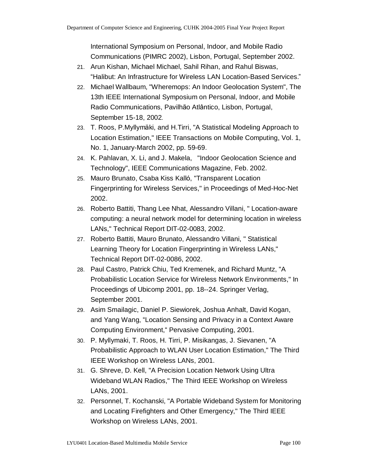International Symposium on Personal, Indoor, and Mobile Radio Communications (PIMRC 2002), Lisbon, Portugal, September 2002.

- 21. Arun Kishan, Michael Michael, Sahil Rihan, and Rahul Biswas, "Halibut: An Infrastructure for Wireless LAN Location-Based Services."
- 22. Michael Wallbaum, "Wheremops: An Indoor Geolocation System", The 13th IEEE International Symposium on Personal, Indoor, and Mobile Radio Communications, Pavilhão Atlântico, Lisbon, Portugal, September 15-18, 2002.
- 23. T. Roos, P.Myllymäki, and H.Tirri, "A Statistical Modeling Approach to Location Estimation," IEEE Transactions on Mobile Computing, Vol. 1, No. 1, January-March 2002, pp. 59-69.
- 24. K. Pahlavan, X. Li, and J. Makela, "Indoor Geolocation Science and Technology", IEEE Communications Magazine, Feb. 2002.
- 25. Mauro Brunato, Csaba Kiss Kalló, "Transparent Location Fingerprinting for Wireless Services," in Proceedings of Med-Hoc-Net 2002.
- 26. Roberto Battiti, Thang Lee Nhat, Alessandro Villani, " Location-aware computing: a neural network model for determining location in wireless LANs," Technical Report DIT-02-0083, 2002.
- 27. Roberto Battiti, Mauro Brunato, Alessandro Villani, " Statistical Learning Theory for Location Fingerprinting in Wireless LANs," Technical Report DIT-02-0086, 2002.
- 28. Paul Castro, Patrick Chiu, Ted Kremenek, and Richard Muntz, "A Probabilistic Location Service for Wireless Network Environments," In Proceedings of Ubicomp 2001, pp. 18--24. Springer Verlag, September 2001.
- 29. Asim Smailagic, Daniel P. Siewiorek, Joshua Anhalt, David Kogan, and Yang Wang, "Location Sensing and Privacy in a Context Aware Computing Environment," Pervasive Computing, 2001.
- 30. P. Myllymaki, T. Roos, H. Tirri, P. Misikangas, J. Sievanen, "A Probabilistic Approach to WLAN User Location Estimation," The Third IEEE Workshop on Wireless LANs, 2001.
- 31. G. Shreve, D. Kell, "A Precision Location Network Using Ultra Wideband WLAN Radios," The Third IEEE Workshop on Wireless LANs, 2001.
- 32. Personnel, T. Kochanski, "A Portable Wideband System for Monitoring and Locating Firefighters and Other Emergency," The Third IEEE Workshop on Wireless LANs, 2001.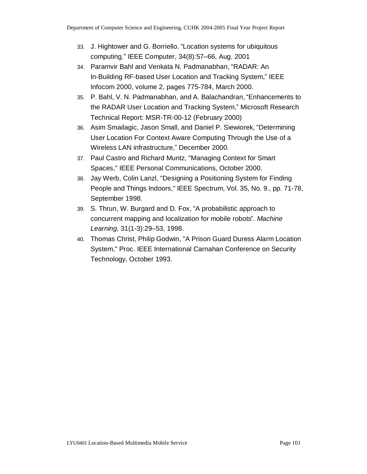- 33. J. Hightower and G. Borriello. "Location systems for ubiquitous computing." IEEE Computer, 34(8):57–66, Aug. 2001
- 34. Paramvir Bahl and Venkata N. Padmanabhan, "RADAR: An In-Building RF-based User Location and Tracking System," IEEE Infocom 2000, volume 2, pages 775-784, March 2000.
- 35. P. Bahl, V. N. Padmanabhan, and A. Balachandran, "Enhancements to the RADAR User Location and Tracking System," Microsoft Research Technical Report: MSR-TR-00-12 (February 2000)
- 36. Asim Smailagic, Jason Small, and Daniel P. Siewiorek, "Determining User Location For Context Aware Computing Through the Use of a Wireless LAN infrastructure," December 2000.
- 37. Paul Castro and Richard Muntz, "Managing Context for Smart Spaces," IEEE Personal Communications, October 2000.
- 38. Jay Werb, Colin Lanzl, "Designing a Positioning System for Finding People and Things Indoors," IEEE Spectrum, Vol. 35, No. 9., pp. 71-78, September 1998.
- 39. S. Thrun, W. Burgard and D. Fox, "A probabilistic approach to concurrent mapping and localization for mobile robots". *Machine Learning*, 31(1-3):29–53, 1998.
- 40. Thomas Christ, Philip Godwin, "A Prison Guard Duress Alarm Location System," Proc. IEEE International Carnahan Conference on Security Technology, October 1993.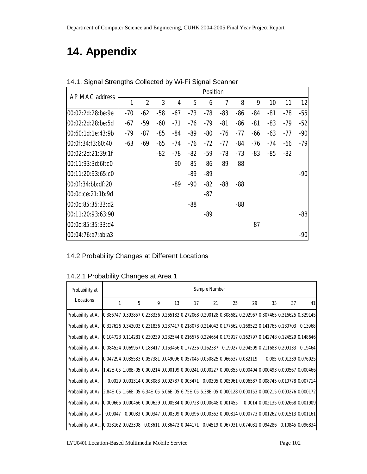# **14. Appendix**

| AP MAC address    |              |                  |       |       |                | <b>Position</b> |       |       |       |       |       |       |
|-------------------|--------------|------------------|-------|-------|----------------|-----------------|-------|-------|-------|-------|-------|-------|
|                   | $\mathbf{1}$ | $\boldsymbol{2}$ | 3     | 4     | $\overline{5}$ | 6               | 7     | 8     | 9     | 10    | 11    | 12    |
| 00:02:2d:28:be:9e | $-70$        | $-62$            | $-58$ | $-67$ | $-73$          | $-78$           | $-83$ | $-86$ | $-84$ | $-81$ | $-78$ | $-55$ |
| 00:02:2d:28:be:5d | $-67$        | $-59$            | -60   | $-71$ | -76            | $-79$           | $-81$ | $-86$ | $-81$ | $-83$ | $-79$ | $-52$ |
| 00:60:1d:1e:43:9b | $-79$        | $-87$            | $-85$ | -84   | -89            | $-80$           | $-76$ | $-77$ | $-66$ | $-63$ | $-77$ | $-90$ |
| 00:0f:34:f3:60:40 | $-63$        | $-69$            | $-65$ | -74   | -76            | $-72$           | $-77$ | $-84$ | $-76$ | -74   | -66   | $-79$ |
| 00:02:2d:21:39:1f |              |                  | $-82$ | -78   | $-82$          | $-59$           | $-78$ | $-73$ | $-83$ | $-85$ | $-82$ |       |
| 00:11:93:3d:6f:c0 |              |                  |       | $-90$ | $-85$          | $-86$           | $-89$ | $-88$ |       |       |       |       |
| 00:11:20:93:65:c0 |              |                  |       |       | $-89$          | $-89$           |       |       |       |       |       | $-90$ |
| 00:0f:34:bb:df:20 |              |                  |       | -89   | -90            | $-82$           | $-88$ | $-88$ |       |       |       |       |
| 00:0c:ce:21:1b:9d |              |                  |       |       |                | $-87$           |       |       |       |       |       |       |
| 00:0c:85:35:33:d2 |              |                  |       |       | $-88$          |                 |       | $-88$ |       |       |       |       |
| 00:11:20:93:63:90 |              |                  |       |       |                | $-89$           |       |       |       |       |       | $-88$ |
| 00:0c:85:35:33:d4 |              |                  |       |       |                |                 |       |       | $-87$ |       |       |       |
| 00:04:76:a7:ab:a3 |              |                  |       |       |                |                 |       |       |       |       |       | $-90$ |

14.1. Signal Strengths Collected by Wi-Fi Signal Scanner

### 14.2 Probability Changes at Different Locations

14.2.1 Probability Changes at Area 1

| Probability at                                                                                                                   |              | Sample Number |   |    |                                                                                                 |    |    |    |    |    |                         |  |  |
|----------------------------------------------------------------------------------------------------------------------------------|--------------|---------------|---|----|-------------------------------------------------------------------------------------------------|----|----|----|----|----|-------------------------|--|--|
| Locations                                                                                                                        | $\mathbf{1}$ | $5^{\circ}$   | 9 | 13 | 17                                                                                              | 21 | 25 | 29 | 33 | 37 | 41                      |  |  |
| Probability at A: 0.386747 0.393857 0.238336 0.265182 0.272068 0.290128 0.308682 0.292967 0.307465 0.316625 0.329145             |              |               |   |    |                                                                                                 |    |    |    |    |    |                         |  |  |
| Probability at A <sub>2</sub> 0.327626 0.343003 0.231836 0.237417 0.218078 0.214042 0.177562 0.168522 0.141765 0.130703 0.13968  |              |               |   |    |                                                                                                 |    |    |    |    |    |                         |  |  |
| Probability at A <sub>3</sub> 0.104723 0.114281 0.230239 0.232544 0.216576 0.224654 0.173917 0.162797 0.142748 0.124529 0.148646 |              |               |   |    |                                                                                                 |    |    |    |    |    |                         |  |  |
| Probability at A <sub>1</sub> 0.084524 0.069957 0.188417 0.163456 0.177236 0.162337 0.19027 0.204509 0.211683 0.209133 0.19464   |              |               |   |    |                                                                                                 |    |    |    |    |    |                         |  |  |
| Probability at A <sub>5</sub> 0.047294 0.035533 0.057381 0.049096 0.057045 0.050825 0.066537 0.082119                            |              |               |   |    |                                                                                                 |    |    |    |    |    | 0.085 0.091239 0.076025 |  |  |
| Probability at A <sub>s</sub> 1.42E-05 1.08E-05 0.000214 0.000199 0.000241 0.000227 0.000355 0.000404 0.000493 0.000567 0.000466 |              |               |   |    |                                                                                                 |    |    |    |    |    |                         |  |  |
| Probability at $A_7$                                                                                                             |              |               |   |    | 0.0019 0.001314 0.003083 0.002787 0.003471 0.00305 0.005961 0.006587 0.008745 0.010778 0.007714 |    |    |    |    |    |                         |  |  |
| Probability at As 2.84E-05 1.66E-05 6.34E-05 5.06E-05 6.75E-05 5.38E-05 0.000128 0.000153 0.000215 0.000276 0.000172             |              |               |   |    |                                                                                                 |    |    |    |    |    |                         |  |  |
| Probability at A <sub>®</sub> 0.000665 0.000466 0.000629 0.000584 0.000728 0.000648 0.001455 0.0014 0.002135 0.002668 0.001909   |              |               |   |    |                                                                                                 |    |    |    |    |    |                         |  |  |
| Probability at $A_{10}$   0.00047 0.00033 0.000347 0.000309 0.000396 0.000363 0.000814 0.000773 0.001262 0.001513 0.001161       |              |               |   |    |                                                                                                 |    |    |    |    |    |                         |  |  |
| Probability at A <sub>11</sub> 0.028162 0.023308 0.03611 0.036472 0.044171 0.04519 0.067931 0.074031 0.094286 0.10845 0.096834   |              |               |   |    |                                                                                                 |    |    |    |    |    |                         |  |  |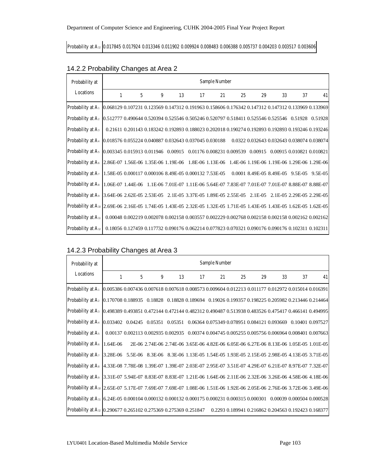Probability at A<sup>12</sup> 0.017845 0.017924 0.013346 0.011902 0.009924 0.008483 0.006388 0.005737 0.004203 0.003517 0.003606

| Probability at                                                                                                                    | Sample Number |             |   |                                                                                                   |    |    |    |    |    |    |    |
|-----------------------------------------------------------------------------------------------------------------------------------|---------------|-------------|---|---------------------------------------------------------------------------------------------------|----|----|----|----|----|----|----|
| Locations                                                                                                                         | $\mathbf{1}$  | $5^{\circ}$ | 9 | 13                                                                                                | 17 | 21 | 25 | 29 | 33 | 37 | 41 |
| Probability at A <sub>1</sub> 0.068129 0.107231 0.123569 0.147312 0.191963 0.158606 0.176342 0.147312 0.147312 0.133969 0.133969  |               |             |   |                                                                                                   |    |    |    |    |    |    |    |
| Probability at A2   0.512777 0.490644 0.520394 0.525546 0.505246 0.520797 0.518411 0.525546 0.525546 0.51928 0.51928              |               |             |   |                                                                                                   |    |    |    |    |    |    |    |
| <b>Probability at A<sub>3</sub></b>                                                                                               |               |             |   | 0.21611 0.201143 0.183242 0.192893 0.188023 0.202018 0.190274 0.192893 0.192893 0.193246 0.193246 |    |    |    |    |    |    |    |
| Probability at A <sub>4</sub> 0.018576 0.055224 0.040887 0.032643 0.037045 0.030188 0.0322 0.032643 0.032643 0.038074 0.038074    |               |             |   |                                                                                                   |    |    |    |    |    |    |    |
| Probability at A <sub>5</sub> 0.003345 0.015913 0.011946 0.00915 0.01176 0.008231 0.009539 0.00915 0.00915 0.010821 0.010821      |               |             |   |                                                                                                   |    |    |    |    |    |    |    |
| Probability at A <sub>8</sub> 2.86E-07 1.56E-06 1.35E-06 1.19E-06 1.8E-06 1.13E-06 1.4E-06 1.19E-06 1.19E-06 1.29E-06 1.29E-06    |               |             |   |                                                                                                   |    |    |    |    |    |    |    |
| Probability at A <sub>7</sub> 1.58E-05 0.000117 0.000106 8.49E-05 0.000132 7.53E-05 0.0001 8.49E-05 8.49E-05 9.5E-05 9.5E-05      |               |             |   |                                                                                                   |    |    |    |    |    |    |    |
| Probability at A <sub>8</sub> 1.06E-07 1.44E-06 1.1E-06 7.01E-07 1.11E-06 5.64E-07 7.83E-07 7.01E-07 7.01E-07 8.88E-07 8.88E-07   |               |             |   |                                                                                                   |    |    |    |    |    |    |    |
| Probability at A <sub>9</sub> 3.64E-06 2.62E-05 2.53E-05 2.1E-05 3.37E-05 1.89E-05 2.55E-05 2.1E-05 2.1E-05 2.29E-05 2.29E-05     |               |             |   |                                                                                                   |    |    |    |    |    |    |    |
| Probability at A <sub>10</sub> 2.69E-06 2.16E-05 1.74E-05 1.43E-05 2.32E-05 1.32E-05 1.71E-05 1.43E-05 1.43E-05 1.62E-05 1.62E-05 |               |             |   |                                                                                                   |    |    |    |    |    |    |    |
| Probability at A <sub>11</sub>                                                                                                    |               |             |   | 0.00048 0.002219 0.002078 0.002158 0.003557 0.002229 0.002768 0.002158 0.002158 0.002162 0.002162 |    |    |    |    |    |    |    |
| Probability at A <sub>12</sub> 0.18056 0.127459 0.117732 0.090176 0.062214 0.077823 0.070321 0.090176 0.090176 0.102311 0.102311  |               |             |   |                                                                                                   |    |    |    |    |    |    |    |

### 14.2.2 Probability Changes at Area 2

#### 14.2.3 Probability Changes at Area 3

| Probability at                                                                                                                     |              | Sample Number |   |    |    |    |    |    |                                                                                                  |    |    |  |  |  |
|------------------------------------------------------------------------------------------------------------------------------------|--------------|---------------|---|----|----|----|----|----|--------------------------------------------------------------------------------------------------|----|----|--|--|--|
| <b>Locations</b>                                                                                                                   | $\mathbf{1}$ | 5             | 9 | 13 | 17 | 21 | 25 | 29 | 33                                                                                               | 37 | 41 |  |  |  |
| Probability at A <sub>1</sub> (0.005386 0.007436 0.007618 0.007618 0.008573 0.009604 0.012213 0.011177 0.012972 0.015014 0.016391  |              |               |   |    |    |    |    |    |                                                                                                  |    |    |  |  |  |
| Probability at A <sub>2</sub> (0.170708 0.188935 0.18828 0.18828 0.189694 0.19026 0.199357 0.198225 0.205982 0.213446 0.214464     |              |               |   |    |    |    |    |    |                                                                                                  |    |    |  |  |  |
| Probability at A <sub>3</sub> 0.498389 0.493851 0.472144 0.472144 0.482312 0.490487 0.513938 0.483526 0.475417 0.466141 0.494995   |              |               |   |    |    |    |    |    |                                                                                                  |    |    |  |  |  |
| Probability at A <sub>4</sub> [0.033402 0.04245 0.05351 0.05351 0.06364 0.075349 0.078951 0.084121 0.093669 0.10401 0.097527       |              |               |   |    |    |    |    |    |                                                                                                  |    |    |  |  |  |
| Probability at A <sub>5</sub>                                                                                                      |              |               |   |    |    |    |    |    | 0.00137 0.002113 0.002935 0.002935 0.00374 0.004745 0.005255 0.005756 0.006964 0.008401 0.007663 |    |    |  |  |  |
| Probability at $A_6$ 1.64E-06                                                                                                      |              |               |   |    |    |    |    |    | 2E-06 2.74E-06 2.74E-06 3.65E-06 4.82E-06 6.05E-06 6.27E-06 8.13E-06 1.05E-05 1.01E-05           |    |    |  |  |  |
| Probability at A <sub>7</sub> 3.28E-06 5.5E-06 8.3E-06 8.3E-06 1.13E-05 1.54E-05 1.93E-05 2.15E-05 2.98E-05 4.13E-05 3.71E-05      |              |               |   |    |    |    |    |    |                                                                                                  |    |    |  |  |  |
| Probability at A <sub>8</sub>   4.33E-08 7.78E-08 1.39E-07 1.39E-07 2.03E-07 2.95E-07 3.51E-07 4.29E-07 6.21E-07 8.97E-07 7.32E-07 |              |               |   |    |    |    |    |    |                                                                                                  |    |    |  |  |  |
| Probability at A 3.31E-07 5.94E-07 8.83E-07 8.83E-07 1.21E-06 1.64E-06 2.11E-06 2.32E-06 3.26E-06 4.58E-06 4.18E-06                |              |               |   |    |    |    |    |    |                                                                                                  |    |    |  |  |  |
| Probability at A10 2.65E-07 5.17E-07 7.69E-07 7.69E-07 1.08E-06 1.51E-06 1.92E-06 2.05E-06 2.76E-06 3.72E-06 3.49E-06              |              |               |   |    |    |    |    |    |                                                                                                  |    |    |  |  |  |
| Probability at A <sub>11</sub> [6.24E-05 0.000104 0.000132 0.000132 0.000175 0.000231 0.000315 0.000301 0.00039 0.000504 0.000528  |              |               |   |    |    |    |    |    |                                                                                                  |    |    |  |  |  |
| Probability at A12 0.290677 0.265102 0.275369 0.275369 0.251847 0.2293 0.189941 0.216862 0.204563 0.192423 0.168377                |              |               |   |    |    |    |    |    |                                                                                                  |    |    |  |  |  |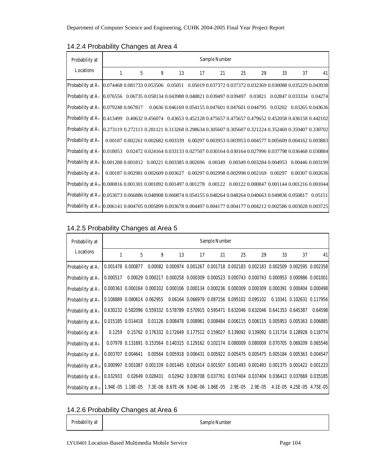| Probability at                                                                                                                    |              |   |   |    |    | Sample Number |    |                                                                                                  |    |    |    |
|-----------------------------------------------------------------------------------------------------------------------------------|--------------|---|---|----|----|---------------|----|--------------------------------------------------------------------------------------------------|----|----|----|
| Locations                                                                                                                         | $\mathbf{1}$ | 5 | 9 | 13 | 17 | 21            | 25 | 29                                                                                               | 33 | 37 | 41 |
| Probability at A <sub>1</sub> 0.074468 0.081733 0.053506 0.05051 0.05019 0.037372 0.037372 0.032369 0.030088 0.035229 0.043938    |              |   |   |    |    |               |    |                                                                                                  |    |    |    |
| Probability at A <sub>2</sub> 0.076556 0.06735 0.058134 0.043988 0.048821 0.039497 0.039497 0.03821 0.02847 0.033334 0.04274      |              |   |   |    |    |               |    |                                                                                                  |    |    |    |
| Probability at A <sub>3</sub> [0.079248 0.067817 0.0636 0.046169 0.054155 0.047601 0.047601 0.044795 0.03202 0.03265 0.043636     |              |   |   |    |    |               |    |                                                                                                  |    |    |    |
| Probability at A <sub>1</sub> 0.413499 0.40632 0.456074 0.43653 0.452128 0.475657 0.475657 0.479652 0.452058 0.436158 0.442102    |              |   |   |    |    |               |    |                                                                                                  |    |    |    |
| Probability at A <sub>5</sub> [0.273119 0.272113 0.281121 0.313268 0.298634 0.305607 0.305607 0.321224 0.352469 0.359407 0.330702 |              |   |   |    |    |               |    |                                                                                                  |    |    |    |
| Probability at $A_6$                                                                                                              |              |   |   |    |    |               |    | 0.00187 0.002261 0.002682 0.003339 0.00297 0.003953 0.003953 0.004577 0.005609 0.004162 0.003883 |    |    |    |
| Probability at A <sub>7</sub> [0.018053 0.02472 0.024164 0.033133 0.027507 0.030164 0.030164 0.027996 0.037798 0.036468 0.030884  |              |   |   |    |    |               |    |                                                                                                  |    |    |    |
| Probability at A <sub>8</sub> [0.001288 0.001812 0.00221 0.003385 0.002696 0.00349 0.00349 0.003284 0.004953 0.00446 0.003199     |              |   |   |    |    |               |    |                                                                                                  |    |    |    |
| Probability at A <sub>9</sub>                                                                                                     |              |   |   |    |    |               |    | $0.001870.0029810.0026090.0036270.002970.0029980.0029980.0021690.002970.003070.002636$           |    |    |    |
| Probability at A <sub>10</sub> 0.000816 0.001301 0.001092 0.001497 0.001278 0.00122 0.00122 0.000847 0.001144 0.001216 0.001044   |              |   |   |    |    |               |    |                                                                                                  |    |    |    |
| Probability at A <sub>11</sub> 0.053073 0.066886 0.048908 0.060874 0.054155 0.048264 0.048264 0.040663 0.049836 0.050817 0.05151  |              |   |   |    |    |               |    |                                                                                                  |    |    |    |
| Probability at A <sub>12</sub> 0.006141 0.004705 0.005899 0.003678 0.004497 0.004177 0.004177 0.004212 0.002586 0.003028 0.003725 |              |   |   |    |    |               |    |                                                                                                  |    |    |    |

#### 14.2.4 Probability Changes at Area 4

#### 14.2.5 Probability Changes at Area 5

| Probability at<br>Locations                                                                                                       |          |   |                                                                                           |    |    | <b>Sample Number</b> |           |            |    |                                                                                                                                                                  |         |
|-----------------------------------------------------------------------------------------------------------------------------------|----------|---|-------------------------------------------------------------------------------------------|----|----|----------------------|-----------|------------|----|------------------------------------------------------------------------------------------------------------------------------------------------------------------|---------|
|                                                                                                                                   | 1        | 5 | 9                                                                                         | 13 | 17 | 21                   | 25        | 29         | 33 | 37                                                                                                                                                               | 41      |
| Probability at A                                                                                                                  |          |   |                                                                                           |    |    |                      |           |            |    | 0.001478 0.000877 0.00082 0.000974 0.001267 0.001718 0.002183 0.002183 0.002509 0.002595 0.002358                                                                |         |
| <b>Probability at Az</b>                                                                                                          | 0.000517 |   |                                                                                           |    |    |                      |           |            |    | $0.00029$ $0.000217$ $0.000258$ $0.000309$ $0.000523$ $0.000743$ $0.000743$ $0.000953$ $0.000986$ $0.001001$                                                     |         |
| Probability at A <sub>3</sub>                                                                                                     |          |   |                                                                                           |    |    |                      |           |            |    | $0.000363 \quad 0.000164 \quad 0.000102 \quad 0.000106 \quad 0.000134 \quad 0.000236 \quad 0.000309 \quad 0.000309 \quad 0.000391 \quad 0.000404 \quad 0.000498$ |         |
| Probability at A <sub>4</sub>                                                                                                     |          |   | 0.108889 0.080614 0.062955 0.06164 0.066979 0.087156 0.095102 0.095102                    |    |    |                      |           |            |    | 0.10341 0.102631 0.117956                                                                                                                                        |         |
| Probability at A <sub>5</sub>                                                                                                     |          |   | 0.630232 0.582096 0.559332 0.578789 0.570915 0.595471 0.632046 0.632046 0.641353 0.645387 |    |    |                      |           |            |    |                                                                                                                                                                  | 0.64598 |
| Probability at A <sub>6</sub>                                                                                                     |          |   |                                                                                           |    |    |                      |           |            |    | 0.015185 0.014418 0.01126 0.008478 0.008961 0.008484 0.006115 0.006115 0.005953 0.005363 0.006885                                                                |         |
| <b>Probability at A</b>                                                                                                           | 0.1259   |   |                                                                                           |    |    |                      |           |            |    | 0.15762 0.176332 0.172649 0.177512 0.159027 0.139092 0.139092 0.131714 0.128928 0.118774                                                                         |         |
| Probability at A <sub>8</sub>                                                                                                     |          |   |                                                                                           |    |    |                      |           |            |    | 0.07978 0.131691 0.153564 0.140315 0.129162 0.102174 0.080009 0.080009 0.070705 0.069209 0.065546                                                                |         |
| <b>Probability at A</b>                                                                                                           |          |   |                                                                                           |    |    |                      |           |            |    | 0.003707 0.004641 0.00564 0.005918 0.006431 0.005922 0.005475 0.005475 0.005184 0.005363 0.004547                                                                |         |
| Probability at A <sub>10</sub> 0.000997 0.001087 0.001339 0.001445 0.001614 0.001507 0.001493 0.001493 0.001375 0.001422 0.001223 |          |   |                                                                                           |    |    |                      |           |            |    |                                                                                                                                                                  |         |
| Probability at A <sub>11</sub>   0.032933 0.02649 0.028431 0.02942 0.036708 0.037761 0.037404 0.037404 0.036413 0.037669 0.035185 |          |   |                                                                                           |    |    |                      |           |            |    |                                                                                                                                                                  |         |
| Probability at A <sub>12</sub> 1.94E-05 1.18E-05 7.3E-06 8.67E-06 9.04E-06 1.86E-05                                               |          |   |                                                                                           |    |    |                      | $2.9E-05$ | $2.9E-0.5$ |    | 4.1E-05 4.25E-05 4.75E-05                                                                                                                                        |         |

14.2.6 Probability Changes at Area 6

Probability at Sample Number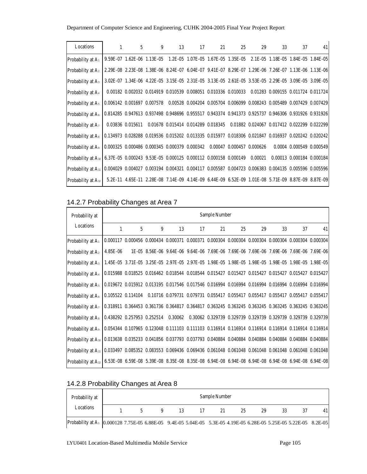| Locations                                                                                             |                                                                                                                                                                  | $1 -$ | $5\degree$ | $9^{\circ}$<br>13 | $17 \quad \text{or}$ |  | 29 | $33^{\circ}$<br>37 | 41                                                                                                                      |
|-------------------------------------------------------------------------------------------------------|------------------------------------------------------------------------------------------------------------------------------------------------------------------|-------|------------|-------------------|----------------------|--|----|--------------------|-------------------------------------------------------------------------------------------------------------------------|
| Probability at A <sub>1</sub>                                                                         |                                                                                                                                                                  |       |            |                   |                      |  |    |                    | 9.59E-07 1.62E-06 1.13E-05 1.2E-05 1.07E-05 1.67E-05 1.35E-05 2.1E-05 1.18E-05 1.84E-05 1.84E-05                        |
| Probability at $A_2$                                                                                  |                                                                                                                                                                  |       |            |                   |                      |  |    |                    | 2.29E-08 2.23E-08 1.38E-06 8.24E-07 6.04E-07 9.41E-07 8.29E-07 1.29E-06 7.26E-07 1.13E-06 1.13E-06                      |
| Probability at A <sub>3</sub>                                                                         |                                                                                                                                                                  |       |            |                   |                      |  |    |                    | 3.02E-07 1.34E-06 4.22E-05 3.15E-05 2.31E-05 3.13E-05 2.61E-05 3.53E-05 2.29E-05 3.09E-05 3.09E-05                      |
| <b>Probability at A</b>                                                                               |                                                                                                                                                                  |       |            |                   |                      |  |    |                    | 0.00182 0.002032 0.014919 0.010539 0.008051 0.010336 0.010033 0.01283 0.009155 0.011724 0.011724                        |
| Probability at A <sub>5</sub>                                                                         |                                                                                                                                                                  |       |            |                   |                      |  |    |                    | $0.006142$ $0.001697$ $0.007578$ $0.00528$ $0.004204$ $0.005704$ $0.006099$ $0.008243$ $0.005489$ $0.007429$ $0.007429$ |
| Probability at $A_6$                                                                                  |                                                                                                                                                                  |       |            |                   |                      |  |    |                    | 0.814285 0.947613 0.937498 0.948696 0.955517 0.943374 0.941373 0.925737 0.946306 0.931926 0.931926                      |
| Probability at $A_7$                                                                                  |                                                                                                                                                                  |       |            |                   |                      |  |    |                    | 0.03836 0.015611 0.01678 0.015414 0.014289 0.018345 0.01882 0.024067 0.017412 0.022299 0.022299                         |
| <b>Probability at A</b> <sub>8</sub>                                                                  |                                                                                                                                                                  |       |            |                   |                      |  |    |                    | 0.134973 0.028288 0.019536 0.015202 0.013335 0.015977 0.018306 0.021847 0.016937 0.020242 0.020242                      |
| <b>Probability at A</b>                                                                               |                                                                                                                                                                  |       |            |                   |                      |  |    |                    | $0.000325$ $0.000486$ $0.000345$ $0.000379$ $0.000342$ $0.00047$ $0.000457$ $0.000626$ $0.0004$ $0.000549$ $0.000549$   |
| Probability at A <sub>10</sub> 6.37E-05 0.000243 9.53E-05 0.000125 0.000112 0.000158 0.000149 0.00021 |                                                                                                                                                                  |       |            |                   |                      |  |    |                    | 0.00013 0.000184 0.000184                                                                                               |
| Probability at A <sub>11</sub>                                                                        | $0.004029 \quad 0.004027 \quad 0.003194 \quad 0.004321 \quad 0.004117 \quad 0.005587 \quad 0.004723 \quad 0.006383 \quad 0.004135 \quad 0.005596 \quad 0.005596$ |       |            |                   |                      |  |    |                    |                                                                                                                         |
| Probability at $A_{12}$                                                                               |                                                                                                                                                                  |       |            |                   |                      |  |    |                    | 5.2E-11 4.65E-11 2.28E-08 7.14E-09 4.14E-09 6.44E-09 6.52E-09 1.01E-08 5.71E-09 8.87E-09 8.87E-09                       |

### 14.2.7 Probability Changes at Area 7

| Probability at<br>Locations                                                                                           |                                                                                                                          |   |   |    |    | Sample Number |                                                                                                                                                                  |    |    |    |    |
|-----------------------------------------------------------------------------------------------------------------------|--------------------------------------------------------------------------------------------------------------------------|---|---|----|----|---------------|------------------------------------------------------------------------------------------------------------------------------------------------------------------|----|----|----|----|
|                                                                                                                       | $\mathbf{1}$                                                                                                             | 5 | 9 | 13 | 17 | 21            | 25                                                                                                                                                               | 29 | 33 | 37 | 41 |
| Probability at A                                                                                                      |                                                                                                                          |   |   |    |    |               | $0.000117 \quad 0.000456 \quad 0.000434 \quad 0.000371 \quad 0.000371 \quad 0.000304 \quad 0.000304 \quad 0.000304 \quad 0.000304 \quad 0.000304 \quad 0.000304$ |    |    |    |    |
| Probability at $A_2$                                                                                                  | 4.85E-06                                                                                                                 |   |   |    |    |               | 1E-05 8.56E-06 9.64E-06 9.64E-06 7.69E-06 7.69E-06 7.69E-06 7.69E-06 7.69E-06 7.69E-06                                                                           |    |    |    |    |
| <b>Probability at A</b> <sub>3</sub>                                                                                  |                                                                                                                          |   |   |    |    |               | 1.45E-05 3.71E-05 3.25E-05 2.97E-05 2.97E-05 1.98E-05 1.98E-05 1.98E-05 1.98E-05 1.98E-05 1.98E-05                                                               |    |    |    |    |
| Probability at A <sub>4</sub>                                                                                         |                                                                                                                          |   |   |    |    |               | 0.015988 0.018525 0.016462 0.018544 0.018544 0.015427 0.015427 0.015427 0.015427 0.015427 0.015427                                                               |    |    |    |    |
| <b>Probability at As</b>                                                                                              |                                                                                                                          |   |   |    |    |               | 0.019672 0.015912 0.013195 0.017546 0.017546 0.016994 0.016994 0.016994 0.016994 0.016994 0.016994                                                               |    |    |    |    |
| Probability at A <sub>6</sub>                                                                                         |                                                                                                                          |   |   |    |    |               | 0.105522 0.114104 0.10716 0.079731 0.079731 0.055417 0.055417 0.055417 0.055417 0.055417 0.055417                                                                |    |    |    |    |
| Probability at A <sub>7</sub>                                                                                         |                                                                                                                          |   |   |    |    |               | 0.318911 0.364453 0.361736 0.364817 0.364817 0.363245 0.363245 0.363245 0.363245 0.363245 0.363245                                                               |    |    |    |    |
| <b>Probability at A</b>                                                                                               |                                                                                                                          |   |   |    |    |               | 0.438292 0.257953 0.252514 0.30062 0.30062 0.329739 0.329739 0.329739 0.329739 0.329739 0.329739                                                                 |    |    |    |    |
| <b>Probability at A</b>                                                                                               |                                                                                                                          |   |   |    |    |               | 0.054344 0.107965 0.123048 0.111103 0.111103 0.116914 0.116914 0.116914 0.116914 0.116914 0.116914                                                               |    |    |    |    |
| Probability at A10 0.013638 0.035233 0.041856 0.037793 0.037793 0.040884 0.040884 0.040884 0.040884 0.040884 0.040884 |                                                                                                                          |   |   |    |    |               |                                                                                                                                                                  |    |    |    |    |
| <b>Probability at A</b> <sub>11</sub>                                                                                 | $0.033497$ $0.085352$ $0.083553$ $0.069436$ $0.069436$ $0.061048$ $0.061048$ $0.061048$ $0.061048$ $0.061048$ $0.061048$ |   |   |    |    |               |                                                                                                                                                                  |    |    |    |    |
| <b>Probability at A</b> <sub>12</sub>                                                                                 |                                                                                                                          |   |   |    |    |               | 6.53E-08 6.59E-08 5.39E-08 8.35E-08 8.35E-08 6.94E-08 6.94E-08 6.94E-08 6.94E-08 6.94E-08 6.94E-08                                                               |    |    |    |    |

### 14.2.8 Probability Changes at Area 8

| Probability at                                                                                                                | Sample Number |   |    |  |    |    |    |  |  |    |  |
|-------------------------------------------------------------------------------------------------------------------------------|---------------|---|----|--|----|----|----|--|--|----|--|
| Locations                                                                                                                     |               | q | 13 |  | 21 | 25 | 29 |  |  | 41 |  |
| Probability at A <sub>1</sub> 0.000128 7.75E-05 6.88E-05 9.4E-05 5.04E-05 5.3E-05 4.19E-05 6.28E-05 5.22E-05 5.22E-05 8.2E-05 |               |   |    |  |    |    |    |  |  |    |  |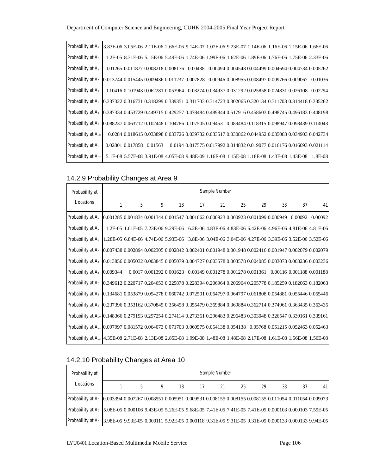| Probability at A <sub>2</sub> 3.83E-06 3.05E-06 2.11E-06 2.66E-06 9.14E-07 1.07E-06 9.23E-07 1.14E-06 1.16E-06 1.15E-06 1.66E-06  |  |  |  |  |  |                                                                                                                     |
|-----------------------------------------------------------------------------------------------------------------------------------|--|--|--|--|--|---------------------------------------------------------------------------------------------------------------------|
| Probability at A <sub>3</sub>                                                                                                     |  |  |  |  |  | 1.2E-05 8.31E-06 5.15E-06 5.49E-06 1.74E-06 1.99E-06 1.62E-06 1.89E-06 1.76E-06 1.75E-06 2.33E-06                   |
| Probability at A <sub>4</sub>                                                                                                     |  |  |  |  |  | $0.01265\ 0.011877\ 0.008218\ 0.008176\quad 0.00438\quad 0.00494\ 0.004548\ 0.004499\ 0.004694\ 0.004734\ 0.005262$ |
| Probability at A <sub>5</sub> 0.013744 0.015445 0.009436 0.011237 0.007828 0.00946 0.008955 0.008497 0.009766 0.009067 0.01036    |  |  |  |  |  |                                                                                                                     |
| Probability at A <sub>8</sub> 0.10416 0.101943 0.062281 0.053964 0.03274 0.034937 0.031292 0.025858 0.024831 0.026108 0.02294     |  |  |  |  |  |                                                                                                                     |
| Probability at A <sub>7</sub> (0.337322 0.316731 0.318299 0.339351 0.311703 0.314723 0.302065 0.320134 0.311703 0.314418 0.335262 |  |  |  |  |  |                                                                                                                     |
| Probability at As 0.387334 0.453729 0.449715 0.429257 0.478484 0.489844 0.517916 0.458603 0.498745 0.496183 0.448198              |  |  |  |  |  |                                                                                                                     |
| Probability at A <sub>9</sub> 0.088237 0.063712 0.102448 0.104786 0.107505 0.094531 0.089484 0.118315 0.098947 0.098439 0.114043  |  |  |  |  |  |                                                                                                                     |
| Probability at A <sub>10</sub>                                                                                                    |  |  |  |  |  | 0.0284 0.018615 0.033898 0.033726 0.039732 0.033517 0.030862 0.044952 0.035083 0.034903 0.042734                    |
| Probability at A <sub>11</sub>                                                                                                    |  |  |  |  |  | 0.02801 0.017858 0.01563 0.0194 0.017575 0.017992 0.014832 0.019077 0.016176 0.016093 0.021114                      |
| Probability at A <sub>12</sub> 5.1E-08 5.57E-08 3.91E-08 4.05E-08 9.48E-09 1.16E-08 1.15E-08 1.18E-08 1.43E-08 1.43E-08 1.8E-08   |  |  |  |  |  |                                                                                                                     |

#### 14.2.9 Probability Changes at Area 9

| Probability at                                                                                                                     |              |   |   |                                                                                                  |    | Sample Number |    |    |    |    |    |
|------------------------------------------------------------------------------------------------------------------------------------|--------------|---|---|--------------------------------------------------------------------------------------------------|----|---------------|----|----|----|----|----|
| Locations                                                                                                                          | $\mathbf{1}$ | 5 | 9 | 13                                                                                               | 17 | 21            | 25 | 29 | 33 | 37 | 41 |
| Probability at A: 0.001285 0.001834 0.001344 0.001547 0.001062 0.000923 0.000923 0.001099 0.000949 0.00092 0.00092                 |              |   |   |                                                                                                  |    |               |    |    |    |    |    |
| Probability at $A_2$                                                                                                               |              |   |   | 1.2E-05 1.01E-05 7.23E-06 9.29E-06 6.2E-06 4.83E-06 4.83E-06 6.42E-06 4.96E-06 4.81E-06 4.81E-06 |    |               |    |    |    |    |    |
| Probability at A <sub>3</sub> 1.28E-05 6.84E-06 4.74E-06 5.93E-06 3.8E-06 3.04E-06 3.04E-06 4.27E-06 3.39E-06 3.52E-06 3.52E-06    |              |   |   |                                                                                                  |    |               |    |    |    |    |    |
| Probability at A <sub>4</sub> 0.007438 0.002894 0.002305 0.002842 0.002401 0.001948 0.001948 0.002416 0.001947 0.002079 0.002079   |              |   |   |                                                                                                  |    |               |    |    |    |    |    |
| Probability at A <sub>5</sub> 0.013856 0.005032 0.003845 0.005079 0.004727 0.003578 0.003578 0.004085 0.003073 0.003236 0.003236   |              |   |   |                                                                                                  |    |               |    |    |    |    |    |
| Probability at A <sub>6</sub> [0.009344 0.0017 0.001392 0.001623 0.00149 0.001278 0.001278 0.001361 0.00116 0.001188 0.001188      |              |   |   |                                                                                                  |    |               |    |    |    |    |    |
| Probability at A <sub>7</sub> 0.349612 0.220717 0.204653 0.225878 0.228394 0.206964 0.206964 0.205778 0.185259 0.182063 0.182063   |              |   |   |                                                                                                  |    |               |    |    |    |    |    |
| Probability at As 0.134681 0.053879 0.054278 0.060742 0.072501 0.064797 0.064797 0.061808 0.054881 0.055446 0.055446               |              |   |   |                                                                                                  |    |               |    |    |    |    |    |
| Probability at A <sub>9</sub> 0.237396 0.353162 0.370845 0.356458 0.355479 0.369884 0.369884 0.362714 0.374961 0.363435 0.363435   |              |   |   |                                                                                                  |    |               |    |    |    |    |    |
| Probability at A <sub>10</sub> [0.148366 0.279193 0.297254 0.274114 0.273361 0.296483 0.296483 0.303048 0.326547 0.339161 0.339161 |              |   |   |                                                                                                  |    |               |    |    |    |    |    |
| Probability at A <sub>11</sub> (0.097997 0.081572 0.064073 0.071703 0.060575 0.054138 0.054138 0.05768 0.051215 0.052463 0.052463  |              |   |   |                                                                                                  |    |               |    |    |    |    |    |
| Probability at A <sub>12</sub> 4.35E-08 2.71E-08 2.13E-08 2.85E-08 1.99E-08 1.48E-08 1.48E-08 2.17E-08 1.61E-08 1.56E-08 1.56E-08  |              |   |   |                                                                                                  |    |               |    |    |    |    |    |

### 14.2.10 Probability Changes at Area 10

| Probability at                                                                                                                   |   |   |    |    | Sample Number |    |    |    |    |    |
|----------------------------------------------------------------------------------------------------------------------------------|---|---|----|----|---------------|----|----|----|----|----|
| Locations                                                                                                                        | 5 | 9 | 13 | 17 | 21            | 25 | 29 | 33 | 37 | 41 |
| Probability at A <sub>1</sub> 0.003394 0.007267 0.008551 0.005951 0.009531 0.008155 0.008155 0.008155 0.011054 0.011054 0.009073 |   |   |    |    |               |    |    |    |    |    |
| Probability at A <sub>2</sub> 5.08E-05 0.000106 9.43E-05 5.26E-05 9.68E-05 7.41E-05 7.41E-05 7.41E-05 0.000103 0.000103 7.59E-05 |   |   |    |    |               |    |    |    |    |    |
| Probability at A <sub>3</sub> 3.98E-05 9.93E-05 0.000111 5.92E-05 0.000118 9.31E-05 9.31E-05 9.31E-05 0.000133 0.000133 9.94E-05 |   |   |    |    |               |    |    |    |    |    |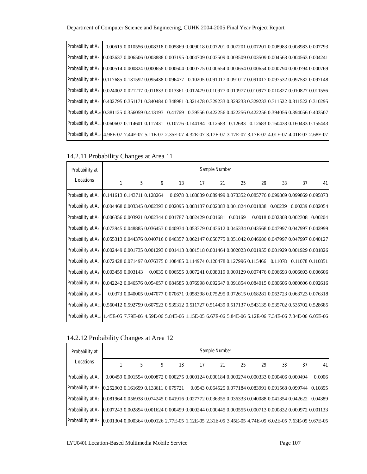| Probability at A <sub>4</sub> 0.00615 0.010556 0.008318 0.005869 0.009018 0.007201 0.007201 0.007201 0.008983 0.008983 0.007793   |  |  |  |  |  |  |
|-----------------------------------------------------------------------------------------------------------------------------------|--|--|--|--|--|--|
| Probability at A <sub>5</sub> 0.003637 0.006506 0.003888 0.003195 0.004709 0.003509 0.003509 0.003509 0.004563 0.004563 0.004241  |  |  |  |  |  |  |
| Probability at A <sub>8</sub> 0.000514 0.000824 0.000658 0.000604 0.000775 0.000654 0.000654 0.000654 0.000794 0.000794 0.000769  |  |  |  |  |  |  |
| Probability at A <sub>7</sub> 0.117685 0.131592 0.095438 0.096477 0.10205 0.091017 0.091017 0.091017 0.097532 0.097532 0.097148   |  |  |  |  |  |  |
| Probability at As 0.024002 0.021217 0.011833 0.013361 0.012479 0.010977 0.010977 0.010977 0.010827 0.010827 0.011556              |  |  |  |  |  |  |
| Probability at As 0.402795 0.351171 0.340484 0.348981 0.321478 0.329233 0.329233 0.329233 0.311522 0.311522 0.310295              |  |  |  |  |  |  |
| Probability at A <sub>10</sub> 0.381125 0.356059 0.413193 0.41769 0.39556 0.422256 0.422256 0.422256 0.394056 0.394056 0.403507   |  |  |  |  |  |  |
| Probability at A <sub>11</sub> 0.060607 0.114601 0.117431 0.10776 0.144184 0.12683 0.12683 0.12683 0.160433 0.160433 0.155443     |  |  |  |  |  |  |
| Probability at A <sub>12</sub> 4.98E-07 7.44E-07 5.11E-07 2.35E-07 4.32E-07 3.17E-07 3.17E-07 3.17E-07 4.01E-07 4.01E-07 2.68E-07 |  |  |  |  |  |  |

#### 14.2.11 Probability Changes at Area 11

| Probability at                                                                                                                    |              |   |   |    |    | Sample Number |    |    |    |    |    |
|-----------------------------------------------------------------------------------------------------------------------------------|--------------|---|---|----|----|---------------|----|----|----|----|----|
| Locations                                                                                                                         | $\mathbf{1}$ | 5 | 9 | 13 | 17 | 21            | 25 | 29 | 33 | 37 | 41 |
| Probability at A <sub>1</sub> [0.141613 0.143711 0.128264 0.0978 0.108039 0.089499 0.078352 0.085776 0.099869 0.099869 0.095873   |              |   |   |    |    |               |    |    |    |    |    |
| Probability at A2 0.004468 0.003345 0.002393 0.002095 0.003137 0.002083 0.001824 0.001838 0.00239 0.00239 0.002054                |              |   |   |    |    |               |    |    |    |    |    |
| Probability at A <sub>3</sub> 0.006356 0.003921 0.002344 0.001787 0.002429 0.001681 0.00169 0.0018 0.002308 0.002308 0.00204      |              |   |   |    |    |               |    |    |    |    |    |
| Probability at A <sub>4</sub> 0.073945 0.048885 0.036453 0.040934 0.053379 0.043612 0.046334 0.043568 0.047997 0.047997 0.042999  |              |   |   |    |    |               |    |    |    |    |    |
| Probability at A <sub>5</sub> 0.055313 0.044376 0.040716 0.046357 0.062147 0.050775 0.051042 0.046686 0.047997 0.047997 0.040127  |              |   |   |    |    |               |    |    |    |    |    |
| Probability at A <sub>8</sub> 0.002449 0.001735 0.001293 0.001413 0.001518 0.001464 0.002023 0.001955 0.001929 0.001929 0.001826  |              |   |   |    |    |               |    |    |    |    |    |
| Probability at A <sub>7</sub>   0.072428 0.071497 0.076375 0.108485 0.114974 0.120478 0.127996 0.115466 0.11078 0.11078 0.110851  |              |   |   |    |    |               |    |    |    |    |    |
| Probability at A <sub>8</sub> 0.003459 0.003143 0.0035 0.006555 0.007241 0.008019 0.009129 0.007476 0.006693 0.006693 0.006606    |              |   |   |    |    |               |    |    |    |    |    |
| Probability at A   0.042242 0.046576 0.054057 0.084585 0.076998 0.092647 0.091854 0.084015 0.080606 0.080606 0.092616             |              |   |   |    |    |               |    |    |    |    |    |
| Probability at A <sub>10</sub> 0.0373 0.040005 0.047077 0.070671 0.058398 0.075295 0.072615 0.068281 0.063723 0.063723 0.076318   |              |   |   |    |    |               |    |    |    |    |    |
| Probability at A <sub>11</sub> 0.560412 0.592799 0.607523 0.539312 0.511727 0.514439 0.517137 0.543135 0.535702 0.535702 0.528685 |              |   |   |    |    |               |    |    |    |    |    |
| Probability at A <sub>12</sub> 1.45E-05 7.79E-06 4.59E-06 5.84E-06 1.15E-05 6.67E-06 5.84E-06 5.12E-06 7.34E-06 7.34E-06 6.05E-06 |              |   |   |    |    |               |    |    |    |    |    |

#### 14.2.12 Probability Changes at Area 12

| Probability at                                                                                                                   |   |   |    |    | Sample Number |    |    |                                                                                          |    |        |
|----------------------------------------------------------------------------------------------------------------------------------|---|---|----|----|---------------|----|----|------------------------------------------------------------------------------------------|----|--------|
| Locations                                                                                                                        | 5 | 9 | 13 | 17 | 21            | 25 | 29 | 33                                                                                       | 37 | 41     |
| Probability at A <sub>1</sub>                                                                                                    |   |   |    |    |               |    |    | 0.00459 0.001554 0.000872 0.000275 0.000124 0.000184 0.000274 0.000333 0.000406 0.000494 |    | 0.0006 |
| Probability at A <sub>2</sub> [0.252903 0.161699 0.133611 0.079721 0.0543 0.064525 0.077184 0.083991 0.091568 0.099744 0.10855   |   |   |    |    |               |    |    |                                                                                          |    |        |
| Probability at A <sub>3</sub> 0.081964 0.056938 0.074245 0.041916 0.027772 0.036355 0.036333 0.040088 0.041354 0.042622 0.04389  |   |   |    |    |               |    |    |                                                                                          |    |        |
| Probability at A <sub>4</sub> 0.007243 0.002894 0.001624 0.000499 0.000244 0.000445 0.000555 0.000713 0.000832 0.000972 0.001133 |   |   |    |    |               |    |    |                                                                                          |    |        |
| Probability at A <sub>5</sub> 0.001304 0.000364 0.000126 2.77E-05 1.12E-05 2.31E-05 3.45E-05 4.74E-05 6.02E-05 7.63E-05 9.67E-05 |   |   |    |    |               |    |    |                                                                                          |    |        |